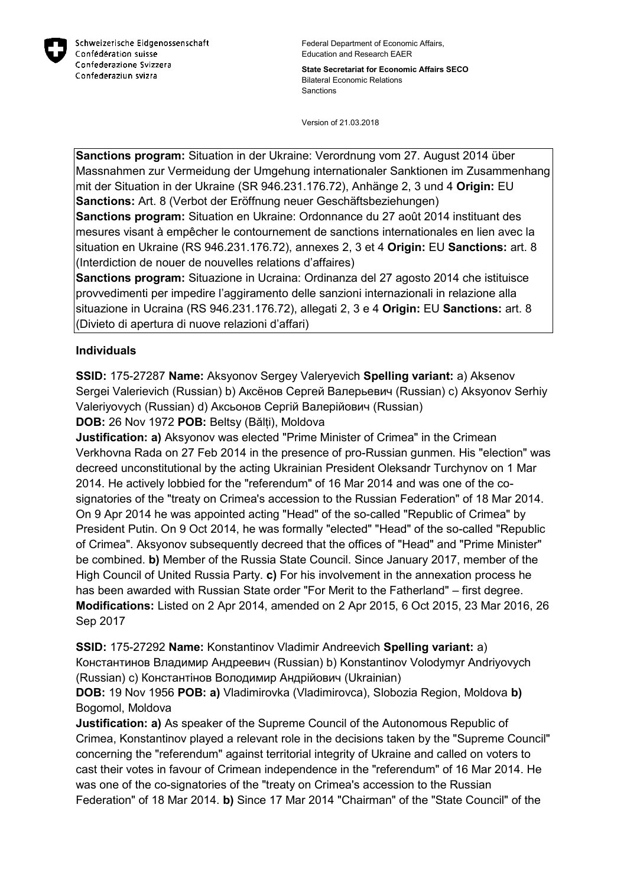

Federal Department of Economic Affairs, Education and Research EAER

**State Secretariat for Economic Affairs SECO** Bilateral Economic Relations Sanctions

Version of 21.03.2018

**Sanctions program:** Situation in der Ukraine: Verordnung vom 27. August 2014 über Massnahmen zur Vermeidung der Umgehung internationaler Sanktionen im Zusammenhang mit der Situation in der Ukraine (SR 946.231.176.72), Anhänge 2, 3 und 4 **Origin:** EU **Sanctions:** Art. 8 (Verbot der Eröffnung neuer Geschäftsbeziehungen)

**Sanctions program:** Situation en Ukraine: Ordonnance du 27 août 2014 instituant des mesures visant à empêcher le contournement de sanctions internationales en lien avec la situation en Ukraine (RS 946.231.176.72), annexes 2, 3 et 4 **Origin:** EU **Sanctions:** art. 8 (Interdiction de nouer de nouvelles relations d'affaires)

**Sanctions program:** Situazione in Ucraina: Ordinanza del 27 agosto 2014 che istituisce provvedimenti per impedire l'aggiramento delle sanzioni internazionali in relazione alla situazione in Ucraina (RS 946.231.176.72), allegati 2, 3 e 4 **Origin:** EU **Sanctions:** art. 8 (Divieto di apertura di nuove relazioni d'affari)

#### **Individuals**

**SSID:** 175-27287 **Name:** Aksyonov Sergey Valeryevich **Spelling variant:** a) Aksenov Sergei Valerievich (Russian) b) Аксёнов Сергей Валерьевич (Russian) c) Aksyonov Serhiy Valeriyovych (Russian) d) Аксьонов Сергій Валерійович (Russian)

**DOB:** 26 Nov 1972 **POB:** Beltsy (Bălți), Moldova

**Justification: a)** Aksyonov was elected "Prime Minister of Crimea" in the Crimean Verkhovna Rada on 27 Feb 2014 in the presence of pro-Russian gunmen. His "election" was decreed unconstitutional by the acting Ukrainian President Oleksandr Turchynov on 1 Mar 2014. He actively lobbied for the "referendum" of 16 Mar 2014 and was one of the cosignatories of the "treaty on Crimea's accession to the Russian Federation" of 18 Mar 2014. On 9 Apr 2014 he was appointed acting "Head" of the so-called "Republic of Crimea" by President Putin. On 9 Oct 2014, he was formally "elected" "Head" of the so-called "Republic of Crimea". Aksyonov subsequently decreed that the offices of "Head" and "Prime Minister" be combined. **b)** Member of the Russia State Council. Since January 2017, member of the High Council of United Russia Party. **c)** For his involvement in the annexation process he has been awarded with Russian State order "For Merit to the Fatherland" – first degree. **Modifications:** Listed on 2 Apr 2014, amended on 2 Apr 2015, 6 Oct 2015, 23 Mar 2016, 26 Sep 2017

**SSID:** 175-27292 **Name:** Konstantinov Vladimir Andreevich **Spelling variant:** a) Константинов Владимир Андреевич (Russian) b) Konstantinov Volodymyr Andriyovych (Russian) c) Константiнов Володимир Андрійович (Ukrainian)

**DOB:** 19 Nov 1956 **POB: a)** Vladimirovka (Vladimirovca), Slobozia Region, Moldova **b)**  Bogomol, Moldova

**Justification: a)** As speaker of the Supreme Council of the Autonomous Republic of Crimea, Konstantinov played a relevant role in the decisions taken by the "Supreme Council" concerning the "referendum" against territorial integrity of Ukraine and called on voters to cast their votes in favour of Crimean independence in the "referendum" of 16 Mar 2014. He was one of the co-signatories of the "treaty on Crimea's accession to the Russian Federation" of 18 Mar 2014. **b)** Since 17 Mar 2014 "Chairman" of the "State Council" of the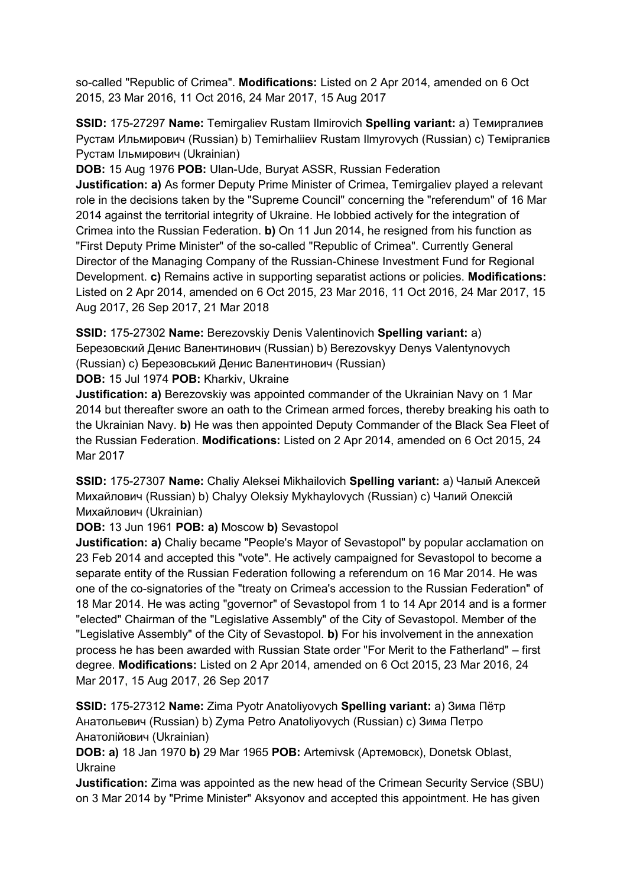so-called "Republic of Crimea". **Modifications:** Listed on 2 Apr 2014, amended on 6 Oct 2015, 23 Mar 2016, 11 Oct 2016, 24 Mar 2017, 15 Aug 2017

**SSID:** 175-27297 **Name:** Temirgaliev Rustam Ilmirovich **Spelling variant:** a) Темиргалиев Рустам Ильмирович (Russian) b) Temirhaliiev Rustam Ilmyrovych (Russian) c) Темiргалiєв Рустам Iльмирович (Ukrainian)

**DOB:** 15 Aug 1976 **POB:** Ulan-Ude, Buryat ASSR, Russian Federation **Justification: a)** As former Deputy Prime Minister of Crimea, Temirgaliev played a relevant role in the decisions taken by the "Supreme Council" concerning the "referendum" of 16 Mar 2014 against the territorial integrity of Ukraine. He lobbied actively for the integration of Crimea into the Russian Federation. **b)** On 11 Jun 2014, he resigned from his function as "First Deputy Prime Minister" of the so-called "Republic of Crimea". Currently General Director of the Managing Company of the Russian-Chinese Investment Fund for Regional Development. **c)** Remains active in supporting separatist actions or policies. **Modifications:**  Listed on 2 Apr 2014, amended on 6 Oct 2015, 23 Mar 2016, 11 Oct 2016, 24 Mar 2017, 15 Aug 2017, 26 Sep 2017, 21 Mar 2018

**SSID:** 175-27302 **Name:** Berezovskiy Denis Valentinovich **Spelling variant:** a) Березовский Денис Валентинович (Russian) b) Berezovskyy Denys Valentynovych (Russian) c) Березовський Денис Валентинович (Russian)

**DOB:** 15 Jul 1974 **POB:** Kharkiv, Ukraine

**Justification: a)** Berezovskiy was appointed commander of the Ukrainian Navy on 1 Mar 2014 but thereafter swore an oath to the Crimean armed forces, thereby breaking his oath to the Ukrainian Navy. **b)** He was then appointed Deputy Commander of the Black Sea Fleet of the Russian Federation. **Modifications:** Listed on 2 Apr 2014, amended on 6 Oct 2015, 24 Mar 2017

**SSID:** 175-27307 **Name:** Chaliy Aleksei Mikhailovich **Spelling variant:** a) Чалый Алексей Михайлович (Russian) b) Chalyy Oleksiy Mykhaylovych (Russian) c) Чалий Олексій Михайлович (Ukrainian)

**DOB:** 13 Jun 1961 **POB: a)** Moscow **b)** Sevastopol

**Justification: a)** Chaliy became "People's Mayor of Sevastopol" by popular acclamation on 23 Feb 2014 and accepted this "vote". He actively campaigned for Sevastopol to become a separate entity of the Russian Federation following a referendum on 16 Mar 2014. He was one of the co-signatories of the "treaty on Crimea's accession to the Russian Federation" of 18 Mar 2014. He was acting "governor" of Sevastopol from 1 to 14 Apr 2014 and is a former "elected" Chairman of the "Legislative Assembly" of the City of Sevastopol. Member of the "Legislative Assembly" of the City of Sevastopol. **b)** For his involvement in the annexation process he has been awarded with Russian State order "For Merit to the Fatherland" – first degree. **Modifications:** Listed on 2 Apr 2014, amended on 6 Oct 2015, 23 Mar 2016, 24 Mar 2017, 15 Aug 2017, 26 Sep 2017

**SSID:** 175-27312 **Name:** Zima Pyotr Anatoliyovych **Spelling variant:** a) Зима Пётр Анатольевич (Russian) b) Zyma Petro Anatoliyovych (Russian) c) Зима Петро Анатолійович (Ukrainian)

**DOB: a)** 18 Jan 1970 **b)** 29 Mar 1965 **POB:** Artemivsk (Артемовск), Donetsk Oblast, Ukraine

**Justification:** Zima was appointed as the new head of the Crimean Security Service (SBU) on 3 Mar 2014 by "Prime Minister" Aksyonov and accepted this appointment. He has given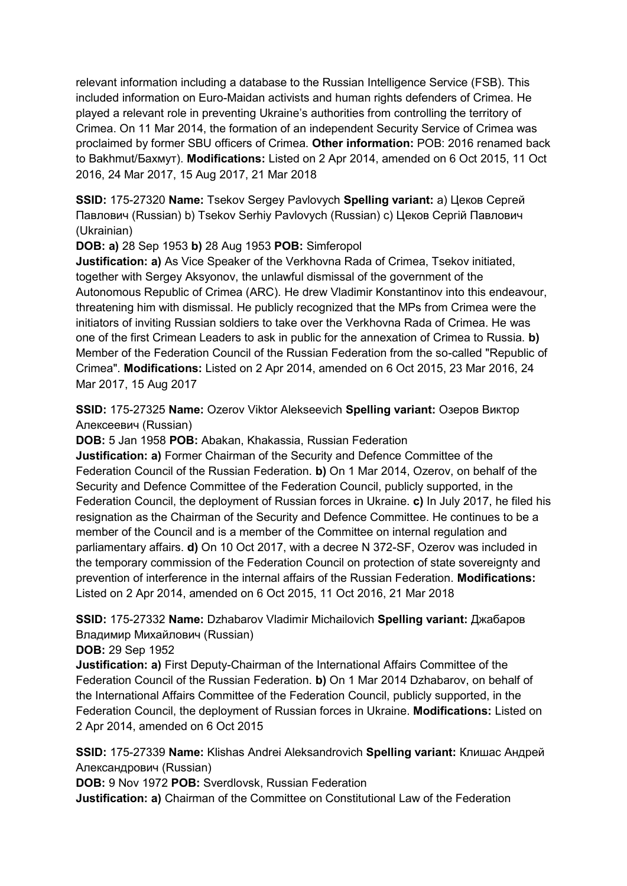relevant information including a database to the Russian Intelligence Service (FSB). This included information on Euro-Maidan activists and human rights defenders of Crimea. He played a relevant role in preventing Ukraine's authorities from controlling the territory of Crimea. On 11 Mar 2014, the formation of an independent Security Service of Crimea was proclaimed by former SBU officers of Crimea. **Other information:** POB: 2016 renamed back to Bakhmut/Бахмут). **Modifications:** Listed on 2 Apr 2014, amended on 6 Oct 2015, 11 Oct 2016, 24 Mar 2017, 15 Aug 2017, 21 Mar 2018

**SSID:** 175-27320 **Name:** Tsekov Sergey Pavlovych **Spelling variant:** a) Цеков Сергей Павлович (Russian) b) Tsekov Serhiy Pavlovych (Russian) c) Цеков Сергій Павлович (Ukrainian)

**DOB: a)** 28 Sep 1953 **b)** 28 Aug 1953 **POB:** Simferopol

**Justification: a)** As Vice Speaker of the Verkhovna Rada of Crimea, Tsekov initiated, together with Sergey Aksyonov, the unlawful dismissal of the government of the Autonomous Republic of Crimea (ARC). He drew Vladimir Konstantinov into this endeavour, threatening him with dismissal. He publicly recognized that the MPs from Crimea were the initiators of inviting Russian soldiers to take over the Verkhovna Rada of Crimea. He was one of the first Crimean Leaders to ask in public for the annexation of Crimea to Russia. **b)**  Member of the Federation Council of the Russian Federation from the so-called "Republic of Crimea". **Modifications:** Listed on 2 Apr 2014, amended on 6 Oct 2015, 23 Mar 2016, 24 Mar 2017, 15 Aug 2017

**SSID:** 175-27325 **Name:** Ozerov Viktor Alekseevich **Spelling variant:** Озеров Виктор Алексеевич (Russian)

**DOB:** 5 Jan 1958 **POB:** Abakan, Khakassia, Russian Federation

**Justification: a)** Former Chairman of the Security and Defence Committee of the Federation Council of the Russian Federation. **b)** On 1 Mar 2014, Ozerov, on behalf of the Security and Defence Committee of the Federation Council, publicly supported, in the Federation Council, the deployment of Russian forces in Ukraine. **c)** In July 2017, he filed his resignation as the Chairman of the Security and Defence Committee. He continues to be a member of the Council and is a member of the Committee on internal regulation and parliamentary affairs. **d)** On 10 Oct 2017, with a decree N 372-SF, Ozerov was included in the temporary commission of the Federation Council on protection of state sovereignty and prevention of interference in the internal affairs of the Russian Federation. **Modifications:**  Listed on 2 Apr 2014, amended on 6 Oct 2015, 11 Oct 2016, 21 Mar 2018

**SSID:** 175-27332 **Name:** Dzhabarov Vladimir Michailovich **Spelling variant:** Джабаров Владимир Михайлович (Russian)

**DOB:** 29 Sep 1952

**Justification: a)** First Deputy-Chairman of the International Affairs Committee of the Federation Council of the Russian Federation. **b)** On 1 Mar 2014 Dzhabarov, on behalf of the International Affairs Committee of the Federation Council, publicly supported, in the Federation Council, the deployment of Russian forces in Ukraine. **Modifications:** Listed on 2 Apr 2014, amended on 6 Oct 2015

**SSID:** 175-27339 **Name:** Klishas Andrei Aleksandrovich **Spelling variant:** Клишас Андрей Александрович (Russian)

**DOB:** 9 Nov 1972 **POB:** Sverdlovsk, Russian Federation

**Justification: a)** Chairman of the Committee on Constitutional Law of the Federation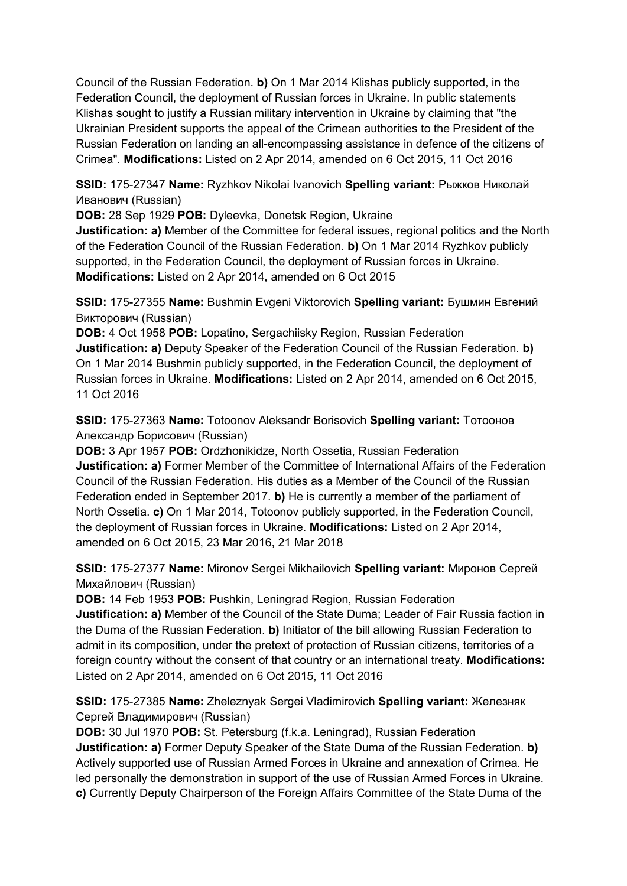Council of the Russian Federation. **b)** On 1 Mar 2014 Klishas publicly supported, in the Federation Council, the deployment of Russian forces in Ukraine. In public statements Klishas sought to justify a Russian military intervention in Ukraine by claiming that "the Ukrainian President supports the appeal of the Crimean authorities to the President of the Russian Federation on landing an all-encompassing assistance in defence of the citizens of Crimea". **Modifications:** Listed on 2 Apr 2014, amended on 6 Oct 2015, 11 Oct 2016

**SSID:** 175-27347 **Name:** Ryzhkov Nikolai Ivanovich **Spelling variant:** Рыжков Николай Иванович (Russian)

**DOB:** 28 Sep 1929 **POB:** Dyleevka, Donetsk Region, Ukraine

**Justification: a)** Member of the Committee for federal issues, regional politics and the North of the Federation Council of the Russian Federation. **b)** On 1 Mar 2014 Ryzhkov publicly supported, in the Federation Council, the deployment of Russian forces in Ukraine. **Modifications:** Listed on 2 Apr 2014, amended on 6 Oct 2015

**SSID:** 175-27355 **Name:** Bushmin Evgeni Viktorovich **Spelling variant:** Бушмин Евгений Викторович (Russian)

**DOB:** 4 Oct 1958 **POB:** Lopatino, Sergachiisky Region, Russian Federation **Justification: a)** Deputy Speaker of the Federation Council of the Russian Federation. **b)**  On 1 Mar 2014 Bushmin publicly supported, in the Federation Council, the deployment of Russian forces in Ukraine. **Modifications:** Listed on 2 Apr 2014, amended on 6 Oct 2015, 11 Oct 2016

**SSID:** 175-27363 **Name:** Totoonov Aleksandr Borisovich **Spelling variant:** Тотоонов Александр Борисович (Russian)

**DOB:** 3 Apr 1957 **POB:** Ordzhonikidze, North Ossetia, Russian Federation **Justification: a)** Former Member of the Committee of International Affairs of the Federation Council of the Russian Federation. His duties as a Member of the Council of the Russian Federation ended in September 2017. **b)** He is currently a member of the parliament of North Ossetia. **c)** On 1 Mar 2014, Totoonov publicly supported, in the Federation Council, the deployment of Russian forces in Ukraine. **Modifications:** Listed on 2 Apr 2014, amended on 6 Oct 2015, 23 Mar 2016, 21 Mar 2018

**SSID:** 175-27377 **Name:** Mironov Sergei Mikhailovich **Spelling variant:** Миронов Сергей Михайлович (Russian)

**DOB:** 14 Feb 1953 **POB:** Pushkin, Leningrad Region, Russian Federation **Justification: a)** Member of the Council of the State Duma; Leader of Fair Russia faction in the Duma of the Russian Federation. **b)** Initiator of the bill allowing Russian Federation to admit in its composition, under the pretext of protection of Russian citizens, territories of a foreign country without the consent of that country or an international treaty. **Modifications:**  Listed on 2 Apr 2014, amended on 6 Oct 2015, 11 Oct 2016

**SSID:** 175-27385 **Name:** Zheleznyak Sergei Vladimirovich **Spelling variant:** Железняк Сергей Владимирович (Russian)

**DOB:** 30 Jul 1970 **POB:** St. Petersburg (f.k.a. Leningrad), Russian Federation **Justification: a)** Former Deputy Speaker of the State Duma of the Russian Federation. **b)**  Actively supported use of Russian Armed Forces in Ukraine and annexation of Crimea. He led personally the demonstration in support of the use of Russian Armed Forces in Ukraine. **c)** Currently Deputy Chairperson of the Foreign Affairs Committee of the State Duma of the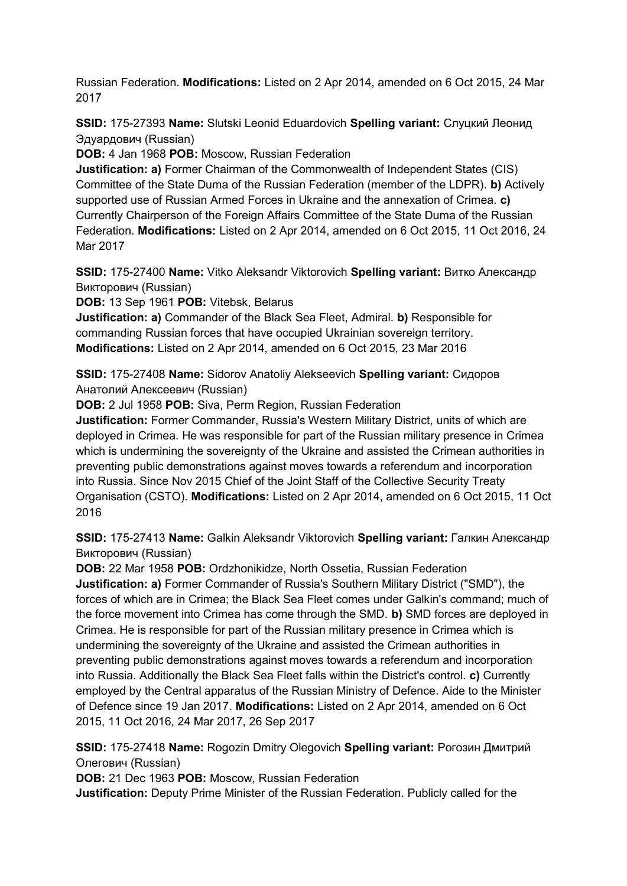Russian Federation. **Modifications:** Listed on 2 Apr 2014, amended on 6 Oct 2015, 24 Mar 2017

**SSID:** 175-27393 **Name:** Slutski Leonid Eduardovich **Spelling variant:** Слуцкий Леонид Эдуардович (Russian)

**DOB:** 4 Jan 1968 **POB:** Moscow, Russian Federation

**Justification: a)** Former Chairman of the Commonwealth of Independent States (CIS) Committee of the State Duma of the Russian Federation (member of the LDPR). **b)** Actively supported use of Russian Armed Forces in Ukraine and the annexation of Crimea. **c)**  Currently Chairperson of the Foreign Affairs Committee of the State Duma of the Russian Federation. **Modifications:** Listed on 2 Apr 2014, amended on 6 Oct 2015, 11 Oct 2016, 24 Mar 2017

**SSID:** 175-27400 **Name:** Vitko Aleksandr Viktorovich **Spelling variant:** Витко Александр Викторович (Russian)

**DOB:** 13 Sep 1961 **POB:** Vitebsk, Belarus

**Justification: a)** Commander of the Black Sea Fleet, Admiral. **b)** Responsible for commanding Russian forces that have occupied Ukrainian sovereign territory. **Modifications:** Listed on 2 Apr 2014, amended on 6 Oct 2015, 23 Mar 2016

**SSID:** 175-27408 **Name:** Sidorov Anatoliy Alekseevich **Spelling variant:** Сидоров Анатолий Алексеевич (Russian)

**DOB:** 2 Jul 1958 **POB:** Siva, Perm Region, Russian Federation

**Justification:** Former Commander, Russia's Western Military District, units of which are deployed in Crimea. He was responsible for part of the Russian military presence in Crimea which is undermining the sovereignty of the Ukraine and assisted the Crimean authorities in preventing public demonstrations against moves towards a referendum and incorporation into Russia. Since Nov 2015 Chief of the Joint Staff of the Collective Security Treaty Organisation (CSTO). **Modifications:** Listed on 2 Apr 2014, amended on 6 Oct 2015, 11 Oct 2016

**SSID:** 175-27413 **Name:** Galkin Aleksandr Viktorovich **Spelling variant:** Галкин Александр Викторович (Russian)

**DOB:** 22 Mar 1958 **POB:** Ordzhonikidze, North Ossetia, Russian Federation **Justification: a)** Former Commander of Russia's Southern Military District ("SMD"), the forces of which are in Crimea; the Black Sea Fleet comes under Galkin's command; much of the force movement into Crimea has come through the SMD. **b)** SMD forces are deployed in Crimea. He is responsible for part of the Russian military presence in Crimea which is undermining the sovereignty of the Ukraine and assisted the Crimean authorities in preventing public demonstrations against moves towards a referendum and incorporation into Russia. Additionally the Black Sea Fleet falls within the District's control. **c)** Currently employed by the Central apparatus of the Russian Ministry of Defence. Aide to the Minister of Defence since 19 Jan 2017. **Modifications:** Listed on 2 Apr 2014, amended on 6 Oct 2015, 11 Oct 2016, 24 Mar 2017, 26 Sep 2017

**SSID:** 175-27418 **Name:** Rogozin Dmitry Olegovich **Spelling variant:** Рогозин Дмитрий Олегович (Russian)

**DOB:** 21 Dec 1963 **POB:** Moscow, Russian Federation

**Justification:** Deputy Prime Minister of the Russian Federation. Publicly called for the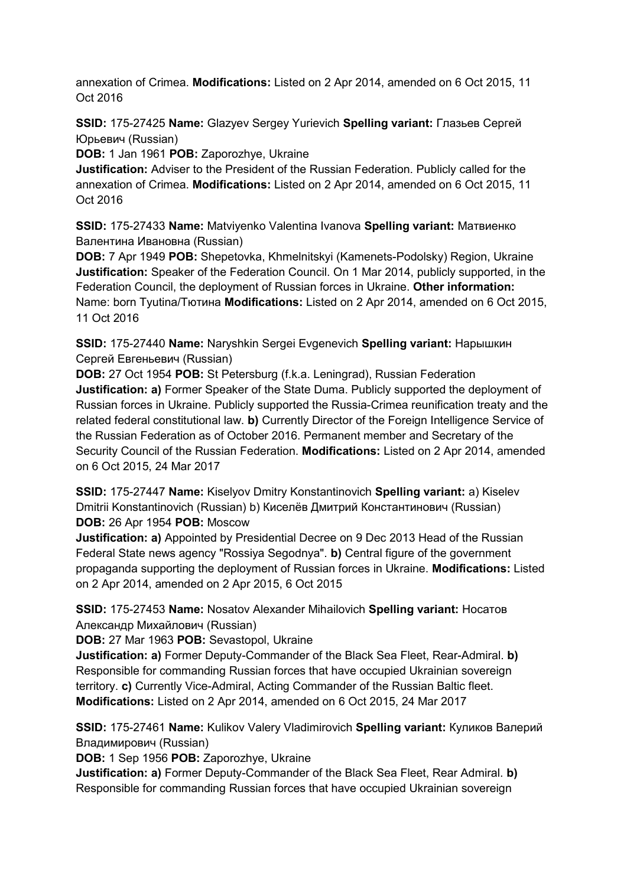annexation of Crimea. **Modifications:** Listed on 2 Apr 2014, amended on 6 Oct 2015, 11 Oct 2016

**SSID:** 175-27425 **Name:** Glazyev Sergey Yurievich **Spelling variant:** Глазьев Сергей Юрьевич (Russian)

**DOB:** 1 Jan 1961 **POB:** Zaporozhye, Ukraine

**Justification:** Adviser to the President of the Russian Federation. Publicly called for the annexation of Crimea. **Modifications:** Listed on 2 Apr 2014, amended on 6 Oct 2015, 11 Oct 2016

**SSID:** 175-27433 **Name:** Matviyenko Valentina Ivanova **Spelling variant:** Матвиенко Валентина Ивановна (Russian)

**DOB:** 7 Apr 1949 **POB:** Shepetovka, Khmelnitskyi (Kamenets-Podolsky) Region, Ukraine **Justification:** Speaker of the Federation Council. On 1 Mar 2014, publicly supported, in the Federation Council, the deployment of Russian forces in Ukraine. **Other information:** Name: born Tyutina/Тютина **Modifications:** Listed on 2 Apr 2014, amended on 6 Oct 2015, 11 Oct 2016

**SSID:** 175-27440 **Name:** Naryshkin Sergei Evgenevich **Spelling variant:** Нарышкин Сергей Евгеньевич (Russian)

**DOB:** 27 Oct 1954 **POB:** St Petersburg (f.k.a. Leningrad), Russian Federation **Justification: a)** Former Speaker of the State Duma. Publicly supported the deployment of Russian forces in Ukraine. Publicly supported the Russia-Crimea reunification treaty and the related federal constitutional law. **b)** Currently Director of the Foreign Intelligence Service of the Russian Federation as of October 2016. Permanent member and Secretary of the Security Council of the Russian Federation. **Modifications:** Listed on 2 Apr 2014, amended on 6 Oct 2015, 24 Mar 2017

**SSID:** 175-27447 **Name:** Kiselyov Dmitry Konstantinovich **Spelling variant:** a) Kiselev Dmitrii Konstantinovich (Russian) b) Киселёв Дмитрий Константинович (Russian) **DOB:** 26 Apr 1954 **POB:** Moscow

**Justification: a)** Appointed by Presidential Decree on 9 Dec 2013 Head of the Russian Federal State news agency "Rossiya Segodnya". **b)** Central figure of the government propaganda supporting the deployment of Russian forces in Ukraine. **Modifications:** Listed on 2 Apr 2014, amended on 2 Apr 2015, 6 Oct 2015

**SSID:** 175-27453 **Name:** Nosatov Alexander Mihailovich **Spelling variant:** Носатов Александр Михайлович (Russian)

**DOB:** 27 Mar 1963 **POB:** Sevastopol, Ukraine

**Justification: a)** Former Deputy-Commander of the Black Sea Fleet, Rear-Admiral. **b)**  Responsible for commanding Russian forces that have occupied Ukrainian sovereign territory. **c)** Currently Vice-Admiral, Acting Commander of the Russian Baltic fleet. **Modifications:** Listed on 2 Apr 2014, amended on 6 Oct 2015, 24 Mar 2017

**SSID:** 175-27461 **Name:** Kulikov Valery Vladimirovich **Spelling variant:** Куликов Валерий Владимирович (Russian)

**DOB:** 1 Sep 1956 **POB:** Zaporozhye, Ukraine

**Justification: a)** Former Deputy-Commander of the Black Sea Fleet, Rear Admiral. **b)**  Responsible for commanding Russian forces that have occupied Ukrainian sovereign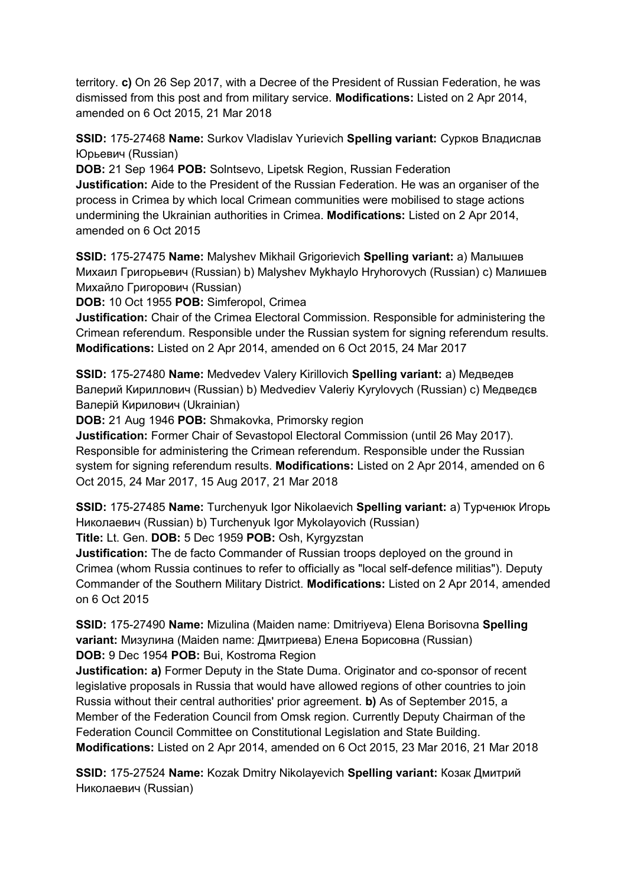territory. **c)** On 26 Sep 2017, with a Decree of the President of Russian Federation, he was dismissed from this post and from military service. **Modifications:** Listed on 2 Apr 2014, amended on 6 Oct 2015, 21 Mar 2018

**SSID:** 175-27468 **Name:** Surkov Vladislav Yurievich **Spelling variant:** Сурков Владислав Юрьевич (Russian)

**DOB:** 21 Sep 1964 **POB:** Solntsevo, Lipetsk Region, Russian Federation **Justification:** Aide to the President of the Russian Federation. He was an organiser of the process in Crimea by which local Crimean communities were mobilised to stage actions undermining the Ukrainian authorities in Crimea. **Modifications:** Listed on 2 Apr 2014, amended on 6 Oct 2015

**SSID:** 175-27475 **Name:** Malyshev Mikhail Grigorievich **Spelling variant:** a) Малышев Михаил Григорьевич (Russian) b) Malyshev Mykhaylo Hryhorovych (Russian) c) Малишев Михайло Григорович (Russian)

**DOB:** 10 Oct 1955 **POB:** Simferopol, Crimea

**Justification:** Chair of the Crimea Electoral Commission. Responsible for administering the Crimean referendum. Responsible under the Russian system for signing referendum results. **Modifications:** Listed on 2 Apr 2014, amended on 6 Oct 2015, 24 Mar 2017

**SSID:** 175-27480 **Name:** Medvedev Valery Kirillovich **Spelling variant:** a) Медведев Валерий Кириллович (Russian) b) Medvediev Valeriy Kyrylovych (Russian) c) Медведєв Валерій Кирилович (Ukrainian)

**DOB:** 21 Aug 1946 **POB:** Shmakovka, Primorsky region

**Justification:** Former Chair of Sevastopol Electoral Commission (until 26 May 2017). Responsible for administering the Crimean referendum. Responsible under the Russian system for signing referendum results. **Modifications:** Listed on 2 Apr 2014, amended on 6 Oct 2015, 24 Mar 2017, 15 Aug 2017, 21 Mar 2018

**SSID:** 175-27485 **Name:** Turchenyuk Igor Nikolaevich **Spelling variant:** a) Турченюк Игорь Николаевич (Russian) b) Turchenyuk Igor Mykolayovich (Russian)

**Title:** Lt. Gen. **DOB:** 5 Dec 1959 **POB:** Osh, Kyrgyzstan

**Justification:** The de facto Commander of Russian troops deployed on the ground in Crimea (whom Russia continues to refer to officially as "local self-defence militias"). Deputy Commander of the Southern Military District. **Modifications:** Listed on 2 Apr 2014, amended on 6 Oct 2015

**SSID:** 175-27490 **Name:** Mizulina (Maiden name: Dmitriyeva) Elena Borisovna **Spelling variant:** Мизулина (Maiden name: Дмитриева) Елена Борисовна (Russian) **DOB:** 9 Dec 1954 **POB:** Bui, Kostroma Region

**Justification: a)** Former Deputy in the State Duma. Originator and co-sponsor of recent legislative proposals in Russia that would have allowed regions of other countries to join Russia without their central authorities' prior agreement. **b)** As of September 2015, a Member of the Federation Council from Omsk region. Currently Deputy Chairman of the Federation Council Committee on Constitutional Legislation and State Building. **Modifications:** Listed on 2 Apr 2014, amended on 6 Oct 2015, 23 Mar 2016, 21 Mar 2018

**SSID:** 175-27524 **Name:** Kozak Dmitry Nikolayevich **Spelling variant:** Козак Дмитрий Николаевич (Russian)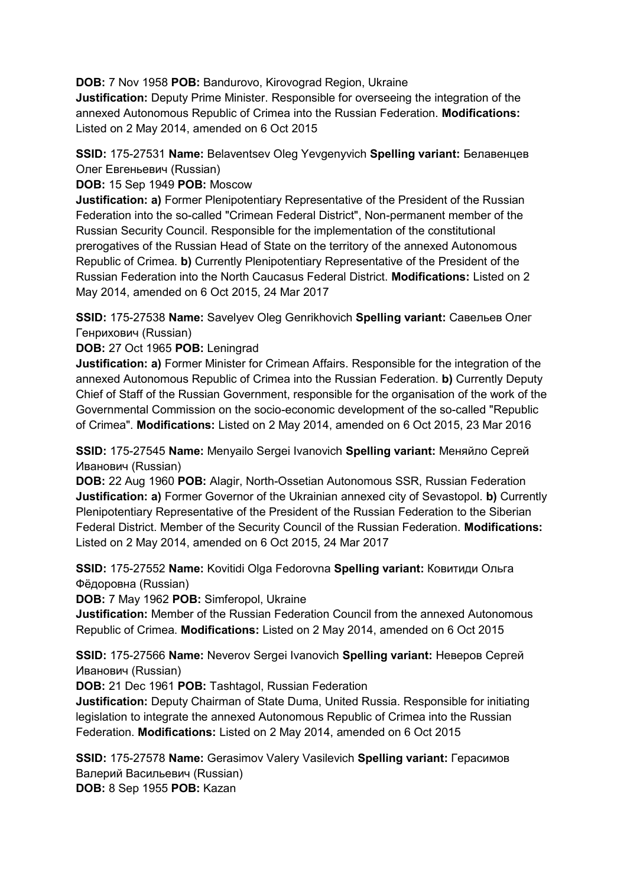**DOB:** 7 Nov 1958 **POB:** Bandurovo, Kirovograd Region, Ukraine

**Justification:** Deputy Prime Minister. Responsible for overseeing the integration of the annexed Autonomous Republic of Crimea into the Russian Federation. **Modifications:**  Listed on 2 May 2014, amended on 6 Oct 2015

# **SSID:** 175-27531 **Name:** Belaventsev Oleg Yevgenyvich **Spelling variant:** Белавенцев Олег Евгеньевич (Russian)

**DOB:** 15 Sep 1949 **POB:** Moscow

**Justification: a)** Former Plenipotentiary Representative of the President of the Russian Federation into the so-called "Crimean Federal District", Non-permanent member of the Russian Security Council. Responsible for the implementation of the constitutional prerogatives of the Russian Head of State on the territory of the annexed Autonomous Republic of Crimea. **b)** Currently Plenipotentiary Representative of the President of the Russian Federation into the North Caucasus Federal District. **Modifications:** Listed on 2 May 2014, amended on 6 Oct 2015, 24 Mar 2017

**SSID:** 175-27538 **Name:** Savelyev Oleg Genrikhovich **Spelling variant:** Савельев Олег Генрихович (Russian)

#### **DOB:** 27 Oct 1965 **POB:** Leningrad

**Justification: a)** Former Minister for Crimean Affairs. Responsible for the integration of the annexed Autonomous Republic of Crimea into the Russian Federation. **b)** Currently Deputy Chief of Staff of the Russian Government, responsible for the organisation of the work of the Governmental Commission on the socio-economic development of the so-called "Republic of Crimea". **Modifications:** Listed on 2 May 2014, amended on 6 Oct 2015, 23 Mar 2016

**SSID:** 175-27545 **Name:** Menyailo Sergei Ivanovich **Spelling variant:** Меняйло Сергей Иванович (Russian)

**DOB:** 22 Aug 1960 **POB:** Alagir, North-Ossetian Autonomous SSR, Russian Federation **Justification: a)** Former Governor of the Ukrainian annexed city of Sevastopol. **b)** Currently Plenipotentiary Representative of the President of the Russian Federation to the Siberian Federal District. Member of the Security Council of the Russian Federation. **Modifications:**  Listed on 2 May 2014, amended on 6 Oct 2015, 24 Mar 2017

**SSID:** 175-27552 **Name:** Kovitidi Olga Fedorovna **Spelling variant:** Ковитиди Ольга Фёдоровна (Russian)

**DOB:** 7 May 1962 **POB:** Simferopol, Ukraine

**Justification:** Member of the Russian Federation Council from the annexed Autonomous Republic of Crimea. **Modifications:** Listed on 2 May 2014, amended on 6 Oct 2015

**SSID:** 175-27566 **Name:** Neverov Sergei Ivanovich **Spelling variant:** Неверов Сергей Иванович (Russian)

**DOB:** 21 Dec 1961 **POB:** Tashtagol, Russian Federation

**Justification:** Deputy Chairman of State Duma, United Russia. Responsible for initiating legislation to integrate the annexed Autonomous Republic of Crimea into the Russian Federation. **Modifications:** Listed on 2 May 2014, amended on 6 Oct 2015

**SSID:** 175-27578 **Name:** Gerasimov Valery Vasilevich **Spelling variant:** Герасимов Валерий Васильевич (Russian) **DOB:** 8 Sep 1955 **POB:** Kazan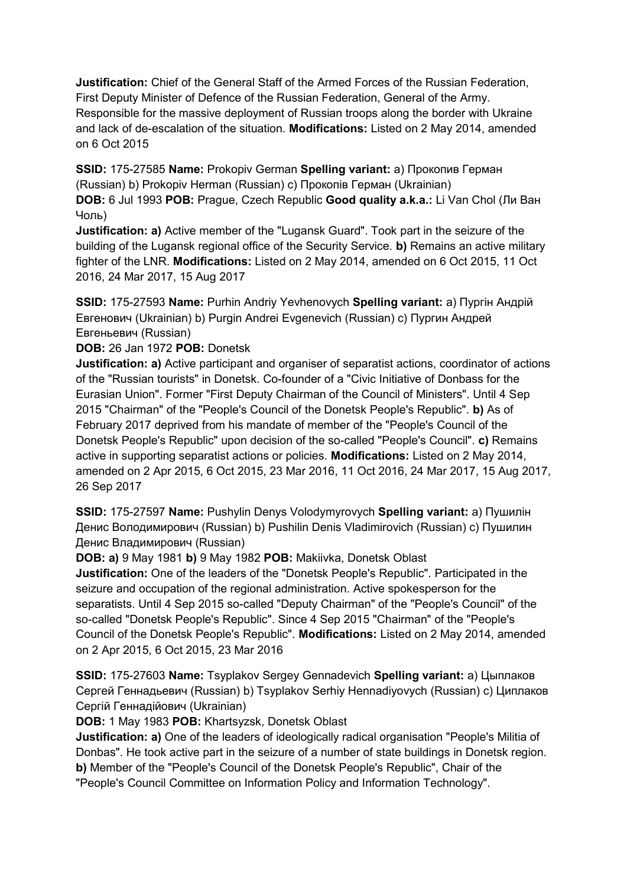**Justification:** Chief of the General Staff of the Armed Forces of the Russian Federation, First Deputy Minister of Defence of the Russian Federation, General of the Army. Responsible for the massive deployment of Russian troops along the border with Ukraine and lack of de-escalation of the situation. **Modifications:** Listed on 2 May 2014, amended on 6 Oct 2015

**SSID:** 175-27585 **Name:** Prokopiv German **Spelling variant:** a) Прокопив Герман (Russian) b) Prokopiv Herman (Russian) c) Прокопiв Герман (Ukrainian) **DOB:** 6 Jul 1993 **POB:** Prague, Czech Republic **Good quality a.k.a.:** Li Van Chol (Ли Ван Чоль)

**Justification: a)** Active member of the "Lugansk Guard". Took part in the seizure of the building of the Lugansk regional office of the Security Service. **b)** Remains an active military fighter of the LNR. **Modifications:** Listed on 2 May 2014, amended on 6 Oct 2015, 11 Oct 2016, 24 Mar 2017, 15 Aug 2017

**SSID:** 175-27593 **Name:** Purhin Andriy Yevhenovych **Spelling variant:** a) Пургін Андрій Eвгенович (Ukrainian) b) Purgin Andrei Evgenevich (Russian) c) Пургин Андрей Евгеньевич (Russian)

## **DOB:** 26 Jan 1972 **POB:** Donetsk

**Justification: a)** Active participant and organiser of separatist actions, coordinator of actions of the "Russian tourists" in Donetsk. Co-founder of a "Civic Initiative of Donbass for the Eurasian Union". Former "First Deputy Chairman of the Council of Ministers". Until 4 Sep 2015 "Chairman" of the "People's Council of the Donetsk People's Republic". **b)** As of February 2017 deprived from his mandate of member of the "People's Council of the Donetsk People's Republic" upon decision of the so-called "People's Council". **c)** Remains active in supporting separatist actions or policies. **Modifications:** Listed on 2 May 2014, amended on 2 Apr 2015, 6 Oct 2015, 23 Mar 2016, 11 Oct 2016, 24 Mar 2017, 15 Aug 2017, 26 Sep 2017

**SSID:** 175-27597 **Name:** Pushylin Denys Volodymyrovych **Spelling variant:** a) Пушилін Денис Володимирович (Russian) b) Pushilin Denis Vladimirovich (Russian) c) Пушилин Денис Владимирович (Russian)

**DOB: a)** 9 May 1981 **b)** 9 May 1982 **POB:** Makiivka, Donetsk Oblast

**Justification:** One of the leaders of the "Donetsk People's Republic". Participated in the seizure and occupation of the regional administration. Active spokesperson for the separatists. Until 4 Sep 2015 so-called "Deputy Chairman" of the "People's Council" of the so-called "Donetsk People's Republic". Since 4 Sep 2015 "Chairman" of the "People's Council of the Donetsk People's Republic". **Modifications:** Listed on 2 May 2014, amended on 2 Apr 2015, 6 Oct 2015, 23 Mar 2016

**SSID:** 175-27603 **Name:** Tsyplakov Sergey Gennadevich **Spelling variant:** a) Цыплаков Сергей Геннадьевич (Russian) b) Tsyplakov Serhiy Hennadiyovych (Russian) c) Циплаков Сергій Геннадійович (Ukrainian)

**DOB:** 1 May 1983 **POB:** Khartsyzsk, Donetsk Oblast

**Justification: a)** One of the leaders of ideologically radical organisation "People's Militia of Donbas". He took active part in the seizure of a number of state buildings in Donetsk region. **b)** Member of the "People's Council of the Donetsk People's Republic", Chair of the "People's Council Committee on Information Policy and Information Technology".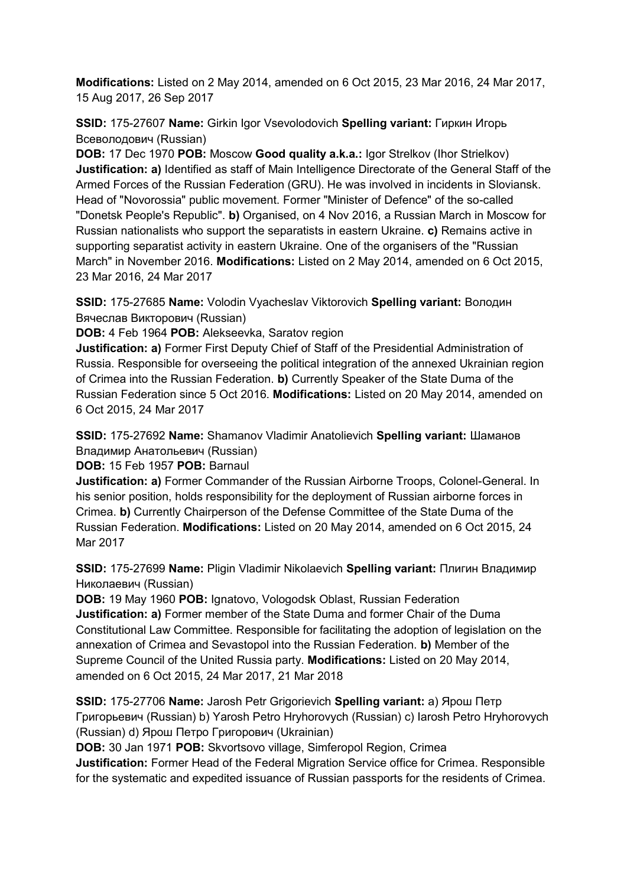**Modifications:** Listed on 2 May 2014, amended on 6 Oct 2015, 23 Mar 2016, 24 Mar 2017, 15 Aug 2017, 26 Sep 2017

**SSID:** 175-27607 **Name:** Girkin Igor Vsevolodovich **Spelling variant:** Гиркин Игорь Всеволодович (Russian)

**DOB:** 17 Dec 1970 **POB:** Moscow **Good quality a.k.a.:** Igor Strelkov (Ihor Strielkov) **Justification: a)** Identified as staff of Main Intelligence Directorate of the General Staff of the Armed Forces of the Russian Federation (GRU). He was involved in incidents in Sloviansk. Head of "Novorossia" public movement. Former "Minister of Defence" of the so-called "Donetsk People's Republic". **b)** Organised, on 4 Nov 2016, a Russian March in Moscow for Russian nationalists who support the separatists in eastern Ukraine. **c)** Remains active in supporting separatist activity in eastern Ukraine. One of the organisers of the "Russian March" in November 2016. **Modifications:** Listed on 2 May 2014, amended on 6 Oct 2015, 23 Mar 2016, 24 Mar 2017

**SSID:** 175-27685 **Name:** Volodin Vyacheslav Viktorovich **Spelling variant:** Володин Вячеслав Викторович (Russian)

**DOB:** 4 Feb 1964 **POB:** Alekseevka, Saratov region

**Justification: a)** Former First Deputy Chief of Staff of the Presidential Administration of Russia. Responsible for overseeing the political integration of the annexed Ukrainian region of Crimea into the Russian Federation. **b)** Currently Speaker of the State Duma of the Russian Federation since 5 Oct 2016. **Modifications:** Listed on 20 May 2014, amended on 6 Oct 2015, 24 Mar 2017

**SSID:** 175-27692 **Name:** Shamanov Vladimir Anatolievich **Spelling variant:** Шаманов Владимир Анатольевич (Russian)

**DOB:** 15 Feb 1957 **POB:** Barnaul

**Justification: a)** Former Commander of the Russian Airborne Troops, Colonel-General. In his senior position, holds responsibility for the deployment of Russian airborne forces in Crimea. **b)** Currently Chairperson of the Defense Committee of the State Duma of the Russian Federation. **Modifications:** Listed on 20 May 2014, amended on 6 Oct 2015, 24 Mar 2017

**SSID:** 175-27699 **Name:** Pligin Vladimir Nikolaevich **Spelling variant:** Плигин Владимир Николаевич (Russian)

**DOB:** 19 May 1960 **POB:** Ignatovo, Vologodsk Oblast, Russian Federation **Justification: a)** Former member of the State Duma and former Chair of the Duma Constitutional Law Committee. Responsible for facilitating the adoption of legislation on the annexation of Crimea and Sevastopol into the Russian Federation. **b)** Member of the Supreme Council of the United Russia party. **Modifications:** Listed on 20 May 2014, amended on 6 Oct 2015, 24 Mar 2017, 21 Mar 2018

**SSID:** 175-27706 **Name:** Jarosh Petr Grigorievich **Spelling variant:** a) Ярош Петр Григорьевич (Russian) b) Yarosh Petro Hryhorovych (Russian) c) Iarosh Petro Hryhorovych (Russian) d) Ярош Петро Григорович (Ukrainian)

**DOB:** 30 Jan 1971 **POB:** Skvortsovo village, Simferopol Region, Crimea

**Justification:** Former Head of the Federal Migration Service office for Crimea. Responsible for the systematic and expedited issuance of Russian passports for the residents of Crimea.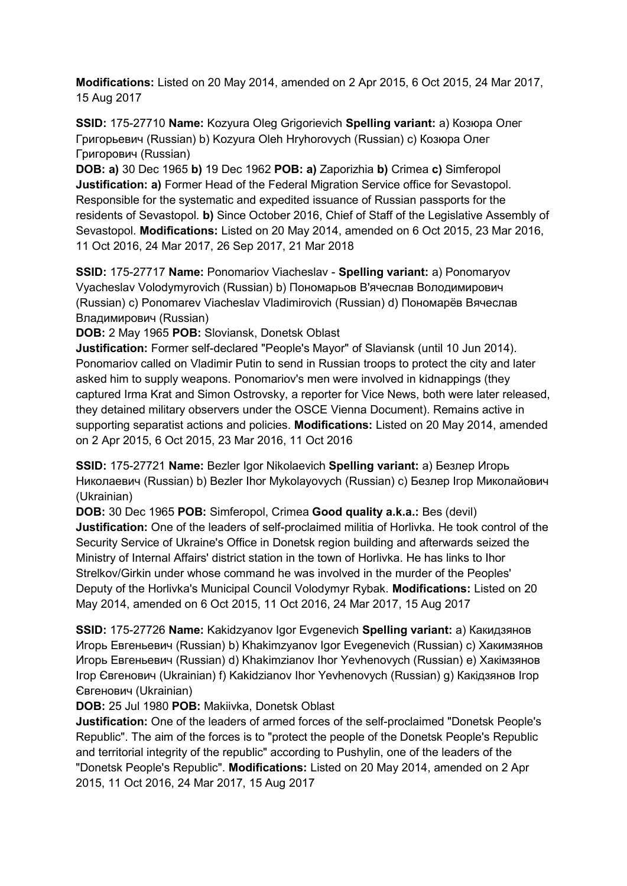**Modifications:** Listed on 20 May 2014, amended on 2 Apr 2015, 6 Oct 2015, 24 Mar 2017, 15 Aug 2017

**SSID:** 175-27710 **Name:** Kozyura Oleg Grigorievich **Spelling variant:** a) Козюра Олег Григорьевич (Russian) b) Kozyura Oleh Hryhorovych (Russian) c) Козюра Олег Григорович (Russian)

**DOB: a)** 30 Dec 1965 **b)** 19 Dec 1962 **POB: a)** Zaporizhia **b)** Crimea **c)** Simferopol **Justification: a)** Former Head of the Federal Migration Service office for Sevastopol. Responsible for the systematic and expedited issuance of Russian passports for the residents of Sevastopol. **b)** Since October 2016, Chief of Staff of the Legislative Assembly of Sevastopol. **Modifications:** Listed on 20 May 2014, amended on 6 Oct 2015, 23 Mar 2016, 11 Oct 2016, 24 Mar 2017, 26 Sep 2017, 21 Mar 2018

**SSID:** 175-27717 **Name:** Ponomariov Viacheslav - **Spelling variant:** a) Ponomaryov Vyacheslav Volodymyrovich (Russian) b) Пономарьов В'ячеслав Володимирович (Russian) c) Ponomarev Viacheslav Vladimirovich (Russian) d) Пономарёв Вячеслав Владимирович (Russian)

**DOB:** 2 May 1965 **POB:** Sloviansk, Donetsk Oblast

**Justification:** Former self-declared "People's Mayor" of Slaviansk (until 10 Jun 2014). Ponomariov called on Vladimir Putin to send in Russian troops to protect the city and later asked him to supply weapons. Ponomariov's men were involved in kidnappings (they captured Irma Krat and Simon Ostrovsky, a reporter for Vice News, both were later released, they detained military observers under the OSCE Vienna Document). Remains active in supporting separatist actions and policies. **Modifications:** Listed on 20 May 2014, amended on 2 Apr 2015, 6 Oct 2015, 23 Mar 2016, 11 Oct 2016

**SSID:** 175-27721 **Name:** Bezler Igor Nikolaevich **Spelling variant:** a) Безлер Игорь Николаевич (Russian) b) Bezler Ihor Mykolayovych (Russian) c) Безлер Iгор Миколайович (Ukrainian)

**DOB:** 30 Dec 1965 **POB:** Simferopol, Crimea **Good quality a.k.a.:** Bes (devil) **Justification:** One of the leaders of self-proclaimed militia of Horlivka. He took control of the Security Service of Ukraine's Office in Donetsk region building and afterwards seized the Ministry of Internal Affairs' district station in the town of Horlivka. He has links to Ihor Strelkov/Girkin under whose command he was involved in the murder of the Peoples' Deputy of the Horlivka's Municipal Council Volodymyr Rybak. **Modifications:** Listed on 20 May 2014, amended on 6 Oct 2015, 11 Oct 2016, 24 Mar 2017, 15 Aug 2017

**SSID:** 175-27726 **Name:** Kakidzyanov Igor Evgenevich **Spelling variant:** a) Какидзянов Игорь Евгеньевич (Russian) b) Khakimzyanov Igor Evegenevich (Russian) c) Хакимзянов Игорь Евгеньевич (Russian) d) Khakimzianov Ihor Yevhenovych (Russian) e) Хакiмзянов Iгор Євгенович (Ukrainian) f) Kakidzianov Ihor Yevhenovych (Russian) g) Какiдзянов Iгор Євгенович (Ukrainian)

**DOB:** 25 Jul 1980 **POB:** Makiivka, Donetsk Oblast

**Justification:** One of the leaders of armed forces of the self-proclaimed "Donetsk People's Republic". The aim of the forces is to "protect the people of the Donetsk People's Republic and territorial integrity of the republic" according to Pushylin, one of the leaders of the "Donetsk People's Republic". **Modifications:** Listed on 20 May 2014, amended on 2 Apr 2015, 11 Oct 2016, 24 Mar 2017, 15 Aug 2017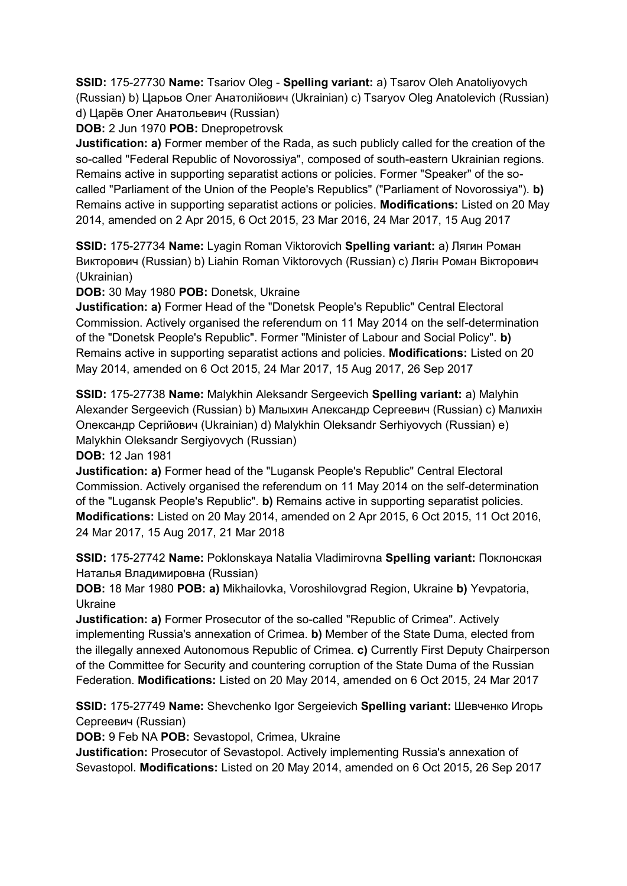**SSID:** 175-27730 **Name:** Tsariov Oleg - **Spelling variant:** a) Tsarov Oleh Anatoliyovych (Russian) b) Царьов Олег Анатолійович (Ukrainian) c) Tsaryov Oleg Anatolevich (Russian) d) Царёв Олег Анатольевич (Russian)

**DOB:** 2 Jun 1970 **POB:** Dnepropetrovsk

**Justification: a)** Former member of the Rada, as such publicly called for the creation of the so-called "Federal Republic of Novorossiya", composed of south-eastern Ukrainian regions. Remains active in supporting separatist actions or policies. Former "Speaker" of the socalled "Parliament of the Union of the People's Republics" ("Parliament of Novorossiya"). **b)**  Remains active in supporting separatist actions or policies. **Modifications:** Listed on 20 May 2014, amended on 2 Apr 2015, 6 Oct 2015, 23 Mar 2016, 24 Mar 2017, 15 Aug 2017

**SSID:** 175-27734 **Name:** Lyagin Roman Viktorovich **Spelling variant:** a) Лягин Роман Викторович (Russian) b) Liahin Roman Viktorovych (Russian) c) Лягiн Роман Вікторович (Ukrainian)

**DOB:** 30 May 1980 **POB:** Donetsk, Ukraine

**Justification: a)** Former Head of the "Donetsk People's Republic" Central Electoral Commission. Actively organised the referendum on 11 May 2014 on the self-determination of the "Donetsk People's Republic". Former "Minister of Labour and Social Policy". **b)**  Remains active in supporting separatist actions and policies. **Modifications:** Listed on 20 May 2014, amended on 6 Oct 2015, 24 Mar 2017, 15 Aug 2017, 26 Sep 2017

**SSID:** 175-27738 **Name:** Malykhin Aleksandr Sergeevich **Spelling variant:** a) Malyhin Alexander Sergeevich (Russian) b) Малыхин Александр Сергеевич (Russian) c) Малихін Олександр Сергійович (Ukrainian) d) Malykhin Oleksandr Serhiyovych (Russian) e) Malykhin Oleksandr Sergiyovych (Russian)

**DOB:** 12 Jan 1981

**Justification: a)** Former head of the "Lugansk People's Republic" Central Electoral Commission. Actively organised the referendum on 11 May 2014 on the self-determination of the "Lugansk People's Republic". **b)** Remains active in supporting separatist policies. **Modifications:** Listed on 20 May 2014, amended on 2 Apr 2015, 6 Oct 2015, 11 Oct 2016, 24 Mar 2017, 15 Aug 2017, 21 Mar 2018

**SSID:** 175-27742 **Name:** Poklonskaya Natalia Vladimirovna **Spelling variant:** Поклонская Наталья Владимировна (Russian)

**DOB:** 18 Mar 1980 **POB: a)** Mikhailovka, Voroshilovgrad Region, Ukraine **b)** Yevpatoria, Ukraine

**Justification: a)** Former Prosecutor of the so-called "Republic of Crimea". Actively implementing Russia's annexation of Crimea. **b)** Member of the State Duma, elected from the illegally annexed Autonomous Republic of Crimea. **c)** Currently First Deputy Chairperson of the Committee for Security and countering corruption of the State Duma of the Russian Federation. **Modifications:** Listed on 20 May 2014, amended on 6 Oct 2015, 24 Mar 2017

**SSID:** 175-27749 **Name:** Shevchenko Igor Sergeievich **Spelling variant:** Шевченко Игорь Сергеевич (Russian)

**DOB:** 9 Feb NA **POB:** Sevastopol, Crimea, Ukraine

**Justification:** Prosecutor of Sevastopol. Actively implementing Russia's annexation of Sevastopol. **Modifications:** Listed on 20 May 2014, amended on 6 Oct 2015, 26 Sep 2017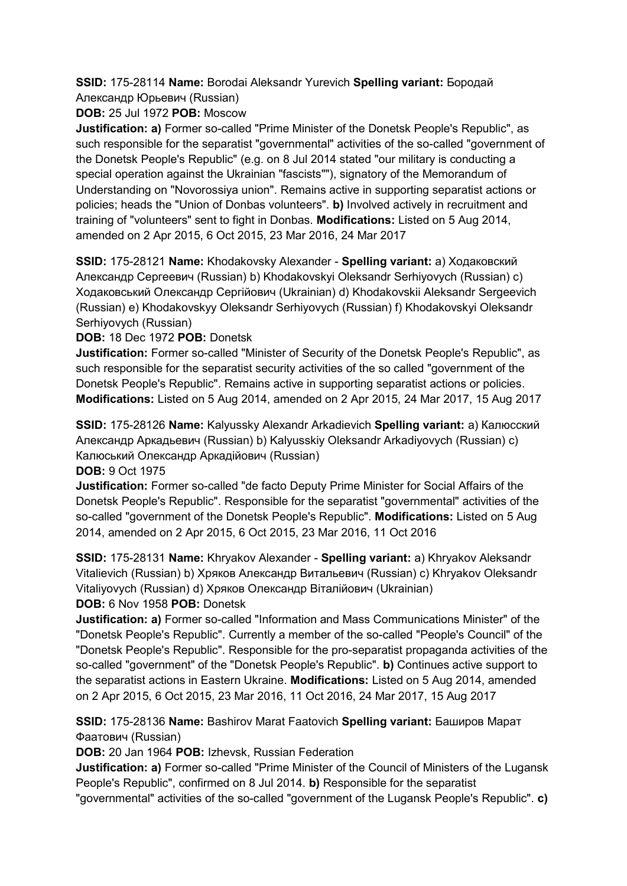**SSID:** 175-28114 **Name:** Borodai Aleksandr Yurevich **Spelling variant:** Бородай Александр Юрьевич (Russian)

**DOB:** 25 Jul 1972 **POB:** Moscow

**Justification: a)** Former so-called "Prime Minister of the Donetsk People's Republic", as such responsible for the separatist "governmental" activities of the so-called "government of the Donetsk People's Republic" (e.g. on 8 Jul 2014 stated "our military is conducting a special operation against the Ukrainian "fascists""), signatory of the Memorandum of Understanding on "Novorossiya union". Remains active in supporting separatist actions or policies; heads the "Union of Donbas volunteers". **b)** Involved actively in recruitment and training of "volunteers" sent to fight in Donbas. **Modifications:** Listed on 5 Aug 2014, amended on 2 Apr 2015, 6 Oct 2015, 23 Mar 2016, 24 Mar 2017

**SSID:** 175-28121 **Name:** Khodakovsky Alexander - **Spelling variant:** a) Ходаковский Александр Сергеевич (Russian) b) Khodakovskyi Oleksandr Serhiyovych (Russian) c) Ходаковський Олександр Сергійович (Ukrainian) d) Khodakovskii Aleksandr Sergeevich (Russian) e) Khodakovskyy Oleksandr Serhiyovych (Russian) f) Khodakovskyi Oleksandr Serhiyovych (Russian)

**DOB:** 18 Dec 1972 **POB:** Donetsk

**Justification:** Former so-called "Minister of Security of the Donetsk People's Republic", as such responsible for the separatist security activities of the so called "government of the Donetsk People's Republic". Remains active in supporting separatist actions or policies. **Modifications:** Listed on 5 Aug 2014, amended on 2 Apr 2015, 24 Mar 2017, 15 Aug 2017

**SSID:** 175-28126 **Name:** Kalyussky Alexandr Arkadievich **Spelling variant:** a) Калюсский Александр Аркадьевич (Russian) b) Kalyusskiy Oleksandr Arkadiyovych (Russian) c) Калюський Олександр Аркадійович (Russian)

**DOB:** 9 Oct 1975

**Justification:** Former so-called "de facto Deputy Prime Minister for Social Affairs of the Donetsk People's Republic". Responsible for the separatist "governmental" activities of the so-called "government of the Donetsk People's Republic". **Modifications:** Listed on 5 Aug 2014, amended on 2 Apr 2015, 6 Oct 2015, 23 Mar 2016, 11 Oct 2016

**SSID:** 175-28131 **Name:** Khryakov Alexander - **Spelling variant:** a) Khryakov Aleksandr Vitalievich (Russian) b) Хряков Александр Витальевич (Russian) c) Khryakov Oleksandr Vitaliyovych (Russian) d) Хряков Олександр Віталійович (Ukrainian) **DOB:** 6 Nov 1958 **POB:** Donetsk

**Justification: a)** Former so-called "Information and Mass Communications Minister" of the "Donetsk People's Republic". Currently a member of the so-called "People's Council" of the "Donetsk People's Republic". Responsible for the pro-separatist propaganda activities of the so-called "government" of the "Donetsk People's Republic". **b)** Continues active support to the separatist actions in Eastern Ukraine. **Modifications:** Listed on 5 Aug 2014, amended on 2 Apr 2015, 6 Oct 2015, 23 Mar 2016, 11 Oct 2016, 24 Mar 2017, 15 Aug 2017

**SSID:** 175-28136 **Name:** Bashirov Marat Faatovich **Spelling variant:** Баширов Марат Фаатович (Russian)

**DOB:** 20 Jan 1964 **POB:** Izhevsk, Russian Federation

**Justification: a)** Former so-called "Prime Minister of the Council of Ministers of the Lugansk People's Republic", confirmed on 8 Jul 2014. **b)** Responsible for the separatist

"governmental" activities of the so-called "government of the Lugansk People's Republic". **c)**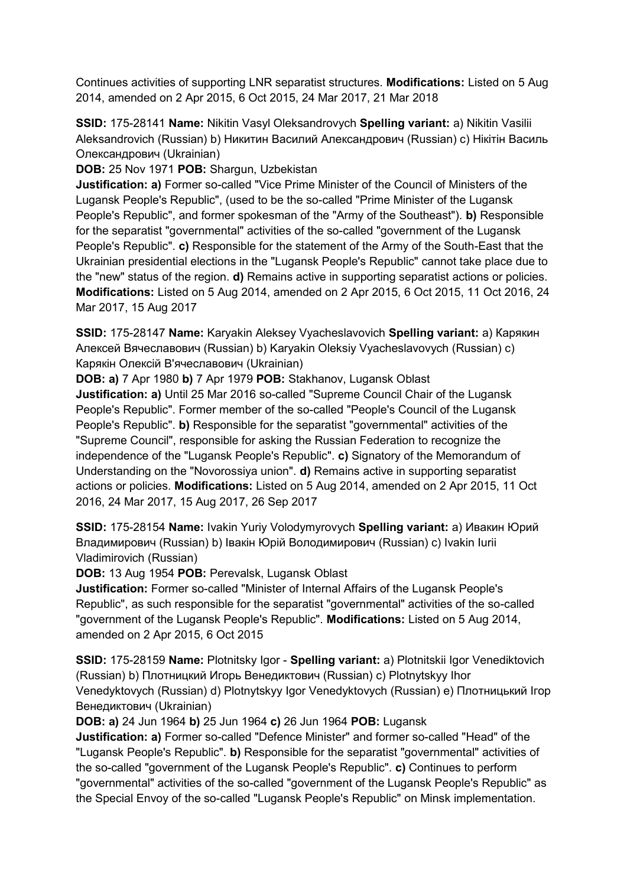Continues activities of supporting LNR separatist structures. **Modifications:** Listed on 5 Aug 2014, amended on 2 Apr 2015, 6 Oct 2015, 24 Mar 2017, 21 Mar 2018

**SSID:** 175-28141 **Name:** Nikitin Vasyl Oleksandrovych **Spelling variant:** a) Nikitin Vasilii Aleksandrovich (Russian) b) Никитин Василий Александрович (Russian) c) Нікітін Василь Олександрович (Ukrainian)

**DOB:** 25 Nov 1971 **POB:** Shargun, Uzbekistan

**Justification: a)** Former so-called "Vice Prime Minister of the Council of Ministers of the Lugansk People's Republic", (used to be the so-called "Prime Minister of the Lugansk People's Republic", and former spokesman of the "Army of the Southeast"). **b)** Responsible for the separatist "governmental" activities of the so-called "government of the Lugansk People's Republic". **c)** Responsible for the statement of the Army of the South-East that the Ukrainian presidential elections in the "Lugansk People's Republic" cannot take place due to the "new" status of the region. **d)** Remains active in supporting separatist actions or policies. **Modifications:** Listed on 5 Aug 2014, amended on 2 Apr 2015, 6 Oct 2015, 11 Oct 2016, 24 Mar 2017, 15 Aug 2017

**SSID:** 175-28147 **Name:** Karyakin Aleksey Vyacheslavovich **Spelling variant:** a) Карякин Алексей Вячеславович (Russian) b) Karyakin Oleksiy Vyacheslavovych (Russian) c) Карякiн Олексій В'ячеславович (Ukrainian)

**DOB: a)** 7 Apr 1980 **b)** 7 Apr 1979 **POB:** Stakhanov, Lugansk Oblast **Justification: a)** Until 25 Mar 2016 so-called "Supreme Council Chair of the Lugansk People's Republic". Former member of the so-called "People's Council of the Lugansk People's Republic". **b)** Responsible for the separatist "governmental" activities of the "Supreme Council", responsible for asking the Russian Federation to recognize the independence of the "Lugansk People's Republic". **c)** Signatory of the Memorandum of Understanding on the "Novorossiya union". **d)** Remains active in supporting separatist actions or policies. **Modifications:** Listed on 5 Aug 2014, amended on 2 Apr 2015, 11 Oct 2016, 24 Mar 2017, 15 Aug 2017, 26 Sep 2017

**SSID:** 175-28154 **Name:** Ivakin Yuriy Volodymyrovych **Spelling variant:** a) Ивакин Юрий Владимирович (Russian) b) Івакін Юрій Володимирович (Russian) c) Ivakin Iurii Vladimirovich (Russian)

**DOB:** 13 Aug 1954 **POB:** Perevalsk, Lugansk Oblast

**Justification:** Former so-called "Minister of Internal Affairs of the Lugansk People's Republic", as such responsible for the separatist "governmental" activities of the so-called "government of the Lugansk People's Republic". **Modifications:** Listed on 5 Aug 2014, amended on 2 Apr 2015, 6 Oct 2015

**SSID:** 175-28159 **Name:** Plotnitsky Igor - **Spelling variant:** a) Plotnitskii Igor Venediktovich (Russian) b) Плотницкий Игорь Венедиктович (Russian) c) Plotnytskyy Ihor Venedyktovych (Russian) d) Plotnytskyy Igor Venedyktovych (Russian) e) Плотницький Iгор Венедиктович (Ukrainian)

**DOB: a)** 24 Jun 1964 **b)** 25 Jun 1964 **c)** 26 Jun 1964 **POB:** Lugansk

**Justification: a)** Former so-called "Defence Minister" and former so-called "Head" of the "Lugansk People's Republic". **b)** Responsible for the separatist "governmental" activities of the so-called "government of the Lugansk People's Republic". **c)** Continues to perform "governmental" activities of the so-called "government of the Lugansk People's Republic" as the Special Envoy of the so-called "Lugansk People's Republic" on Minsk implementation.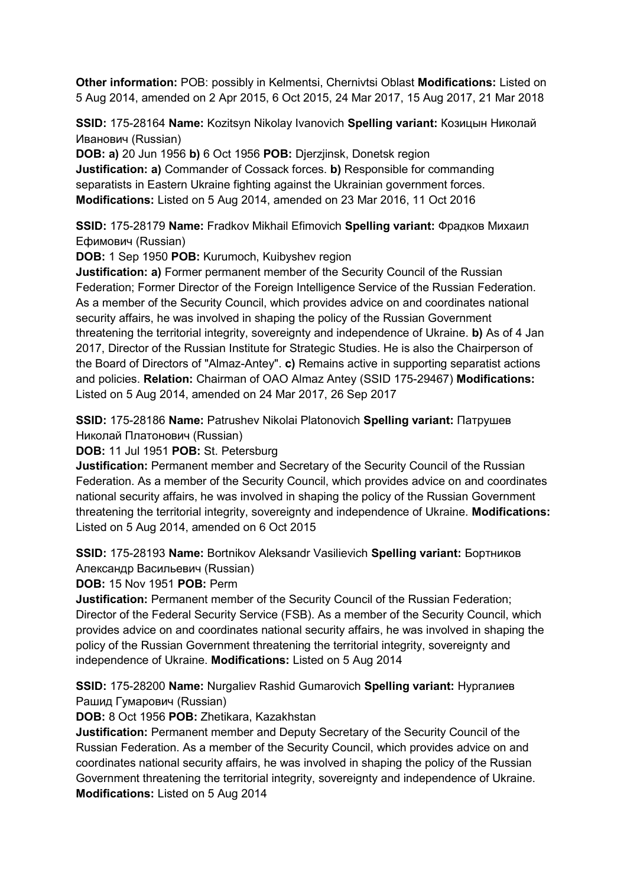**Other information:** POB: possibly in Kelmentsi, Chernivtsi Oblast **Modifications:** Listed on 5 Aug 2014, amended on 2 Apr 2015, 6 Oct 2015, 24 Mar 2017, 15 Aug 2017, 21 Mar 2018

**SSID:** 175-28164 **Name:** Kozitsyn Nikolay Ivanovich **Spelling variant:** Козицын Николай Иванович (Russian)

**DOB: a)** 20 Jun 1956 **b)** 6 Oct 1956 **POB:** Djerzjinsk, Donetsk region **Justification: a)** Commander of Cossack forces. **b)** Responsible for commanding separatists in Eastern Ukraine fighting against the Ukrainian government forces. **Modifications:** Listed on 5 Aug 2014, amended on 23 Mar 2016, 11 Oct 2016

**SSID:** 175-28179 **Name:** Fradkov Mikhail Efimovich **Spelling variant:** Фрадков Михаил Ефимович (Russian)

**DOB:** 1 Sep 1950 **POB:** Kurumoch, Kuibyshev region

**Justification: a)** Former permanent member of the Security Council of the Russian Federation; Former Director of the Foreign Intelligence Service of the Russian Federation. As a member of the Security Council, which provides advice on and coordinates national security affairs, he was involved in shaping the policy of the Russian Government threatening the territorial integrity, sovereignty and independence of Ukraine. **b)** As of 4 Jan 2017, Director of the Russian Institute for Strategic Studies. He is also the Chairperson of the Board of Directors of "Almaz-Antey". **c)** Remains active in supporting separatist actions and policies. **Relation:** Chairman of OAO Almaz Antey (SSID 175-29467) **Modifications:**  Listed on 5 Aug 2014, amended on 24 Mar 2017, 26 Sep 2017

**SSID:** 175-28186 **Name:** Patrushev Nikolai Platonovich **Spelling variant:** Патрушев Николай Платонович (Russian)

**DOB:** 11 Jul 1951 **POB:** St. Petersburg

**Justification:** Permanent member and Secretary of the Security Council of the Russian Federation. As a member of the Security Council, which provides advice on and coordinates national security affairs, he was involved in shaping the policy of the Russian Government threatening the territorial integrity, sovereignty and independence of Ukraine. **Modifications:**  Listed on 5 Aug 2014, amended on 6 Oct 2015

**SSID:** 175-28193 **Name:** Bortnikov Aleksandr Vasilievich **Spelling variant:** Бортников Александр Васильевич (Russian)

**DOB:** 15 Nov 1951 **POB:** Perm

**Justification:** Permanent member of the Security Council of the Russian Federation; Director of the Federal Security Service (FSB). As a member of the Security Council, which provides advice on and coordinates national security affairs, he was involved in shaping the policy of the Russian Government threatening the territorial integrity, sovereignty and independence of Ukraine. **Modifications:** Listed on 5 Aug 2014

**SSID:** 175-28200 **Name:** Nurgaliev Rashid Gumarovich **Spelling variant:** Нургалиев Рашид Гумарович (Russian)

**DOB:** 8 Oct 1956 **POB:** Zhetikara, Kazakhstan

**Justification:** Permanent member and Deputy Secretary of the Security Council of the Russian Federation. As a member of the Security Council, which provides advice on and coordinates national security affairs, he was involved in shaping the policy of the Russian Government threatening the territorial integrity, sovereignty and independence of Ukraine. **Modifications:** Listed on 5 Aug 2014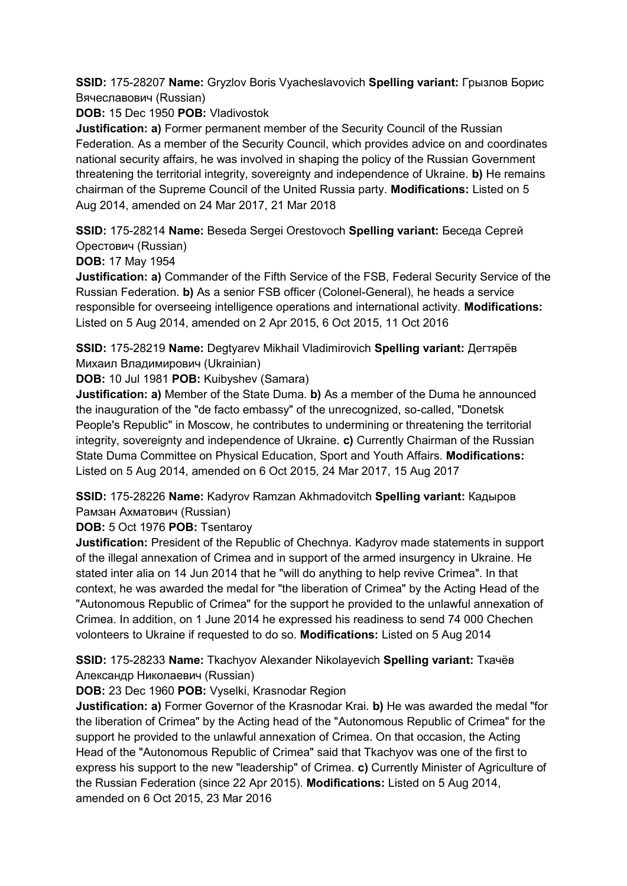**SSID:** 175-28207 **Name:** Gryzlov Boris Vyacheslavovich **Spelling variant:** Грызлов Борис Вячеславович (Russian)

**DOB:** 15 Dec 1950 **POB:** Vladivostok

**Justification: a)** Former permanent member of the Security Council of the Russian Federation. As a member of the Security Council, which provides advice on and coordinates national security affairs, he was involved in shaping the policy of the Russian Government threatening the territorial integrity, sovereignty and independence of Ukraine. **b)** He remains chairman of the Supreme Council of the United Russia party. **Modifications:** Listed on 5 Aug 2014, amended on 24 Mar 2017, 21 Mar 2018

**SSID:** 175-28214 **Name:** Beseda Sergei Orestovoch **Spelling variant:** Беседа Сергей Орестович (Russian)

**DOB:** 17 May 1954

**Justification: a)** Commander of the Fifth Service of the FSB, Federal Security Service of the Russian Federation. **b)** As a senior FSB officer (Colonel-General), he heads a service responsible for overseeing intelligence operations and international activity. **Modifications:**  Listed on 5 Aug 2014, amended on 2 Apr 2015, 6 Oct 2015, 11 Oct 2016

**SSID:** 175-28219 **Name:** Degtyarev Mikhail Vladimirovich **Spelling variant:** Дегтярёв Михаил Владимирович (Ukrainian)

**DOB:** 10 Jul 1981 **POB:** Kuibyshev (Samara)

**Justification: a)** Member of the State Duma. **b)** As a member of the Duma he announced the inauguration of the "de facto embassy" of the unrecognized, so-called, "Donetsk People's Republic" in Moscow, he contributes to undermining or threatening the territorial integrity, sovereignty and independence of Ukraine. **c)** Currently Chairman of the Russian State Duma Committee on Physical Education, Sport and Youth Affairs. **Modifications:**  Listed on 5 Aug 2014, amended on 6 Oct 2015, 24 Mar 2017, 15 Aug 2017

**SSID:** 175-28226 **Name:** Kadyrov Ramzan Akhmadovitch **Spelling variant:** Кадыров Рамзан Ахматович (Russian)

**DOB:** 5 Oct 1976 **POB:** Tsentaroy

**Justification:** President of the Republic of Chechnya. Kadyrov made statements in support of the illegal annexation of Crimea and in support of the armed insurgency in Ukraine. He stated inter alia on 14 Jun 2014 that he "will do anything to help revive Crimea". In that context, he was awarded the medal for "the liberation of Crimea" by the Acting Head of the "Autonomous Republic of Crimea" for the support he provided to the unlawful annexation of Crimea. In addition, on 1 June 2014 he expressed his readiness to send 74 000 Chechen volonteers to Ukraine if requested to do so. **Modifications:** Listed on 5 Aug 2014

**SSID:** 175-28233 **Name:** Tkachyov Alexander Nikolayevich **Spelling variant:** Ткачёв Александр Николаевич (Russian)

**DOB:** 23 Dec 1960 **POB:** Vyselki, Krasnodar Region

**Justification: a)** Former Governor of the Krasnodar Krai. **b)** He was awarded the medal "for the liberation of Crimea" by the Acting head of the "Autonomous Republic of Crimea" for the support he provided to the unlawful annexation of Crimea. On that occasion, the Acting Head of the "Autonomous Republic of Crimea" said that Tkachyov was one of the first to express his support to the new "leadership" of Crimea. **c)** Currently Minister of Agriculture of the Russian Federation (since 22 Apr 2015). **Modifications:** Listed on 5 Aug 2014, amended on 6 Oct 2015, 23 Mar 2016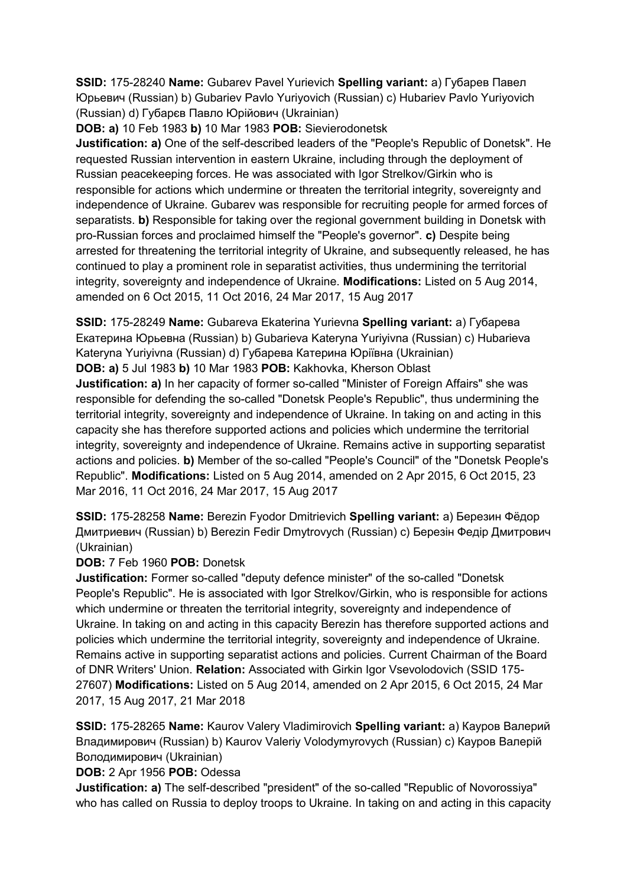**SSID:** 175-28240 **Name:** Gubarev Pavel Yurievich **Spelling variant:** a) Губарев Павел Юрьевич (Russian) b) Gubariev Pavlo Yuriyovich (Russian) c) Hubariev Pavlo Yuriyovich (Russian) d) Губарєв Павло Юрійович (Ukrainian)

**DOB: a)** 10 Feb 1983 **b)** 10 Mar 1983 **POB:** Sievierodonetsk

**Justification: a)** One of the self-described leaders of the "People's Republic of Donetsk". He requested Russian intervention in eastern Ukraine, including through the deployment of Russian peacekeeping forces. He was associated with Igor Strelkov/Girkin who is responsible for actions which undermine or threaten the territorial integrity, sovereignty and independence of Ukraine. Gubarev was responsible for recruiting people for armed forces of separatists. **b)** Responsible for taking over the regional government building in Donetsk with pro-Russian forces and proclaimed himself the "People's governor". **c)** Despite being arrested for threatening the territorial integrity of Ukraine, and subsequently released, he has continued to play a prominent role in separatist activities, thus undermining the territorial integrity, sovereignty and independence of Ukraine. **Modifications:** Listed on 5 Aug 2014, amended on 6 Oct 2015, 11 Oct 2016, 24 Mar 2017, 15 Aug 2017

**SSID:** 175-28249 **Name:** Gubareva Ekaterina Yurievna **Spelling variant:** a) Губарева Екатерина Юрьевна (Russian) b) Gubarieva Kateryna Yuriyivna (Russian) c) Hubarieva Kateryna Yuriyivna (Russian) d) Губарева Катерина Юріївна (Ukrainian) **DOB: a)** 5 Jul 1983 **b)** 10 Mar 1983 **POB:** Kakhovka, Kherson Oblast

**Justification: a)** In her capacity of former so-called "Minister of Foreign Affairs" she was responsible for defending the so-called "Donetsk People's Republic", thus undermining the territorial integrity, sovereignty and independence of Ukraine. In taking on and acting in this capacity she has therefore supported actions and policies which undermine the territorial integrity, sovereignty and independence of Ukraine. Remains active in supporting separatist actions and policies. **b)** Member of the so-called "People's Council" of the "Donetsk People's Republic". **Modifications:** Listed on 5 Aug 2014, amended on 2 Apr 2015, 6 Oct 2015, 23 Mar 2016, 11 Oct 2016, 24 Mar 2017, 15 Aug 2017

**SSID:** 175-28258 **Name:** Berezin Fyodor Dmitrievich **Spelling variant:** a) Березин Фёдор Дмитриевич (Russian) b) Berezin Fedir Dmytrovych (Russian) c) Березін Федір Дмитрович (Ukrainian)

## **DOB:** 7 Feb 1960 **POB:** Donetsk

**Justification:** Former so-called "deputy defence minister" of the so-called "Donetsk People's Republic". He is associated with Igor Strelkov/Girkin, who is responsible for actions which undermine or threaten the territorial integrity, sovereignty and independence of Ukraine. In taking on and acting in this capacity Berezin has therefore supported actions and policies which undermine the territorial integrity, sovereignty and independence of Ukraine. Remains active in supporting separatist actions and policies. Current Chairman of the Board of DNR Writers' Union. **Relation:** Associated with Girkin Igor Vsevolodovich (SSID 175- 27607) **Modifications:** Listed on 5 Aug 2014, amended on 2 Apr 2015, 6 Oct 2015, 24 Mar 2017, 15 Aug 2017, 21 Mar 2018

**SSID:** 175-28265 **Name:** Kaurov Valery Vladimirovich **Spelling variant:** a) Кауров Валерий Владимирович (Russian) b) Kaurov Valeriy Volodymyrovych (Russian) c) Кауров Валерій Володимирович (Ukrainian)

**DOB:** 2 Apr 1956 **POB:** Odessa

**Justification: a)** The self-described "president" of the so-called "Republic of Novorossiya" who has called on Russia to deploy troops to Ukraine. In taking on and acting in this capacity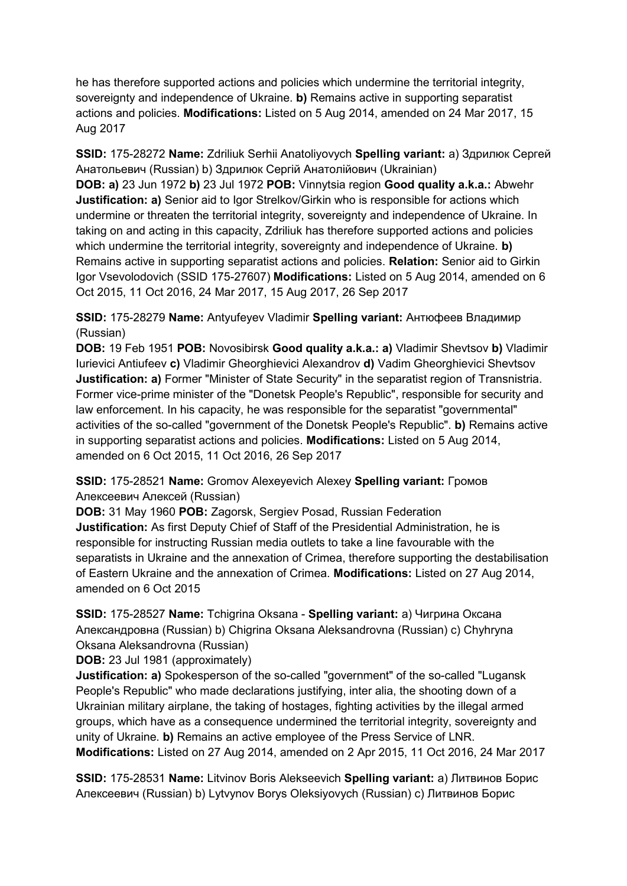he has therefore supported actions and policies which undermine the territorial integrity, sovereignty and independence of Ukraine. **b)** Remains active in supporting separatist actions and policies. **Modifications:** Listed on 5 Aug 2014, amended on 24 Mar 2017, 15 Aug 2017

**SSID:** 175-28272 **Name:** Zdriliuk Serhii Anatoliyovych **Spelling variant:** a) Здрилюк Сергей Анатольевич (Russian) b) Здрилюк Сергій Анатолійович (Ukrainian) **DOB: a)** 23 Jun 1972 **b)** 23 Jul 1972 **POB:** Vinnytsia region **Good quality a.k.a.:** Abwehr **Justification: a)** Senior aid to Igor Strelkov/Girkin who is responsible for actions which undermine or threaten the territorial integrity, sovereignty and independence of Ukraine. In taking on and acting in this capacity, Zdriliuk has therefore supported actions and policies which undermine the territorial integrity, sovereignty and independence of Ukraine. **b)**  Remains active in supporting separatist actions and policies. **Relation:** Senior aid to Girkin Igor Vsevolodovich (SSID 175-27607) **Modifications:** Listed on 5 Aug 2014, amended on 6 Oct 2015, 11 Oct 2016, 24 Mar 2017, 15 Aug 2017, 26 Sep 2017

**SSID:** 175-28279 **Name:** Antyufeyev Vladimir **Spelling variant:** Антюфеев Владимир (Russian)

**DOB:** 19 Feb 1951 **POB:** Novosibirsk **Good quality a.k.a.: a)** Vladimir Shevtsov **b)** Vladimir Iurievici Antiufeev **c)** Vladimir Gheorghievici Alexandrov **d)** Vadim Gheorghievici Shevtsov **Justification: a)** Former "Minister of State Security" in the separatist region of Transnistria. Former vice-prime minister of the "Donetsk People's Republic", responsible for security and law enforcement. In his capacity, he was responsible for the separatist "governmental" activities of the so-called "government of the Donetsk People's Republic". **b)** Remains active in supporting separatist actions and policies. **Modifications:** Listed on 5 Aug 2014, amended on 6 Oct 2015, 11 Oct 2016, 26 Sep 2017

## **SSID:** 175-28521 **Name:** Gromov Alexeyevich Alexey **Spelling variant:** Громов Алексеевич Алексей (Russian)

**DOB:** 31 May 1960 **POB:** Zagorsk, Sergiev Posad, Russian Federation **Justification:** As first Deputy Chief of Staff of the Presidential Administration, he is responsible for instructing Russian media outlets to take a line favourable with the separatists in Ukraine and the annexation of Crimea, therefore supporting the destabilisation of Eastern Ukraine and the annexation of Crimea. **Modifications:** Listed on 27 Aug 2014, amended on 6 Oct 2015

**SSID:** 175-28527 **Name:** Tchigrina Oksana - **Spelling variant:** a) Чигрина Оксана Александровна (Russian) b) Chigrina Oksana Aleksandrovna (Russian) c) Chyhryna Oksana Aleksandrovna (Russian)

**DOB:** 23 Jul 1981 (approximately)

**Justification: a)** Spokesperson of the so-called "government" of the so-called "Lugansk People's Republic" who made declarations justifying, inter alia, the shooting down of a Ukrainian military airplane, the taking of hostages, fighting activities by the illegal armed groups, which have as a consequence undermined the territorial integrity, sovereignty and unity of Ukraine. **b)** Remains an active employee of the Press Service of LNR. **Modifications:** Listed on 27 Aug 2014, amended on 2 Apr 2015, 11 Oct 2016, 24 Mar 2017

**SSID:** 175-28531 **Name:** Litvinov Boris Alekseevich **Spelling variant:** a) Литвинов Борис Алексеевич (Russian) b) Lytvynov Borys Oleksiyovych (Russian) c) Литвинов Борис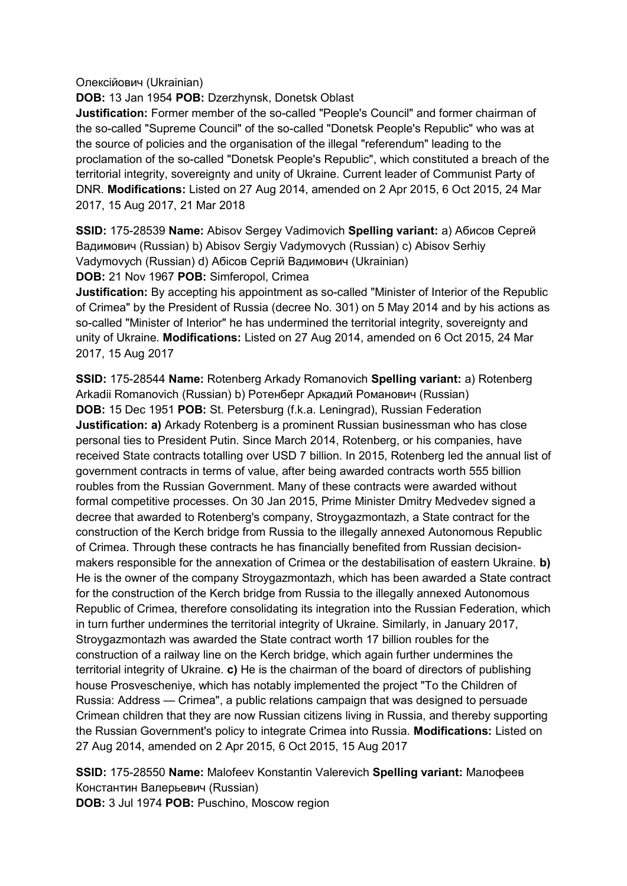Олексійович (Ukrainian)

**DOB:** 13 Jan 1954 **POB:** Dzerzhynsk, Donetsk Oblast

**Justification:** Former member of the so-called "People's Council" and former chairman of the so-called "Supreme Council" of the so-called "Donetsk People's Republic" who was at the source of policies and the organisation of the illegal "referendum" leading to the proclamation of the so-called "Donetsk People's Republic", which constituted a breach of the territorial integrity, sovereignty and unity of Ukraine. Current leader of Communist Party of DNR. **Modifications:** Listed on 27 Aug 2014, amended on 2 Apr 2015, 6 Oct 2015, 24 Mar 2017, 15 Aug 2017, 21 Mar 2018

**SSID:** 175-28539 **Name:** Abisov Sergey Vadimovich **Spelling variant:** a) Абисов Сергей Вадимович (Russian) b) Abisov Sergiy Vadymovych (Russian) c) Abisov Serhiy Vadymovych (Russian) d) Абiсов Сергій Вадимович (Ukrainian)

**DOB:** 21 Nov 1967 **POB:** Simferopol, Crimea

**Justification:** By accepting his appointment as so-called "Minister of Interior of the Republic of Crimea" by the President of Russia (decree No. 301) on 5 May 2014 and by his actions as so-called "Minister of Interior" he has undermined the territorial integrity, sovereignty and unity of Ukraine. **Modifications:** Listed on 27 Aug 2014, amended on 6 Oct 2015, 24 Mar 2017, 15 Aug 2017

**SSID:** 175-28544 **Name:** Rotenberg Arkady Romanovich **Spelling variant:** a) Rotenberg Arkadii Romanovich (Russian) b) Ротенберг Аркадий Романович (Russian) **DOB:** 15 Dec 1951 **POB:** St. Petersburg (f.k.a. Leningrad), Russian Federation **Justification: a)** Arkady Rotenberg is a prominent Russian businessman who has close personal ties to President Putin. Since March 2014, Rotenberg, or his companies, have received State contracts totalling over USD 7 billion. In 2015, Rotenberg led the annual list of government contracts in terms of value, after being awarded contracts worth 555 billion roubles from the Russian Government. Many of these contracts were awarded without formal competitive processes. On 30 Jan 2015, Prime Minister Dmitry Medvedev signed a decree that awarded to Rotenberg's company, Stroygazmontazh, a State contract for the construction of the Kerch bridge from Russia to the illegally annexed Autonomous Republic of Crimea. Through these contracts he has financially benefited from Russian decisionmakers responsible for the annexation of Crimea or the destabilisation of eastern Ukraine. **b)**  He is the owner of the company Stroygazmontazh, which has been awarded a State contract for the construction of the Kerch bridge from Russia to the illegally annexed Autonomous Republic of Crimea, therefore consolidating its integration into the Russian Federation, which in turn further undermines the territorial integrity of Ukraine. Similarly, in January 2017, Stroygazmontazh was awarded the State contract worth 17 billion roubles for the construction of a railway line on the Kerch bridge, which again further undermines the territorial integrity of Ukraine. **c)** He is the chairman of the board of directors of publishing house Prosvescheniye, which has notably implemented the project "To the Children of Russia: Address — Crimea", a public relations campaign that was designed to persuade Crimean children that they are now Russian citizens living in Russia, and thereby supporting the Russian Government's policy to integrate Crimea into Russia. **Modifications:** Listed on 27 Aug 2014, amended on 2 Apr 2015, 6 Oct 2015, 15 Aug 2017

**SSID:** 175-28550 **Name:** Malofeev Konstantin Valerevich **Spelling variant:** Малофеев Константин Валерьевич (Russian) **DOB:** 3 Jul 1974 **POB:** Puschino, Moscow region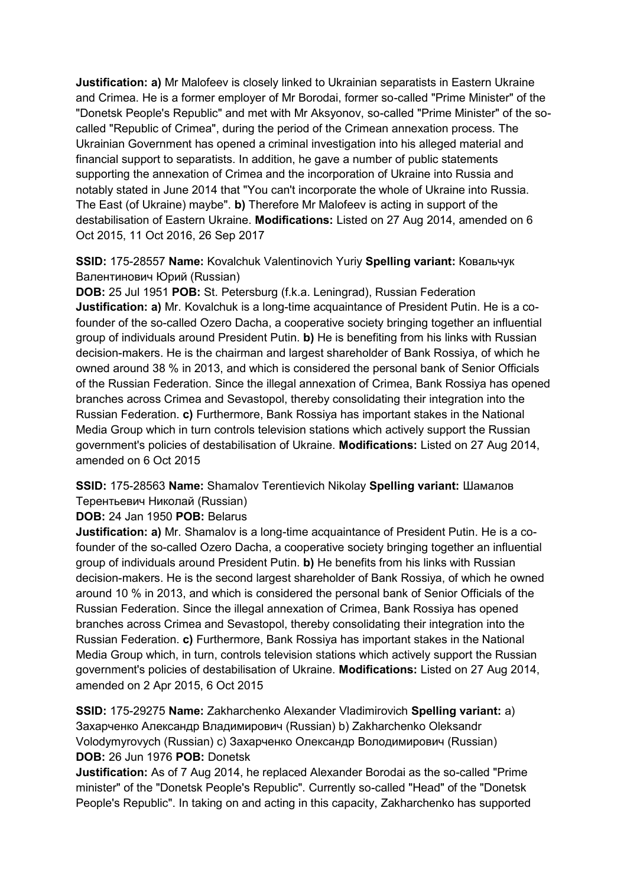**Justification: a)** Mr Malofeev is closely linked to Ukrainian separatists in Eastern Ukraine and Crimea. He is a former employer of Mr Borodai, former so-called "Prime Minister" of the "Donetsk People's Republic" and met with Mr Aksyonov, so-called "Prime Minister" of the socalled "Republic of Crimea", during the period of the Crimean annexation process. The Ukrainian Government has opened a criminal investigation into his alleged material and financial support to separatists. In addition, he gave a number of public statements supporting the annexation of Crimea and the incorporation of Ukraine into Russia and notably stated in June 2014 that "You can't incorporate the whole of Ukraine into Russia. The East (of Ukraine) maybe". **b)** Therefore Mr Malofeev is acting in support of the destabilisation of Eastern Ukraine. **Modifications:** Listed on 27 Aug 2014, amended on 6 Oct 2015, 11 Oct 2016, 26 Sep 2017

**SSID:** 175-28557 **Name:** Kovalchuk Valentinovich Yuriy **Spelling variant:** Ковальчук Валентинович Юрий (Russian)

**DOB:** 25 Jul 1951 **POB:** St. Petersburg (f.k.a. Leningrad), Russian Federation **Justification: a)** Mr. Kovalchuk is a long-time acquaintance of President Putin. He is a cofounder of the so-called Ozero Dacha, a cooperative society bringing together an influential group of individuals around President Putin. **b)** He is benefiting from his links with Russian decision-makers. He is the chairman and largest shareholder of Bank Rossiya, of which he owned around 38 % in 2013, and which is considered the personal bank of Senior Officials of the Russian Federation. Since the illegal annexation of Crimea, Bank Rossiya has opened branches across Crimea and Sevastopol, thereby consolidating their integration into the Russian Federation. **c)** Furthermore, Bank Rossiya has important stakes in the National Media Group which in turn controls television stations which actively support the Russian government's policies of destabilisation of Ukraine. **Modifications:** Listed on 27 Aug 2014, amended on 6 Oct 2015

**SSID:** 175-28563 **Name:** Shamalov Terentievich Nikolay **Spelling variant:** Шамалов Терентьевич Николай (Russian)

**DOB:** 24 Jan 1950 **POB:** Belarus

**Justification: a)** Mr. Shamalov is a long-time acquaintance of President Putin. He is a cofounder of the so-called Ozero Dacha, a cooperative society bringing together an influential group of individuals around President Putin. **b)** He benefits from his links with Russian decision-makers. He is the second largest shareholder of Bank Rossiya, of which he owned around 10 % in 2013, and which is considered the personal bank of Senior Officials of the Russian Federation. Since the illegal annexation of Crimea, Bank Rossiya has opened branches across Crimea and Sevastopol, thereby consolidating their integration into the Russian Federation. **c)** Furthermore, Bank Rossiya has important stakes in the National Media Group which, in turn, controls television stations which actively support the Russian government's policies of destabilisation of Ukraine. **Modifications:** Listed on 27 Aug 2014, amended on 2 Apr 2015, 6 Oct 2015

**SSID:** 175-29275 **Name:** Zakharchenko Alexander Vladimirovich **Spelling variant:** a) Захарченко Александр Владимирович (Russian) b) Zakharchenko Oleksandr Volodymyrovych (Russian) c) Захарченко Олександр Володимирович (Russian) **DOB:** 26 Jun 1976 **POB:** Donetsk

**Justification:** As of 7 Aug 2014, he replaced Alexander Borodai as the so-called "Prime minister" of the "Donetsk People's Republic". Currently so-called "Head" of the "Donetsk People's Republic". In taking on and acting in this capacity, Zakharchenko has supported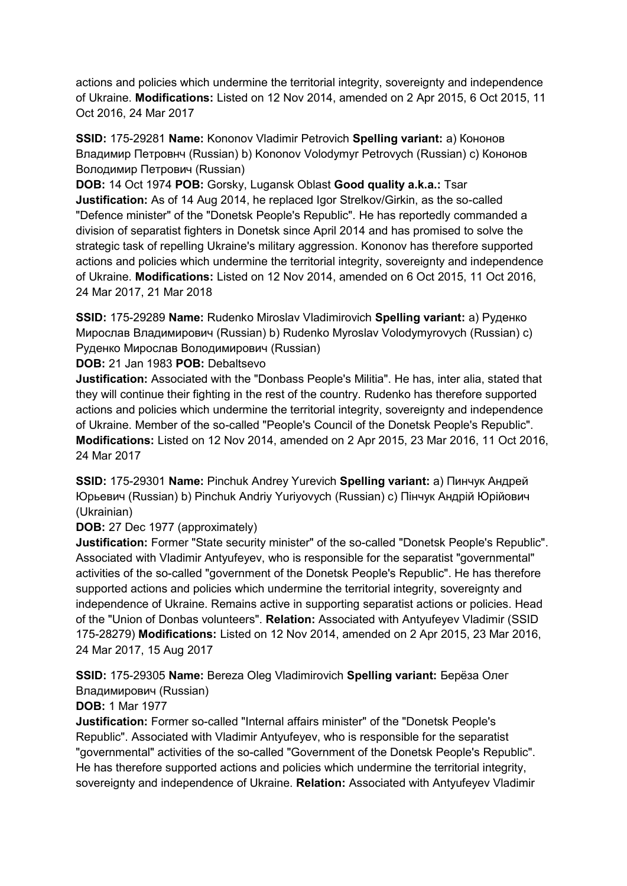actions and policies which undermine the territorial integrity, sovereignty and independence of Ukraine. **Modifications:** Listed on 12 Nov 2014, amended on 2 Apr 2015, 6 Oct 2015, 11 Oct 2016, 24 Mar 2017

**SSID:** 175-29281 **Name:** Kononov Vladimir Petrovich **Spelling variant:** a) Кононов Владимир Петровнч (Russian) b) Kononov Volodymyr Petrovych (Russian) c) Кононов Володимир Петрович (Russian)

**DOB:** 14 Oct 1974 **POB:** Gorsky, Lugansk Oblast **Good quality a.k.a.:** Tsar **Justification:** As of 14 Aug 2014, he replaced Igor Strelkov/Girkin, as the so-called "Defence minister" of the "Donetsk People's Republic". He has reportedly commanded a division of separatist fighters in Donetsk since April 2014 and has promised to solve the strategic task of repelling Ukraine's military aggression. Kononov has therefore supported actions and policies which undermine the territorial integrity, sovereignty and independence of Ukraine. **Modifications:** Listed on 12 Nov 2014, amended on 6 Oct 2015, 11 Oct 2016, 24 Mar 2017, 21 Mar 2018

**SSID:** 175-29289 **Name:** Rudenko Miroslav Vladimirovich **Spelling variant:** a) Руденко Мирослав Владимирович (Russian) b) Rudenko Myroslav Volodymyrovych (Russian) c) Руденко Мирослав Володимирович (Russian)

**DOB:** 21 Jan 1983 **POB:** Debaltsevo

**Justification:** Associated with the "Donbass People's Militia". He has, inter alia, stated that they will continue their fighting in the rest of the country. Rudenko has therefore supported actions and policies which undermine the territorial integrity, sovereignty and independence of Ukraine. Member of the so-called "People's Council of the Donetsk People's Republic". **Modifications:** Listed on 12 Nov 2014, amended on 2 Apr 2015, 23 Mar 2016, 11 Oct 2016, 24 Mar 2017

**SSID:** 175-29301 **Name:** Pinchuk Andrey Yurevich **Spelling variant:** a) Пинчук Андрей Юрьевич (Russian) b) Pinchuk Andriy Yuriyovych (Russian) c) Пiнчук Андрій Юрійович (Ukrainian)

**DOB:** 27 Dec 1977 (approximately)

**Justification:** Former "State security minister" of the so-called "Donetsk People's Republic". Associated with Vladimir Antyufeyev, who is responsible for the separatist "governmental" activities of the so-called "government of the Donetsk People's Republic". He has therefore supported actions and policies which undermine the territorial integrity, sovereignty and independence of Ukraine. Remains active in supporting separatist actions or policies. Head of the "Union of Donbas volunteers". **Relation:** Associated with Antyufeyev Vladimir (SSID 175-28279) **Modifications:** Listed on 12 Nov 2014, amended on 2 Apr 2015, 23 Mar 2016, 24 Mar 2017, 15 Aug 2017

**SSID:** 175-29305 **Name:** Bereza Oleg Vladimirovich **Spelling variant:** Берëза Олег Владимирович (Russian)

## **DOB:** 1 Mar 1977

**Justification:** Former so-called "Internal affairs minister" of the "Donetsk People's Republic". Associated with Vladimir Antyufeyev, who is responsible for the separatist "governmental" activities of the so-called "Government of the Donetsk People's Republic". He has therefore supported actions and policies which undermine the territorial integrity, sovereignty and independence of Ukraine. **Relation:** Associated with Antyufeyev Vladimir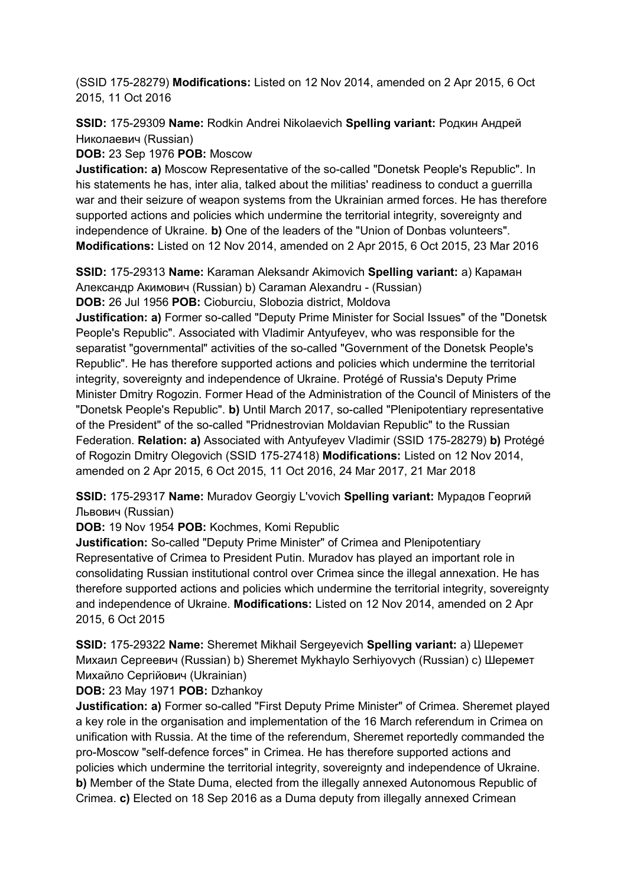(SSID 175-28279) **Modifications:** Listed on 12 Nov 2014, amended on 2 Apr 2015, 6 Oct 2015, 11 Oct 2016

**SSID:** 175-29309 **Name:** Rodkin Andrei Nikolaevich **Spelling variant:** Родкин Андрей Николаевич (Russian)

**DOB:** 23 Sep 1976 **POB:** Moscow

**Justification: a)** Moscow Representative of the so-called "Donetsk People's Republic". In his statements he has, inter alia, talked about the militias' readiness to conduct a guerrilla war and their seizure of weapon systems from the Ukrainian armed forces. He has therefore supported actions and policies which undermine the territorial integrity, sovereignty and independence of Ukraine. **b)** One of the leaders of the "Union of Donbas volunteers". **Modifications:** Listed on 12 Nov 2014, amended on 2 Apr 2015, 6 Oct 2015, 23 Mar 2016

**SSID:** 175-29313 **Name:** Karaman Aleksandr Akimovich **Spelling variant:** a) Караман Александр Акимович (Russian) b) Caraman Alexandru - (Russian)

**DOB:** 26 Jul 1956 **POB:** Cioburciu, Slobozia district, Moldova

**Justification: a)** Former so-called "Deputy Prime Minister for Social Issues" of the "Donetsk People's Republic". Associated with Vladimir Antyufeyev, who was responsible for the separatist "governmental" activities of the so-called "Government of the Donetsk People's Republic". He has therefore supported actions and policies which undermine the territorial integrity, sovereignty and independence of Ukraine. Protégé of Russia's Deputy Prime Minister Dmitry Rogozin. Former Head of the Administration of the Council of Ministers of the "Donetsk People's Republic". **b)** Until March 2017, so-called "Plenipotentiary representative of the President" of the so-called "Pridnestrovian Moldavian Republic" to the Russian Federation. **Relation: a)** Associated with Antyufeyev Vladimir (SSID 175-28279) **b)** Protégé of Rogozin Dmitry Olegovich (SSID 175-27418) **Modifications:** Listed on 12 Nov 2014, amended on 2 Apr 2015, 6 Oct 2015, 11 Oct 2016, 24 Mar 2017, 21 Mar 2018

**SSID:** 175-29317 **Name:** Muradov Georgiy L'vovich **Spelling variant:** Мурадов Георгий Львович (Russian)

**DOB:** 19 Nov 1954 **POB:** Kochmes, Komi Republic

**Justification:** So-called "Deputy Prime Minister" of Crimea and Plenipotentiary Representative of Crimea to President Putin. Muradov has played an important role in consolidating Russian institutional control over Crimea since the illegal annexation. He has therefore supported actions and policies which undermine the territorial integrity, sovereignty and independence of Ukraine. **Modifications:** Listed on 12 Nov 2014, amended on 2 Apr 2015, 6 Oct 2015

**SSID:** 175-29322 **Name:** Sheremet Mikhail Sergeyevich **Spelling variant:** a) Шеремет Михаил Сергеевич (Russian) b) Sheremet Mykhaylo Serhiyovych (Russian) c) Шеремет Михайло Сергійович (Ukrainian)

**DOB:** 23 May 1971 **POB:** Dzhankoy

**Justification: a)** Former so-called "First Deputy Prime Minister" of Crimea. Sheremet played a key role in the organisation and implementation of the 16 March referendum in Crimea on unification with Russia. At the time of the referendum, Sheremet reportedly commanded the pro-Moscow "self-defence forces" in Crimea. He has therefore supported actions and policies which undermine the territorial integrity, sovereignty and independence of Ukraine. **b)** Member of the State Duma, elected from the illegally annexed Autonomous Republic of Crimea. **c)** Elected on 18 Sep 2016 as a Duma deputy from illegally annexed Crimean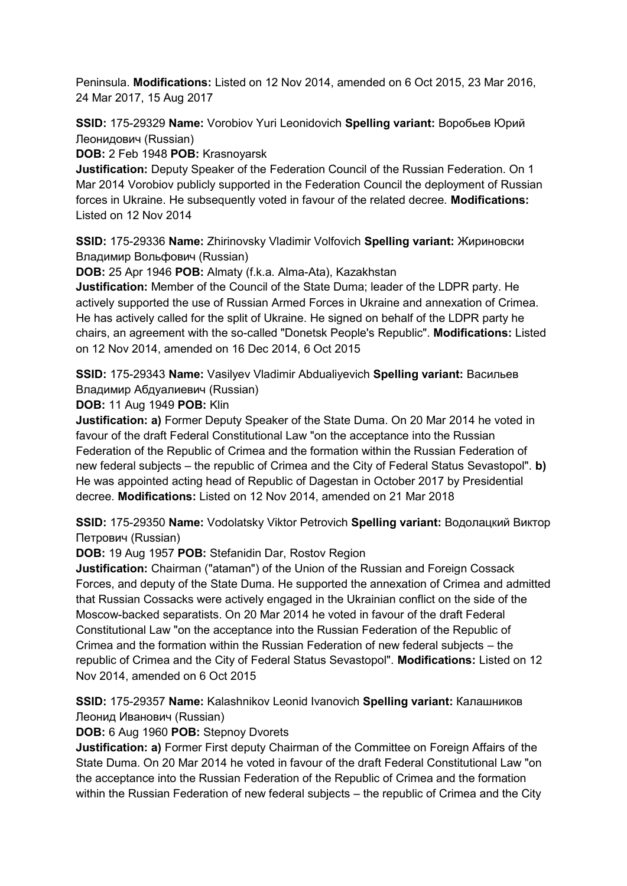Peninsula. **Modifications:** Listed on 12 Nov 2014, amended on 6 Oct 2015, 23 Mar 2016, 24 Mar 2017, 15 Aug 2017

**SSID:** 175-29329 **Name:** Vorobiov Yuri Leonidovich **Spelling variant:** Воробьев Юрий Леонидович (Russian)

**DOB:** 2 Feb 1948 **POB:** Krasnoyarsk

**Justification:** Deputy Speaker of the Federation Council of the Russian Federation. On 1 Mar 2014 Vorobiov publicly supported in the Federation Council the deployment of Russian forces in Ukraine. He subsequently voted in favour of the related decree. **Modifications:**  Listed on 12 Nov 2014

**SSID:** 175-29336 **Name:** Zhirinovsky Vladimir Volfovich **Spelling variant:** Жириновски Владимир Вольфович (Russian)

**DOB:** 25 Apr 1946 **POB:** Almaty (f.k.a. Alma-Ata), Kazakhstan

**Justification:** Member of the Council of the State Duma; leader of the LDPR party. He actively supported the use of Russian Armed Forces in Ukraine and annexation of Crimea. He has actively called for the split of Ukraine. He signed on behalf of the LDPR party he chairs, an agreement with the so-called "Donetsk People's Republic". **Modifications:** Listed on 12 Nov 2014, amended on 16 Dec 2014, 6 Oct 2015

**SSID:** 175-29343 **Name:** Vasilyev Vladimir Abdualiyevich **Spelling variant:** Васильев Владимир Абдуалиевич (Russian)

**DOB:** 11 Aug 1949 **POB:** Klin

**Justification: a)** Former Deputy Speaker of the State Duma. On 20 Mar 2014 he voted in favour of the draft Federal Constitutional Law "on the acceptance into the Russian Federation of the Republic of Crimea and the formation within the Russian Federation of new federal subjects – the republic of Crimea and the City of Federal Status Sevastopol". **b)**  He was appointed acting head of Republic of Dagestan in October 2017 by Presidential decree. **Modifications:** Listed on 12 Nov 2014, amended on 21 Mar 2018

**SSID:** 175-29350 **Name:** Vodolatsky Viktor Petrovich **Spelling variant:** Водолацкий Виктор Петрович (Russian)

**DOB:** 19 Aug 1957 **POB:** Stefanidin Dar, Rostov Region

**Justification:** Chairman ("ataman") of the Union of the Russian and Foreign Cossack Forces, and deputy of the State Duma. He supported the annexation of Crimea and admitted that Russian Cossacks were actively engaged in the Ukrainian conflict on the side of the Moscow-backed separatists. On 20 Mar 2014 he voted in favour of the draft Federal Constitutional Law "on the acceptance into the Russian Federation of the Republic of Crimea and the formation within the Russian Federation of new federal subjects – the republic of Crimea and the City of Federal Status Sevastopol". **Modifications:** Listed on 12 Nov 2014, amended on 6 Oct 2015

**SSID:** 175-29357 **Name:** Kalashnikov Leonid Ivanovich **Spelling variant:** Калашников Леонид Иванович (Russian)

**DOB:** 6 Aug 1960 **POB:** Stepnoy Dvorets

**Justification: a)** Former First deputy Chairman of the Committee on Foreign Affairs of the State Duma. On 20 Mar 2014 he voted in favour of the draft Federal Constitutional Law "on the acceptance into the Russian Federation of the Republic of Crimea and the formation within the Russian Federation of new federal subjects – the republic of Crimea and the City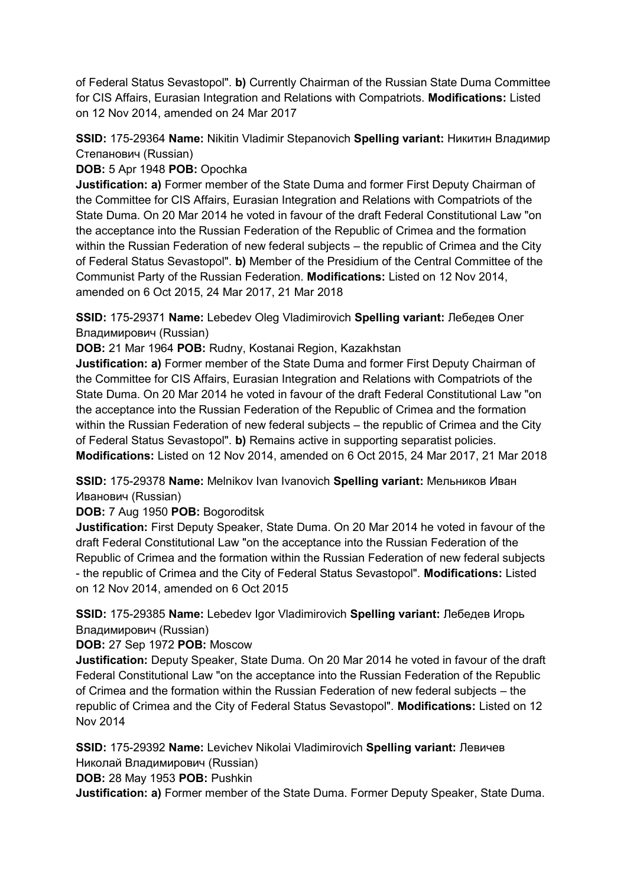of Federal Status Sevastopol". **b)** Currently Chairman of the Russian State Duma Committee for CIS Affairs, Eurasian Integration and Relations with Compatriots. **Modifications:** Listed on 12 Nov 2014, amended on 24 Mar 2017

**SSID:** 175-29364 **Name:** Nikitin Vladimir Stepanovich **Spelling variant:** Никитин Владимир Степанович (Russian)

**DOB:** 5 Apr 1948 **POB:** Opochka

**Justification: a)** Former member of the State Duma and former First Deputy Chairman of the Committee for CIS Affairs, Eurasian Integration and Relations with Compatriots of the State Duma. On 20 Mar 2014 he voted in favour of the draft Federal Constitutional Law "on the acceptance into the Russian Federation of the Republic of Crimea and the formation within the Russian Federation of new federal subjects – the republic of Crimea and the City of Federal Status Sevastopol". **b)** Member of the Presidium of the Central Committee of the Communist Party of the Russian Federation. **Modifications:** Listed on 12 Nov 2014, amended on 6 Oct 2015, 24 Mar 2017, 21 Mar 2018

**SSID:** 175-29371 **Name:** Lebedev Oleg Vladimirovich **Spelling variant:** Лебедев Олег Владимирович (Russian)

**DOB:** 21 Mar 1964 **POB:** Rudny, Kostanai Region, Kazakhstan

**Justification: a)** Former member of the State Duma and former First Deputy Chairman of the Committee for CIS Affairs, Eurasian Integration and Relations with Compatriots of the State Duma. On 20 Mar 2014 he voted in favour of the draft Federal Constitutional Law "on the acceptance into the Russian Federation of the Republic of Crimea and the formation within the Russian Federation of new federal subjects – the republic of Crimea and the City of Federal Status Sevastopol". **b)** Remains active in supporting separatist policies. **Modifications:** Listed on 12 Nov 2014, amended on 6 Oct 2015, 24 Mar 2017, 21 Mar 2018

**SSID:** 175-29378 **Name:** Melnikov Ivan Ivanovich **Spelling variant:** Мельников Иван Иванович (Russian)

**DOB:** 7 Aug 1950 **POB:** Bogoroditsk

**Justification:** First Deputy Speaker, State Duma. On 20 Mar 2014 he voted in favour of the draft Federal Constitutional Law "on the acceptance into the Russian Federation of the Republic of Crimea and the formation within the Russian Federation of new federal subjects - the republic of Crimea and the City of Federal Status Sevastopol". **Modifications:** Listed on 12 Nov 2014, amended on 6 Oct 2015

**SSID:** 175-29385 **Name:** Lebedev Igor Vladimirovich **Spelling variant:** Лебедев Игорь Владимирович (Russian)

**DOB:** 27 Sep 1972 **POB:** Moscow

**Justification:** Deputy Speaker, State Duma. On 20 Mar 2014 he voted in favour of the draft Federal Constitutional Law "on the acceptance into the Russian Federation of the Republic of Crimea and the formation within the Russian Federation of new federal subjects – the republic of Crimea and the City of Federal Status Sevastopol". **Modifications:** Listed on 12 Nov 2014

**SSID:** 175-29392 **Name:** Levichev Nikolai Vladimirovich **Spelling variant:** Левичев Николай Владимирович (Russian)

**DOB:** 28 May 1953 **POB:** Pushkin

**Justification: a)** Former member of the State Duma. Former Deputy Speaker, State Duma.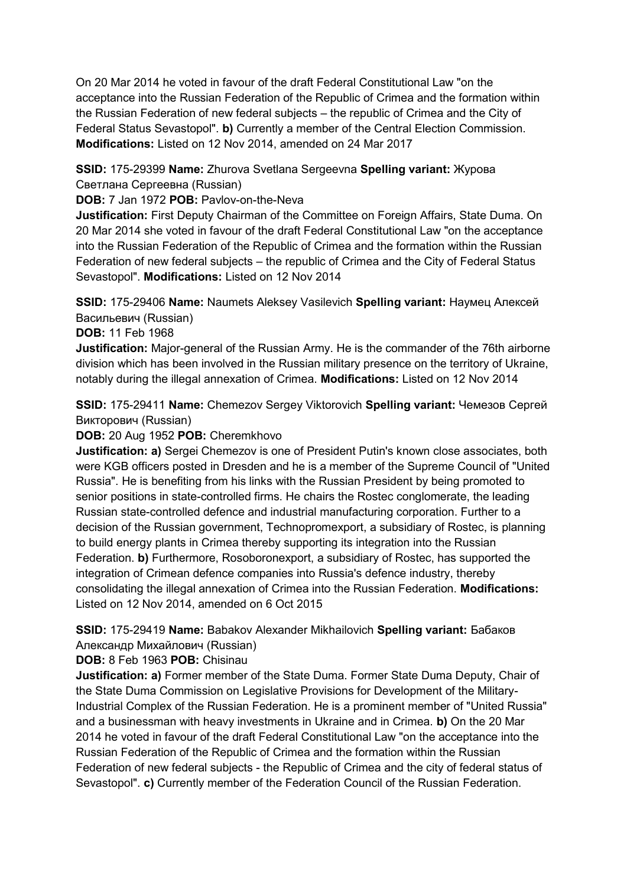On 20 Mar 2014 he voted in favour of the draft Federal Constitutional Law "on the acceptance into the Russian Federation of the Republic of Crimea and the formation within the Russian Federation of new federal subjects – the republic of Crimea and the City of Federal Status Sevastopol". **b)** Currently a member of the Central Election Commission. **Modifications:** Listed on 12 Nov 2014, amended on 24 Mar 2017

**SSID:** 175-29399 **Name:** Zhurova Svetlana Sergeevna **Spelling variant:** Журова Светлана Сергеевна (Russian)

**DOB:** 7 Jan 1972 **POB:** Pavlov-on-the-Neva

**Justification:** First Deputy Chairman of the Committee on Foreign Affairs, State Duma. On 20 Mar 2014 she voted in favour of the draft Federal Constitutional Law "on the acceptance into the Russian Federation of the Republic of Crimea and the formation within the Russian Federation of new federal subjects – the republic of Crimea and the City of Federal Status Sevastopol". **Modifications:** Listed on 12 Nov 2014

**SSID:** 175-29406 **Name:** Naumets Aleksey Vasilevich **Spelling variant:** Hаумец Алексей Васильевич (Russian)

**DOB:** 11 Feb 1968

**Justification:** Major-general of the Russian Army. He is the commander of the 76th airborne division which has been involved in the Russian military presence on the territory of Ukraine, notably during the illegal annexation of Crimea. **Modifications:** Listed on 12 Nov 2014

**SSID:** 175-29411 **Name:** Chemezov Sergey Viktorovich **Spelling variant:** Чемезов Сергей Викторович (Russian)

**DOB:** 20 Aug 1952 **POB:** Cheremkhovo

**Justification: a)** Sergei Chemezov is one of President Putin's known close associates, both were KGB officers posted in Dresden and he is a member of the Supreme Council of "United Russia". He is benefiting from his links with the Russian President by being promoted to senior positions in state-controlled firms. He chairs the Rostec conglomerate, the leading Russian state-controlled defence and industrial manufacturing corporation. Further to a decision of the Russian government, Technopromexport, a subsidiary of Rostec, is planning to build energy plants in Crimea thereby supporting its integration into the Russian Federation. **b)** Furthermore, Rosoboronexport, a subsidiary of Rostec, has supported the integration of Crimean defence companies into Russia's defence industry, thereby consolidating the illegal annexation of Crimea into the Russian Federation. **Modifications:**  Listed on 12 Nov 2014, amended on 6 Oct 2015

**SSID:** 175-29419 **Name:** Babakov Alexander Mikhailovich **Spelling variant:** Бабаков Aлександр Михайлович (Russian)

**DOB:** 8 Feb 1963 **POB:** Chisinau

**Justification: a)** Former member of the State Duma. Former State Duma Deputy, Chair of the State Duma Commission on Legislative Provisions for Development of the Military-Industrial Complex of the Russian Federation. He is a prominent member of "United Russia" and a businessman with heavy investments in Ukraine and in Crimea. **b)** On the 20 Mar 2014 he voted in favour of the draft Federal Constitutional Law "on the acceptance into the Russian Federation of the Republic of Crimea and the formation within the Russian Federation of new federal subjects - the Republic of Crimea and the city of federal status of Sevastopol". **c)** Currently member of the Federation Council of the Russian Federation.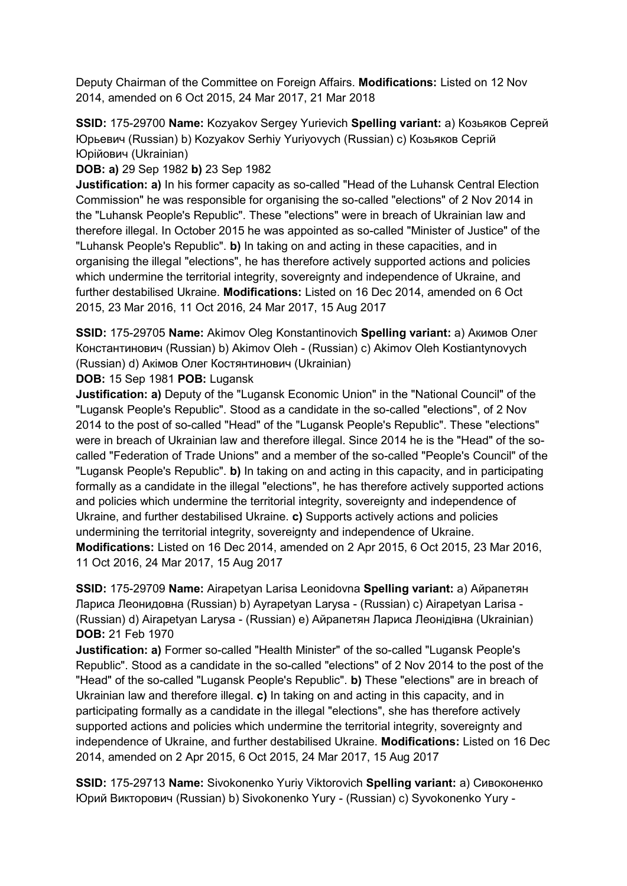Deputy Chairman of the Committee on Foreign Affairs. **Modifications:** Listed on 12 Nov 2014, amended on 6 Oct 2015, 24 Mar 2017, 21 Mar 2018

**SSID:** 175-29700 **Name:** Kozyakov Sergey Yurievich **Spelling variant:** a) Козьяков Сергей Юрьевич (Russian) b) Kozyakov Serhiy Yuriyovych (Russian) c) Козьяков Сергій Юрійович (Ukrainian)

**DOB: a)** 29 Sep 1982 **b)** 23 Sep 1982

**Justification: a)** In his former capacity as so-called "Head of the Luhansk Central Election Commission" he was responsible for organising the so-called "elections" of 2 Nov 2014 in the "Luhansk People's Republic". These "elections" were in breach of Ukrainian law and therefore illegal. In October 2015 he was appointed as so-called "Minister of Justice" of the "Luhansk People's Republic". **b)** In taking on and acting in these capacities, and in organising the illegal "elections", he has therefore actively supported actions and policies which undermine the territorial integrity, sovereignty and independence of Ukraine, and further destabilised Ukraine. **Modifications:** Listed on 16 Dec 2014, amended on 6 Oct 2015, 23 Mar 2016, 11 Oct 2016, 24 Mar 2017, 15 Aug 2017

**SSID:** 175-29705 **Name:** Akimov Oleg Konstantinovich **Spelling variant:** a) Акимов Олег Константинович (Russian) b) Akimov Oleh - (Russian) c) Akimov Oleh Kostiantynovych (Russian) d) Акiмов Олег Костянтинович (Ukrainian)

**DOB:** 15 Sep 1981 **POB:** Lugansk

**Justification: a)** Deputy of the "Lugansk Economic Union" in the "National Council" of the "Lugansk People's Republic". Stood as a candidate in the so-called "elections", of 2 Nov 2014 to the post of so-called "Head" of the "Lugansk People's Republic". These "elections" were in breach of Ukrainian law and therefore illegal. Since 2014 he is the "Head" of the socalled "Federation of Trade Unions" and a member of the so-called "People's Council" of the "Lugansk People's Republic". **b)** In taking on and acting in this capacity, and in participating formally as a candidate in the illegal "elections", he has therefore actively supported actions and policies which undermine the territorial integrity, sovereignty and independence of Ukraine, and further destabilised Ukraine. **c)** Supports actively actions and policies undermining the territorial integrity, sovereignty and independence of Ukraine. **Modifications:** Listed on 16 Dec 2014, amended on 2 Apr 2015, 6 Oct 2015, 23 Mar 2016, 11 Oct 2016, 24 Mar 2017, 15 Aug 2017

**SSID:** 175-29709 **Name:** Airapetyan Larisa Leonidovna **Spelling variant:** a) Айрапетян Лариса Леонидовна (Russian) b) Ayrapetyan Larysa - (Russian) c) Airapetyan Larisa - (Russian) d) Airapetyan Larysa - (Russian) e) Айрапетян Лариса Леонідівна (Ukrainian) **DOB:** 21 Feb 1970

**Justification: a)** Former so-called "Health Minister" of the so-called "Lugansk People's Republic". Stood as a candidate in the so-called "elections" of 2 Nov 2014 to the post of the "Head" of the so-called "Lugansk People's Republic". **b)** These "elections" are in breach of Ukrainian law and therefore illegal. **c)** In taking on and acting in this capacity, and in participating formally as a candidate in the illegal "elections", she has therefore actively supported actions and policies which undermine the territorial integrity, sovereignty and independence of Ukraine, and further destabilised Ukraine. **Modifications:** Listed on 16 Dec 2014, amended on 2 Apr 2015, 6 Oct 2015, 24 Mar 2017, 15 Aug 2017

**SSID:** 175-29713 **Name:** Sivokonenko Yuriy Viktorovich **Spelling variant:** a) Сивоконенко Юрий Викторович (Russian) b) Sivokonenko Yury - (Russian) c) Syvokonenko Yury -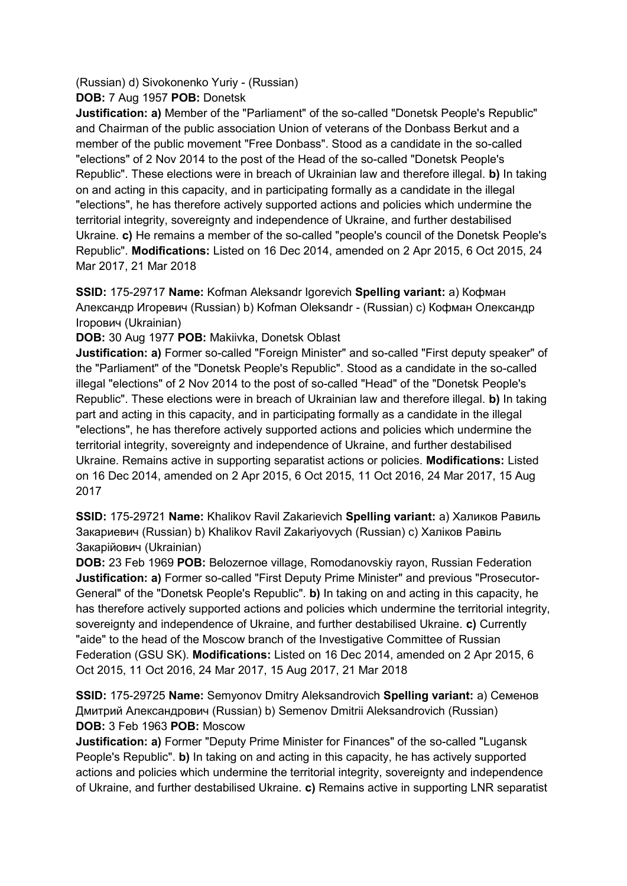(Russian) d) Sivokonenko Yuriy - (Russian) **DOB:** 7 Aug 1957 **POB:** Donetsk

**Justification: a)** Member of the "Parliament" of the so-called "Donetsk People's Republic" and Chairman of the public association Union of veterans of the Donbass Berkut and a member of the public movement "Free Donbass". Stood as a candidate in the so-called "elections" of 2 Nov 2014 to the post of the Head of the so-called "Donetsk People's Republic". These elections were in breach of Ukrainian law and therefore illegal. **b)** In taking on and acting in this capacity, and in participating formally as a candidate in the illegal "elections", he has therefore actively supported actions and policies which undermine the territorial integrity, sovereignty and independence of Ukraine, and further destabilised Ukraine. **c)** He remains a member of the so-called "people's council of the Donetsk People's Republic". **Modifications:** Listed on 16 Dec 2014, amended on 2 Apr 2015, 6 Oct 2015, 24 Mar 2017, 21 Mar 2018

**SSID:** 175-29717 **Name:** Kofman Aleksandr Igorevich **Spelling variant:** a) Кофман Александр Игоревич (Russian) b) Kofman Oleksandr - (Russian) c) Кофман Олександр Iгорович (Ukrainian)

**DOB:** 30 Aug 1977 **POB:** Makiivka, Donetsk Oblast

**Justification: a)** Former so-called "Foreign Minister" and so-called "First deputy speaker" of the "Parliament" of the "Donetsk People's Republic". Stood as a candidate in the so-called illegal "elections" of 2 Nov 2014 to the post of so-called "Head" of the "Donetsk People's Republic". These elections were in breach of Ukrainian law and therefore illegal. **b)** In taking part and acting in this capacity, and in participating formally as a candidate in the illegal "elections", he has therefore actively supported actions and policies which undermine the territorial integrity, sovereignty and independence of Ukraine, and further destabilised Ukraine. Remains active in supporting separatist actions or policies. **Modifications:** Listed on 16 Dec 2014, amended on 2 Apr 2015, 6 Oct 2015, 11 Oct 2016, 24 Mar 2017, 15 Aug 2017

**SSID:** 175-29721 **Name:** Khalikov Ravil Zakarievich **Spelling variant:** a) Халиков Равиль Закариевич (Russian) b) Khalikov Ravil Zakariyovych (Russian) c) Халiков Равіль Закарійович (Ukrainian)

**DOB:** 23 Feb 1969 **POB:** Belozernoe village, Romodanovskiy rayon, Russian Federation **Justification: a)** Former so-called "First Deputy Prime Minister" and previous "Prosecutor-General" of the "Donetsk People's Republic". **b)** In taking on and acting in this capacity, he has therefore actively supported actions and policies which undermine the territorial integrity, sovereignty and independence of Ukraine, and further destabilised Ukraine. **c)** Currently "aide" to the head of the Moscow branch of the Investigative Committee of Russian Federation (GSU SK). **Modifications:** Listed on 16 Dec 2014, amended on 2 Apr 2015, 6 Oct 2015, 11 Oct 2016, 24 Mar 2017, 15 Aug 2017, 21 Mar 2018

**SSID:** 175-29725 **Name:** Semyonov Dmitry Aleksandrovich **Spelling variant:** a) Семенов Дмитрий Александрович (Russian) b) Semenov Dmitrii Aleksandrovich (Russian) **DOB:** 3 Feb 1963 **POB:** Moscow

**Justification: a)** Former "Deputy Prime Minister for Finances" of the so-called "Lugansk People's Republic". **b)** In taking on and acting in this capacity, he has actively supported actions and policies which undermine the territorial integrity, sovereignty and independence of Ukraine, and further destabilised Ukraine. **c)** Remains active in supporting LNR separatist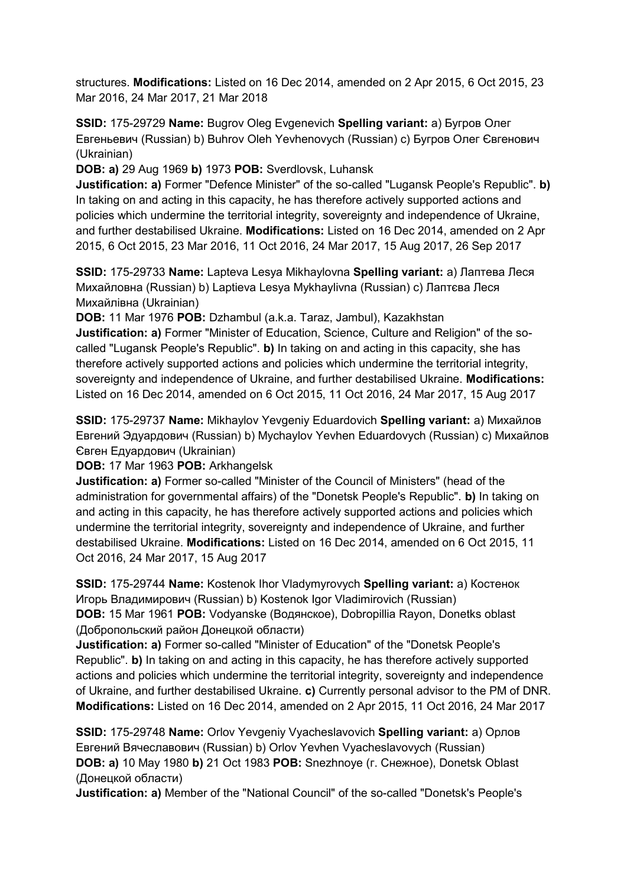structures. **Modifications:** Listed on 16 Dec 2014, amended on 2 Apr 2015, 6 Oct 2015, 23 Mar 2016, 24 Mar 2017, 21 Mar 2018

**SSID:** 175-29729 **Name:** Bugrov Oleg Evgenevich **Spelling variant:** a) Бугров Олег Евгеньевич (Russian) b) Buhrov Oleh Yevhenovych (Russian) c) Бугров Олег Євгенович (Ukrainian)

**DOB: a)** 29 Aug 1969 **b)** 1973 **POB:** Sverdlovsk, Luhansk

**Justification: a)** Former "Defence Minister" of the so-called "Lugansk People's Republic". **b)**  In taking on and acting in this capacity, he has therefore actively supported actions and policies which undermine the territorial integrity, sovereignty and independence of Ukraine, and further destabilised Ukraine. **Modifications:** Listed on 16 Dec 2014, amended on 2 Apr 2015, 6 Oct 2015, 23 Mar 2016, 11 Oct 2016, 24 Mar 2017, 15 Aug 2017, 26 Sep 2017

**SSID:** 175-29733 **Name:** Lapteva Lesya Mikhaylovna **Spelling variant:** a) Лаптева Леся Михайловна (Russian) b) Laptieva Lesya Mykhaylivna (Russian) c) Лаптєва Леся Михайлівна (Ukrainian)

**DOB:** 11 Mar 1976 **POB:** Dzhambul (a.k.a. Taraz, Jambul), Kazakhstan

**Justification: a)** Former "Minister of Education, Science, Culture and Religion" of the socalled "Lugansk People's Republic". **b)** In taking on and acting in this capacity, she has therefore actively supported actions and policies which undermine the territorial integrity, sovereignty and independence of Ukraine, and further destabilised Ukraine. **Modifications:**  Listed on 16 Dec 2014, amended on 6 Oct 2015, 11 Oct 2016, 24 Mar 2017, 15 Aug 2017

**SSID:** 175-29737 **Name:** Mikhaylov Yevgeniy Eduardovich **Spelling variant:** a) Михайлов Евгений Эдуардович (Russian) b) Mychaylov Yevhen Eduardovych (Russian) c) Михайлов Євген Едуардович (Ukrainian)

**DOB:** 17 Mar 1963 **POB:** Arkhangelsk

**Justification: a)** Former so-called "Minister of the Council of Ministers" (head of the administration for governmental affairs) of the "Donetsk People's Republic". **b)** In taking on and acting in this capacity, he has therefore actively supported actions and policies which undermine the territorial integrity, sovereignty and independence of Ukraine, and further destabilised Ukraine. **Modifications:** Listed on 16 Dec 2014, amended on 6 Oct 2015, 11 Oct 2016, 24 Mar 2017, 15 Aug 2017

**SSID:** 175-29744 **Name:** Kostenok Ihor Vladymyrovych **Spelling variant:** a) Костенок Игорь Владимирович (Russian) b) Kostenok Igor Vladimirovich (Russian) **DOB:** 15 Mar 1961 **POB:** Vodyanske (Водянское), Dobropillia Rayon, Donetks oblast (Добропольский район Донецкой области)

**Justification: a)** Former so-called "Minister of Education" of the "Donetsk People's Republic". **b)** In taking on and acting in this capacity, he has therefore actively supported actions and policies which undermine the territorial integrity, sovereignty and independence of Ukraine, and further destabilised Ukraine. **c)** Currently personal advisor to the PM of DNR. **Modifications:** Listed on 16 Dec 2014, amended on 2 Apr 2015, 11 Oct 2016, 24 Mar 2017

**SSID:** 175-29748 **Name:** Orlov Yevgeniy Vyacheslavovich **Spelling variant:** a) Орлов Евгений Вячеславович (Russian) b) Orlov Yevhen Vyacheslavovych (Russian) **DOB: a)** 10 May 1980 **b)** 21 Oct 1983 **POB:** Snezhnoye (г. Снежное), Donetsk Oblast (Донецкой области)

**Justification: a)** Member of the "National Council" of the so-called "Donetsk's People's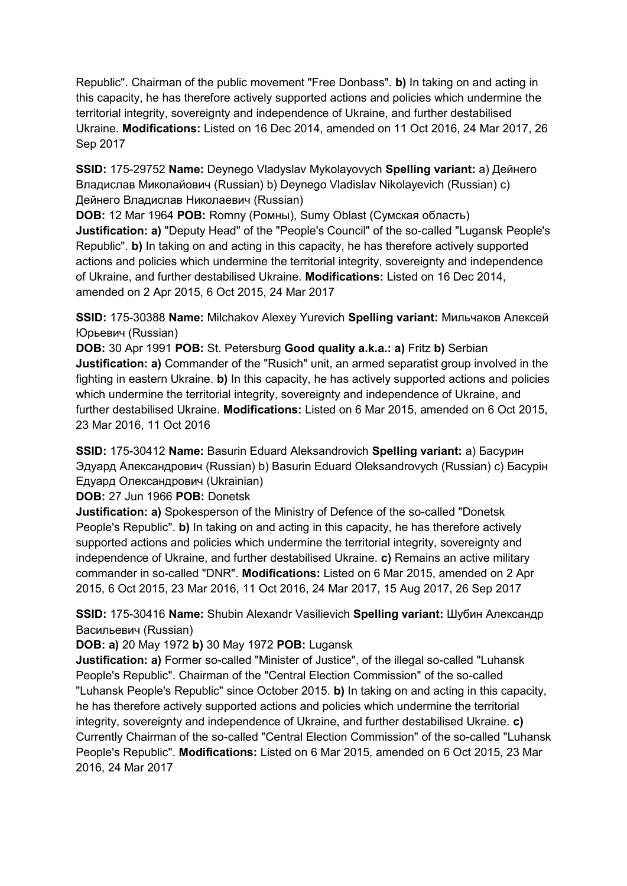Republic". Chairman of the public movement "Free Donbass". **b)** In taking on and acting in this capacity, he has therefore actively supported actions and policies which undermine the territorial integrity, sovereignty and independence of Ukraine, and further destabilised Ukraine. **Modifications:** Listed on 16 Dec 2014, amended on 11 Oct 2016, 24 Mar 2017, 26 Sep 2017

**SSID:** 175-29752 **Name:** Deynego Vladyslav Mykolayovych **Spelling variant:** a) Дейнего Владислав Миколайович (Russian) b) Deynego Vladislav Nikolayevich (Russian) c) Дейнего Владислав Николаевич (Russian)

**DOB:** 12 Mar 1964 **POB:** Romny (Ромны), Sumy Oblast (Сумская область) **Justification: a)** "Deputy Head" of the "People's Council" of the so-called "Lugansk People's Republic". **b)** In taking on and acting in this capacity, he has therefore actively supported actions and policies which undermine the territorial integrity, sovereignty and independence of Ukraine, and further destabilised Ukraine. **Modifications:** Listed on 16 Dec 2014, amended on 2 Apr 2015, 6 Oct 2015, 24 Mar 2017

**SSID:** 175-30388 **Name:** Milchakov Alexey Yurevich **Spelling variant:** Мильчаков Алексей Юрьевич (Russian)

**DOB:** 30 Apr 1991 **POB:** St. Petersburg **Good quality a.k.a.: a)** Fritz **b)** Serbian **Justification: a)** Commander of the "Rusich" unit, an armed separatist group involved in the fighting in eastern Ukraine. **b)** In this capacity, he has actively supported actions and policies which undermine the territorial integrity, sovereignty and independence of Ukraine, and further destabilised Ukraine. **Modifications:** Listed on 6 Mar 2015, amended on 6 Oct 2015, 23 Mar 2016, 11 Oct 2016

**SSID:** 175-30412 **Name:** Basurin Eduard Aleksandrovich **Spelling variant:** a) Басурин Эдуард Александрович (Russian) b) Basurin Eduard Oleksandrovych (Russian) c) Басурiн Едуард Олександрович (Ukrainian)

**DOB:** 27 Jun 1966 **POB:** Donetsk

**Justification: a)** Spokesperson of the Ministry of Defence of the so-called "Donetsk People's Republic". **b)** In taking on and acting in this capacity, he has therefore actively supported actions and policies which undermine the territorial integrity, sovereignty and independence of Ukraine, and further destabilised Ukraine. **c)** Remains an active military commander in so-called "DNR". **Modifications:** Listed on 6 Mar 2015, amended on 2 Apr 2015, 6 Oct 2015, 23 Mar 2016, 11 Oct 2016, 24 Mar 2017, 15 Aug 2017, 26 Sep 2017

**SSID:** 175-30416 **Name:** Shubin Alexandr Vasilievich **Spelling variant:** Шубин Александр Васильевич (Russian)

**DOB: a)** 20 May 1972 **b)** 30 May 1972 **POB:** Lugansk

**Justification: a)** Former so-called "Minister of Justice", of the illegal so-called "Luhansk People's Republic". Chairman of the "Central Election Commission" of the so-called "Luhansk People's Republic" since October 2015. **b)** In taking on and acting in this capacity, he has therefore actively supported actions and policies which undermine the territorial integrity, sovereignty and independence of Ukraine, and further destabilised Ukraine. **c)**  Currently Chairman of the so-called "Central Election Commission" of the so-called "Luhansk People's Republic". **Modifications:** Listed on 6 Mar 2015, amended on 6 Oct 2015, 23 Mar 2016, 24 Mar 2017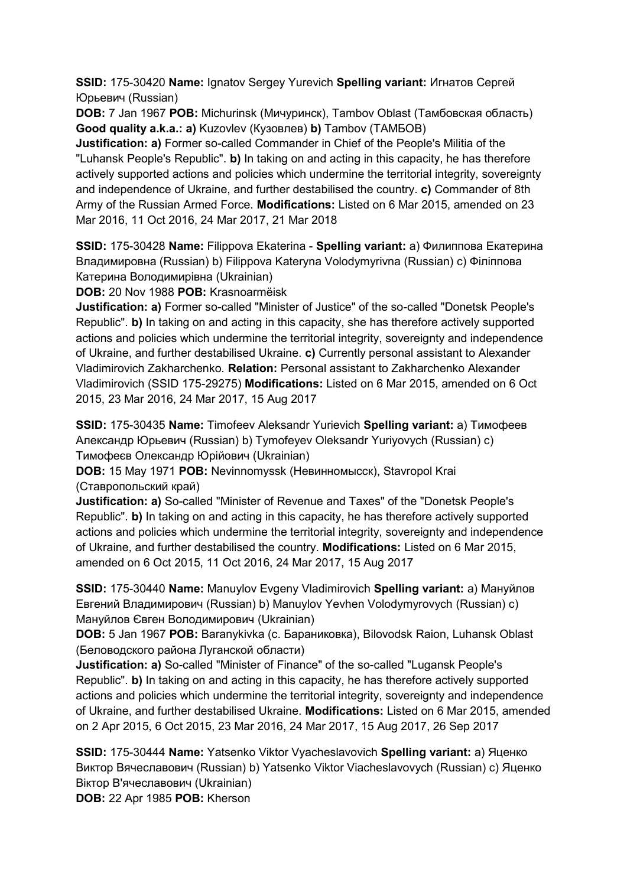**SSID:** 175-30420 **Name:** Ignatov Sergey Yurevich **Spelling variant:** Игнатов Сергей Юрьевич (Russian)

**DOB:** 7 Jan 1967 **POB:** Michurinsk (Мичуринск), Tambov Oblast (Тамбовская область) **Good quality a.k.a.: a)** Kuzovlev (Кузовлев) **b)** Tambov (ТAMБOB)

**Justification: a)** Former so-called Commander in Chief of the People's Militia of the "Luhansk People's Republic". **b)** In taking on and acting in this capacity, he has therefore actively supported actions and policies which undermine the territorial integrity, sovereignty and independence of Ukraine, and further destabilised the country. **c)** Commander of 8th Army of the Russian Armed Force. **Modifications:** Listed on 6 Mar 2015, amended on 23 Mar 2016, 11 Oct 2016, 24 Mar 2017, 21 Mar 2018

**SSID:** 175-30428 **Name:** Filippova Ekaterina - **Spelling variant:** a) Филиппова Екатерина Владимировна (Russian) b) Filippova Kateryna Volodymyrivna (Russian) c) Фiлiппова Катерина Володимирівна (Ukrainian)

**DOB:** 20 Nov 1988 **POB:** Krasnoarmëisk

**Justification: a)** Former so-called "Minister of Justice" of the so-called "Donetsk People's Republic". **b)** In taking on and acting in this capacity, she has therefore actively supported actions and policies which undermine the territorial integrity, sovereignty and independence of Ukraine, and further destabilised Ukraine. **c)** Currently personal assistant to Alexander Vladimirovich Zakharchenko. **Relation:** Personal assistant to Zakharchenko Alexander Vladimirovich (SSID 175-29275) **Modifications:** Listed on 6 Mar 2015, amended on 6 Oct 2015, 23 Mar 2016, 24 Mar 2017, 15 Aug 2017

**SSID:** 175-30435 **Name:** Timofeev Aleksandr Yurievich **Spelling variant:** a) Тимофеев Александр Юрьевич (Russian) b) Tymofeyev Oleksandr Yuriyovych (Russian) c) Тимофеєв Олександр Юрійович (Ukrainian)

**DOB:** 15 May 1971 **POB:** Nevinnomyssk (Невинномысск), Stavropol Krai (Ставропольский край)

**Justification: a)** So-called "Minister of Revenue and Taxes" of the "Donetsk People's Republic". **b)** In taking on and acting in this capacity, he has therefore actively supported actions and policies which undermine the territorial integrity, sovereignty and independence of Ukraine, and further destabilised the country. **Modifications:** Listed on 6 Mar 2015, amended on 6 Oct 2015, 11 Oct 2016, 24 Mar 2017, 15 Aug 2017

**SSID:** 175-30440 **Name:** Manuylov Evgeny Vladimirovich **Spelling variant:** a) Мануйлов Евгений Владимирович (Russian) b) Manuylov Yevhen Volodymyrovych (Russian) c) Мануйлов Євген Володимирович (Ukrainian)

**DOB:** 5 Jan 1967 **POB:** Baranykivka (с. Бараниковка), Bilovodsk Raion, Luhansk Oblast (Беловодского района Луганской области)

**Justification: a)** So-called "Minister of Finance" of the so-called "Lugansk People's Republic". **b)** In taking on and acting in this capacity, he has therefore actively supported actions and policies which undermine the territorial integrity, sovereignty and independence of Ukraine, and further destabilised Ukraine. **Modifications:** Listed on 6 Mar 2015, amended on 2 Apr 2015, 6 Oct 2015, 23 Mar 2016, 24 Mar 2017, 15 Aug 2017, 26 Sep 2017

**SSID:** 175-30444 **Name:** Yatsenko Viktor Vyacheslavovich **Spelling variant:** a) Яценко Виктор Вячеславович (Russian) b) Yatsenko Viktor Viacheslavovych (Russian) c) Яценко Віктор В'ячеславович (Ukrainian)

**DOB:** 22 Apr 1985 **POB:** Kherson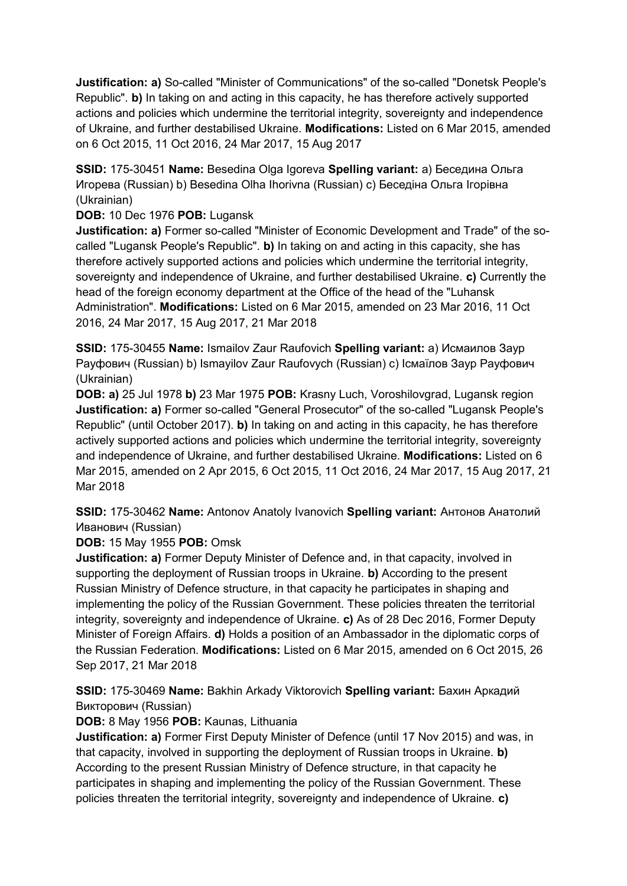**Justification: a)** So-called "Minister of Communications" of the so-called "Donetsk People's Republic". **b)** In taking on and acting in this capacity, he has therefore actively supported actions and policies which undermine the territorial integrity, sovereignty and independence of Ukraine, and further destabilised Ukraine. **Modifications:** Listed on 6 Mar 2015, amended on 6 Oct 2015, 11 Oct 2016, 24 Mar 2017, 15 Aug 2017

**SSID:** 175-30451 **Name:** Besedina Olga Igoreva **Spelling variant:** a) Беседина Ольга Игорева (Russian) b) Besedina Olha Ihorivna (Russian) c) Беседiна Ольга Iгорівна (Ukrainian)

**DOB:** 10 Dec 1976 **POB:** Lugansk

**Justification: a)** Former so-called "Minister of Economic Development and Trade" of the socalled "Lugansk People's Republic". **b)** In taking on and acting in this capacity, she has therefore actively supported actions and policies which undermine the territorial integrity, sovereignty and independence of Ukraine, and further destabilised Ukraine. **c)** Currently the head of the foreign economy department at the Office of the head of the "Luhansk Administration". **Modifications:** Listed on 6 Mar 2015, amended on 23 Mar 2016, 11 Oct 2016, 24 Mar 2017, 15 Aug 2017, 21 Mar 2018

**SSID:** 175-30455 **Name:** Ismailov Zaur Raufovich **Spelling variant:** a) Исмаилов Заур Рауфович (Russian) b) Ismayilov Zaur Raufovych (Russian) c) Iсмаїлов Заур Рауфович (Ukrainian)

**DOB: a)** 25 Jul 1978 **b)** 23 Mar 1975 **POB:** Krasny Luch, Voroshilovgrad, Lugansk region **Justification: a)** Former so-called "General Prosecutor" of the so-called "Lugansk People's Republic" (until October 2017). **b)** In taking on and acting in this capacity, he has therefore actively supported actions and policies which undermine the territorial integrity, sovereignty and independence of Ukraine, and further destabilised Ukraine. **Modifications:** Listed on 6 Mar 2015, amended on 2 Apr 2015, 6 Oct 2015, 11 Oct 2016, 24 Mar 2017, 15 Aug 2017, 21 Mar 2018

**SSID:** 175-30462 **Name:** Antonov Anatoly Ivanovich **Spelling variant:** Антонов Анатолий Иванович (Russian)

**DOB:** 15 May 1955 **POB:** Omsk

**Justification: a)** Former Deputy Minister of Defence and, in that capacity, involved in supporting the deployment of Russian troops in Ukraine. **b)** According to the present Russian Ministry of Defence structure, in that capacity he participates in shaping and implementing the policy of the Russian Government. These policies threaten the territorial integrity, sovereignty and independence of Ukraine. **c)** As of 28 Dec 2016, Former Deputy Minister of Foreign Affairs. **d)** Holds a position of an Ambassador in the diplomatic corps of the Russian Federation. **Modifications:** Listed on 6 Mar 2015, amended on 6 Oct 2015, 26 Sep 2017, 21 Mar 2018

**SSID:** 175-30469 **Name:** Bakhin Arkady Viktorovich **Spelling variant:** Бахин Аркадий Викторович (Russian)

## **DOB:** 8 May 1956 **POB:** Kaunas, Lithuania

**Justification: a)** Former First Deputy Minister of Defence (until 17 Nov 2015) and was, in that capacity, involved in supporting the deployment of Russian troops in Ukraine. **b)**  According to the present Russian Ministry of Defence structure, in that capacity he participates in shaping and implementing the policy of the Russian Government. These policies threaten the territorial integrity, sovereignty and independence of Ukraine. **c)**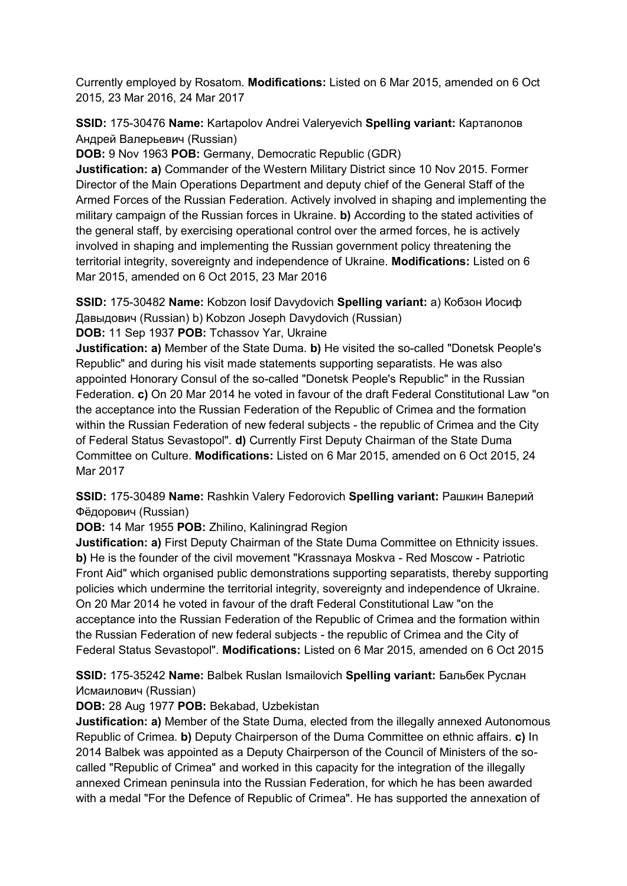Currently employed by Rosatom. **Modifications:** Listed on 6 Mar 2015, amended on 6 Oct 2015, 23 Mar 2016, 24 Mar 2017

**SSID:** 175-30476 **Name:** Kartapolov Andrei Valeryevich **Spelling variant:** Картaполов Андрей Валерьевич (Russian)

**DOB:** 9 Nov 1963 **POB:** Germany, Democratic Republic (GDR)

**Justification: a)** Commander of the Western Military District since 10 Nov 2015. Former Director of the Main Operations Department and deputy chief of the General Staff of the Armed Forces of the Russian Federation. Actively involved in shaping and implementing the military campaign of the Russian forces in Ukraine. **b)** According to the stated activities of the general staff, by exercising operational control over the armed forces, he is actively involved in shaping and implementing the Russian government policy threatening the territorial integrity, sovereignty and independence of Ukraine. **Modifications:** Listed on 6 Mar 2015, amended on 6 Oct 2015, 23 Mar 2016

**SSID:** 175-30482 **Name:** Kobzon Iosif Davydovich **Spelling variant:** a) Кобзон Иосиф Дaвыдович (Russian) b) Kobzon Joseph Davydovich (Russian) **DOB:** 11 Sep 1937 **POB:** Tchassov Yar, Ukraine

**Justification: a)** Member of the State Duma. **b)** He visited the so-called "Donetsk People's Republic" and during his visit made statements supporting separatists. He was also appointed Honorary Consul of the so-called "Donetsk People's Republic" in the Russian Federation. **c)** On 20 Mar 2014 he voted in favour of the draft Federal Constitutional Law "on the acceptance into the Russian Federation of the Republic of Crimea and the formation within the Russian Federation of new federal subjects - the republic of Crimea and the City of Federal Status Sevastopol". **d)** Currently First Deputy Chairman of the State Duma Committee on Culture. **Modifications:** Listed on 6 Mar 2015, amended on 6 Oct 2015, 24 Mar 2017

**SSID:** 175-30489 **Name:** Rashkin Valery Fedorovich **Spelling variant:** Рашкин Валерий Фёдорович (Russian)

**DOB:** 14 Mar 1955 **POB:** Zhilino, Kaliningrad Region

**Justification: a)** First Deputy Chairman of the State Duma Committee on Ethnicity issues. **b)** He is the founder of the civil movement "Krassnaya Moskva - Red Moscow - Patriotic Front Aid" which organised public demonstrations supporting separatists, thereby supporting policies which undermine the territorial integrity, sovereignty and independence of Ukraine. On 20 Mar 2014 he voted in favour of the draft Federal Constitutional Law "on the acceptance into the Russian Federation of the Republic of Crimea and the formation within the Russian Federation of new federal subjects - the republic of Crimea and the City of Federal Status Sevastopol". **Modifications:** Listed on 6 Mar 2015, amended on 6 Oct 2015

**SSID:** 175-35242 **Name:** Balbek Ruslan Ismailovich **Spelling variant:** Бальбек Руслан Исмаилович (Russian)

**DOB:** 28 Aug 1977 **POB:** Bekabad, Uzbekistan

**Justification: a)** Member of the State Duma, elected from the illegally annexed Autonomous Republic of Crimea. **b)** Deputy Chairperson of the Duma Committee on ethnic affairs. **c)** In 2014 Balbek was appointed as a Deputy Chairperson of the Council of Ministers of the socalled "Republic of Crimea" and worked in this capacity for the integration of the illegally annexed Crimean peninsula into the Russian Federation, for which he has been awarded with a medal "For the Defence of Republic of Crimea". He has supported the annexation of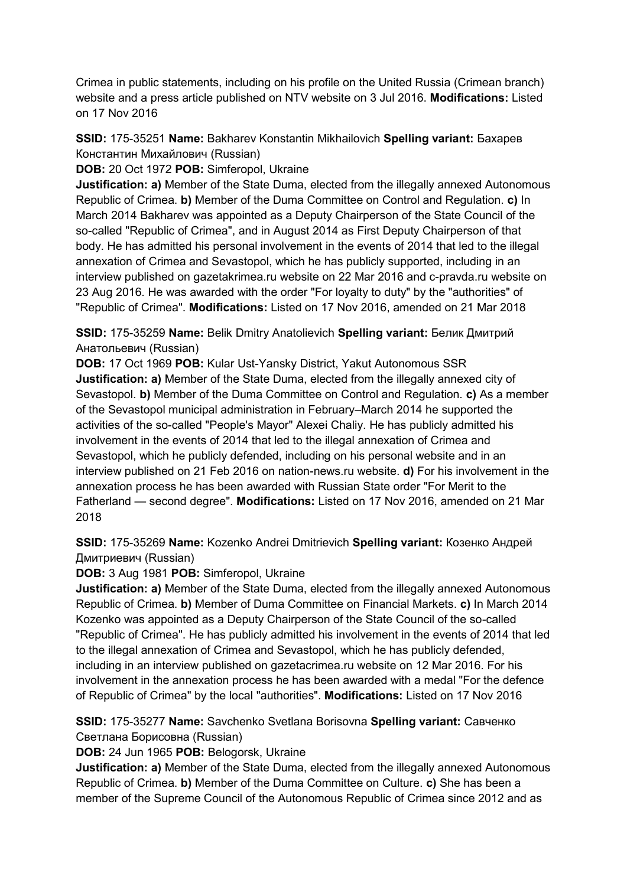Crimea in public statements, including on his profile on the United Russia (Crimean branch) website and a press article published on NTV website on 3 Jul 2016. **Modifications:** Listed on 17 Nov 2016

**SSID:** 175-35251 **Name:** Bakharev Konstantin Mikhailovich **Spelling variant:** Бахарев Константин Михайлович (Russian)

**DOB:** 20 Oct 1972 **POB:** Simferopol, Ukraine

**Justification: a)** Member of the State Duma, elected from the illegally annexed Autonomous Republic of Crimea. **b)** Member of the Duma Committee on Control and Regulation. **c)** In March 2014 Bakharev was appointed as a Deputy Chairperson of the State Council of the so-called "Republic of Crimea", and in August 2014 as First Deputy Chairperson of that body. He has admitted his personal involvement in the events of 2014 that led to the illegal annexation of Crimea and Sevastopol, which he has publicly supported, including in an interview published on gazetakrimea.ru website on 22 Mar 2016 and c-pravda.ru website on 23 Aug 2016. He was awarded with the order "For loyalty to duty" by the "authorities" of "Republic of Crimea". **Modifications:** Listed on 17 Nov 2016, amended on 21 Mar 2018

**SSID:** 175-35259 **Name:** Belik Dmitry Anatolievich **Spelling variant:** Белик Дмитрий Анатольевич (Russian)

**DOB:** 17 Oct 1969 **POB:** Kular Ust-Yansky District, Yakut Autonomous SSR **Justification: a)** Member of the State Duma, elected from the illegally annexed city of Sevastopol. **b)** Member of the Duma Committee on Control and Regulation. **c)** As a member of the Sevastopol municipal administration in February–March 2014 he supported the activities of the so-called "People's Mayor" Alexei Chaliy. He has publicly admitted his involvement in the events of 2014 that led to the illegal annexation of Crimea and Sevastopol, which he publicly defended, including on his personal website and in an interview published on 21 Feb 2016 on nation-news.ru website. **d)** For his involvement in the annexation process he has been awarded with Russian State order "For Merit to the Fatherland — second degree". **Modifications:** Listed on 17 Nov 2016, amended on 21 Mar 2018

**SSID:** 175-35269 **Name:** Kozenko Andrei Dmitrievich **Spelling variant:** Козенко Андрей Дмитриевич (Russian)

**DOB:** 3 Aug 1981 **POB:** Simferopol, Ukraine

**Justification: a)** Member of the State Duma, elected from the illegally annexed Autonomous Republic of Crimea. **b)** Member of Duma Committee on Financial Markets. **c)** In March 2014 Kozenko was appointed as a Deputy Chairperson of the State Council of the so-called "Republic of Crimea". He has publicly admitted his involvement in the events of 2014 that led to the illegal annexation of Crimea and Sevastopol, which he has publicly defended, including in an interview published on gazetacrimea.ru website on 12 Mar 2016. For his involvement in the annexation process he has been awarded with a medal "For the defence of Republic of Crimea" by the local "authorities". **Modifications:** Listed on 17 Nov 2016

**SSID:** 175-35277 **Name:** Savchenko Svetlana Borisovna **Spelling variant:** Савченко Светлана Борисовна (Russian)

**DOB:** 24 Jun 1965 **POB:** Belogorsk, Ukraine

**Justification: a)** Member of the State Duma, elected from the illegally annexed Autonomous Republic of Crimea. **b)** Member of the Duma Committee on Culture. **c)** She has been a member of the Supreme Council of the Autonomous Republic of Crimea since 2012 and as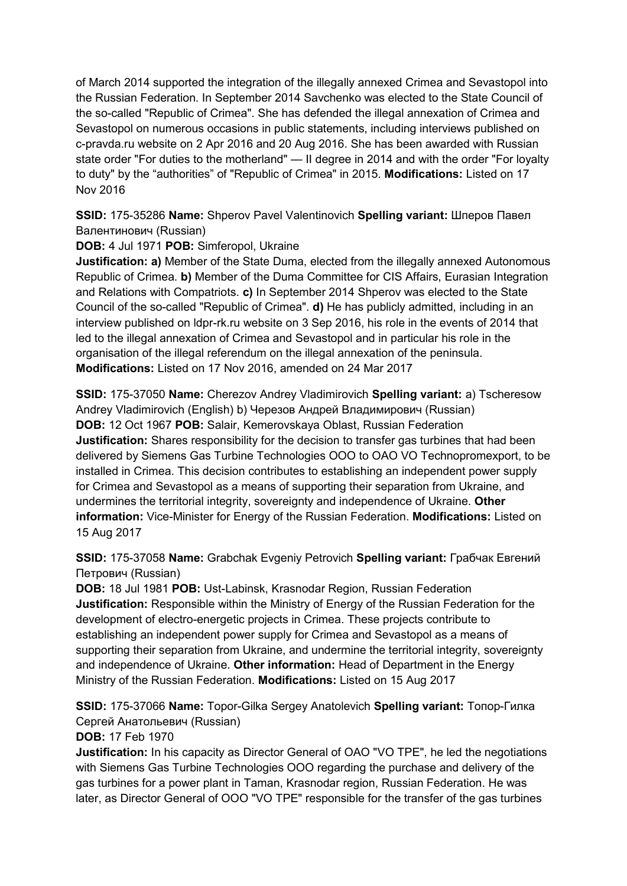of March 2014 supported the integration of the illegally annexed Crimea and Sevastopol into the Russian Federation. In September 2014 Savchenko was elected to the State Council of the so-called "Republic of Crimea". She has defended the illegal annexation of Crimea and Sevastopol on numerous occasions in public statements, including interviews published on c-pravda.ru website on 2 Apr 2016 and 20 Aug 2016. She has been awarded with Russian state order "For duties to the motherland" — II degree in 2014 and with the order "For loyalty to duty" by the "authorities" of "Republic of Crimea" in 2015. **Modifications:** Listed on 17 Nov 2016

**SSID:** 175-35286 **Name:** Shperov Pavel Valentinovich **Spelling variant:** Шперов Павел Валентинович (Russian)

**DOB:** 4 Jul 1971 **POB:** Simferopol, Ukraine

**Justification: a)** Member of the State Duma, elected from the illegally annexed Autonomous Republic of Crimea. **b)** Member of the Duma Committee for CIS Affairs, Eurasian Integration and Relations with Compatriots. **c)** In September 2014 Shperov was elected to the State Council of the so-called "Republic of Crimea". **d)** He has publicly admitted, including in an interview published on ldpr-rk.ru website on 3 Sep 2016, his role in the events of 2014 that led to the illegal annexation of Crimea and Sevastopol and in particular his role in the organisation of the illegal referendum on the illegal annexation of the peninsula. **Modifications:** Listed on 17 Nov 2016, amended on 24 Mar 2017

**SSID:** 175-37050 **Name:** Cherezov Andrey Vladimirovich **Spelling variant:** a) Tscheresow Andrey Vladimirovich (English) b) Черезов Андрей Владимирович (Russian) **DOB:** 12 Oct 1967 **POB:** Salair, Kemerovskaya Oblast, Russian Federation **Justification:** Shares responsibility for the decision to transfer gas turbines that had been delivered by Siemens Gas Turbine Technologies OOO to OAO VO Technopromexport, to be installed in Crimea. This decision contributes to establishing an independent power supply for Crimea and Sevastopol as a means of supporting their separation from Ukraine, and undermines the territorial integrity, sovereignty and independence of Ukraine. **Other information:** Vice-Minister for Energy of the Russian Federation. **Modifications:** Listed on 15 Aug 2017

**SSID:** 175-37058 **Name:** Grabchak Evgeniy Petrovich **Spelling variant:** Грабчак Евгений Петрович (Russian)

**DOB:** 18 Jul 1981 **POB:** Ust-Labinsk, Krasnodar Region, Russian Federation **Justification:** Responsible within the Ministry of Energy of the Russian Federation for the development of electro-energetic projects in Crimea. These projects contribute to establishing an independent power supply for Crimea and Sevastopol as a means of supporting their separation from Ukraine, and undermine the territorial integrity, sovereignty and independence of Ukraine. **Other information:** Head of Department in the Energy Ministry of the Russian Federation. **Modifications:** Listed on 15 Aug 2017

**SSID:** 175-37066 **Name:** Topor-Gilka Sergey Anatolevich **Spelling variant:** Топор-Гилка Сергей Анатольевич (Russian)

**DOB:** 17 Feb 1970

**Justification:** In his capacity as Director General of OAO "VO TPE", he led the negotiations with Siemens Gas Turbine Technologies OOO regarding the purchase and delivery of the gas turbines for a power plant in Taman, Krasnodar region, Russian Federation. He was later, as Director General of OOO "VO TPE" responsible for the transfer of the gas turbines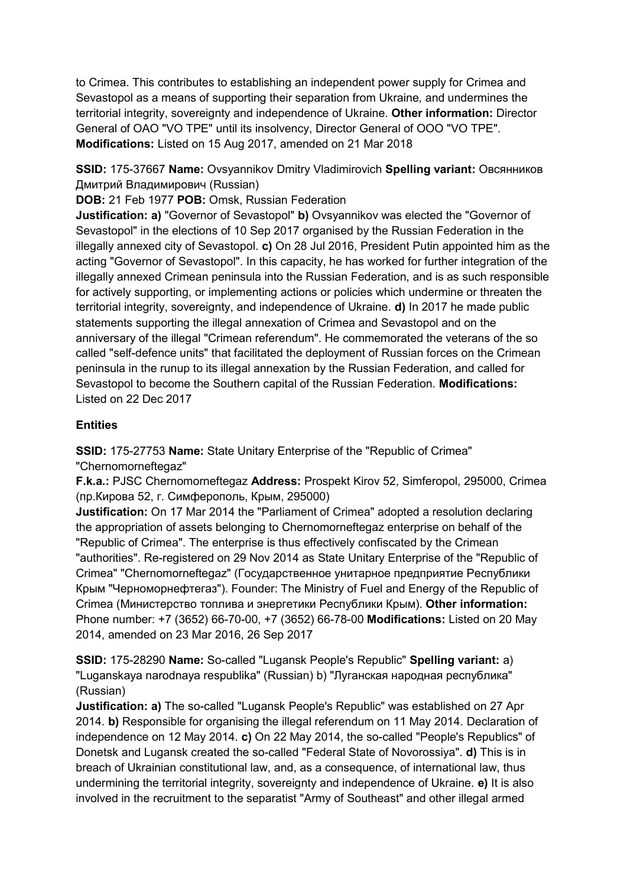to Crimea. This contributes to establishing an independent power supply for Crimea and Sevastopol as a means of supporting their separation from Ukraine, and undermines the territorial integrity, sovereignty and independence of Ukraine. **Other information:** Director General of OAO "VO TPE" until its insolvency, Director General of OOO "VO TPE". **Modifications:** Listed on 15 Aug 2017, amended on 21 Mar 2018

**SSID:** 175-37667 **Name:** Ovsyannikov Dmitry Vladimirovich **Spelling variant:** Овсянников Дмитрий Владимирович (Russian)

**DOB:** 21 Feb 1977 **POB:** Omsk, Russian Federation

**Justification: a)** "Governor of Sevastopol" **b)** Ovsyannikov was elected the "Governor of Sevastopol" in the elections of 10 Sep 2017 organised by the Russian Federation in the illegally annexed city of Sevastopol. **c)** On 28 Jul 2016, President Putin appointed him as the acting "Governor of Sevastopol". In this capacity, he has worked for further integration of the illegally annexed Crimean peninsula into the Russian Federation, and is as such responsible for actively supporting, or implementing actions or policies which undermine or threaten the territorial integrity, sovereignty, and independence of Ukraine. **d)** In 2017 he made public statements supporting the illegal annexation of Crimea and Sevastopol and on the anniversary of the illegal "Crimean referendum". He commemorated the veterans of the so called "self-defence units" that facilitated the deployment of Russian forces on the Crimean peninsula in the runup to its illegal annexation by the Russian Federation, and called for Sevastopol to become the Southern capital of the Russian Federation. **Modifications:**  Listed on 22 Dec 2017

## **Entities**

**SSID:** 175-27753 **Name:** State Unitary Enterprise of the "Republic of Crimea" "Chernomorneftegaz"

**F.k.a.:** PJSC Chernomorneftegaz **Address:** Prospekt Kirov 52, Simferopol, 295000, Crimea (пр.Кирова 52, г. Симферополь, Крым, 295000)

**Justification:** On 17 Mar 2014 the "Parliament of Crimea" adopted a resolution declaring the appropriation of assets belonging to Chernomorneftegaz enterprise on behalf of the "Republic of Crimea". The enterprise is thus effectively confiscated by the Crimean "authorities". Re-registered on 29 Nov 2014 as State Unitary Enterprise of the "Republic of Crimea" "Chernomorneftegaz" (Государственное унитарное предприятие Республики Крым "Черноморнефтегаз"). Founder: The Ministry of Fuel and Energy of the Republic of Crimea (Министерство топлива и энергетики Республики Крым). **Other information:** Phone number: +7 (3652) 66-70-00, +7 (3652) 66-78-00 **Modifications:** Listed on 20 May 2014, amended on 23 Mar 2016, 26 Sep 2017

**SSID:** 175-28290 **Name:** So-called "Lugansk People's Republic" **Spelling variant:** a) "Luganskaya narodnaya respublika" (Russian) b) "Луганская народная республика" (Russian)

**Justification: a)** The so-called "Lugansk People's Republic" was established on 27 Apr 2014. **b)** Responsible for organising the illegal referendum on 11 May 2014. Declaration of independence on 12 May 2014. **c)** On 22 May 2014, the so-called "People's Republics" of Donetsk and Lugansk created the so-called "Federal State of Novorossiya". **d)** This is in breach of Ukrainian constitutional law, and, as a consequence, of international law, thus undermining the territorial integrity, sovereignty and independence of Ukraine. **e)** It is also involved in the recruitment to the separatist "Army of Southeast" and other illegal armed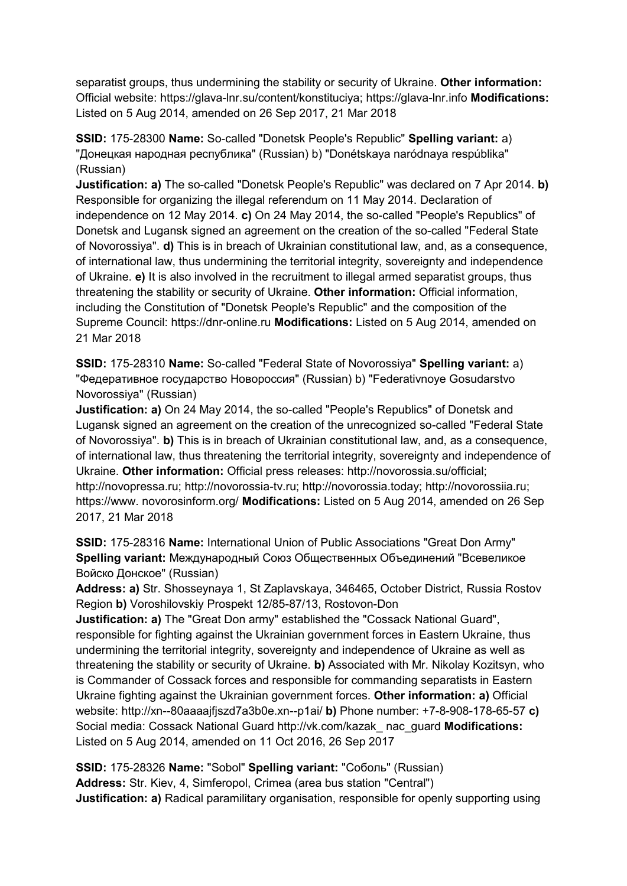separatist groups, thus undermining the stability or security of Ukraine. **Other information:** Official website: https://glava-lnr.su/content/konstituciya; https://glava-lnr.info **Modifications:**  Listed on 5 Aug 2014, amended on 26 Sep 2017, 21 Mar 2018

**SSID:** 175-28300 **Name:** So-called "Donetsk People's Republic" **Spelling variant:** a) "Донецкая народная республика" (Russian) b) "Donétskaya naródnaya respúblika" (Russian)

**Justification: a)** The so-called "Donetsk People's Republic" was declared on 7 Apr 2014. **b)**  Responsible for organizing the illegal referendum on 11 May 2014. Declaration of independence on 12 May 2014. **c)** On 24 May 2014, the so-called "People's Republics" of Donetsk and Lugansk signed an agreement on the creation of the so-called "Federal State of Novorossiya". **d)** This is in breach of Ukrainian constitutional law, and, as a consequence, of international law, thus undermining the territorial integrity, sovereignty and independence of Ukraine. **e)** It is also involved in the recruitment to illegal armed separatist groups, thus threatening the stability or security of Ukraine. **Other information:** Official information, including the Constitution of "Donetsk People's Republic" and the composition of the Supreme Council: https://dnr-online.ru **Modifications:** Listed on 5 Aug 2014, amended on 21 Mar 2018

**SSID:** 175-28310 **Name:** So-called "Federal State of Novorossiya" **Spelling variant:** a) "Федеративное государство Новороссия" (Russian) b) "Federativnoye Gosudarstvo Novorossiya" (Russian)

**Justification: a)** On 24 May 2014, the so-called "People's Republics" of Donetsk and Lugansk signed an agreement on the creation of the unrecognized so-called "Federal State of Novorossiya". **b)** This is in breach of Ukrainian constitutional law, and, as a consequence, of international law, thus threatening the territorial integrity, sovereignty and independence of Ukraine. **Other information:** Official press releases: http://novorossia.su/official; http://novopressa.ru; http://novorossia-tv.ru; http://novorossia.today; http://novorossiia.ru; https://www. novorosinform.org/ **Modifications:** Listed on 5 Aug 2014, amended on 26 Sep 2017, 21 Mar 2018

**SSID:** 175-28316 **Name:** International Union of Public Associations "Great Don Army" **Spelling variant:** Международный Союз Общественных Объединений "Всевеликое Войско Донское" (Russian)

**Address: a)** Str. Shosseynaya 1, St Zaplavskaya, 346465, October District, Russia Rostov Region **b)** Voroshilovskiy Prospekt 12/85-87/13, Rostovon-Don

**Justification: a)** The "Great Don army" established the "Cossack National Guard", responsible for fighting against the Ukrainian government forces in Eastern Ukraine, thus undermining the territorial integrity, sovereignty and independence of Ukraine as well as threatening the stability or security of Ukraine. **b)** Associated with Mr. Nikolay Kozitsyn, who is Commander of Cossack forces and responsible for commanding separatists in Eastern Ukraine fighting against the Ukrainian government forces. **Other information: a)** Official website: http://xn--80aaaajfjszd7a3b0e.xn--p1ai/ **b)** Phone number: +7-8-908-178-65-57 **c)**  Social media: Cossack National Guard http://vk.com/kazak\_ nac\_guard **Modifications:**  Listed on 5 Aug 2014, amended on 11 Oct 2016, 26 Sep 2017

**SSID:** 175-28326 **Name:** "Sobol" **Spelling variant:** "Соболь" (Russian) **Address:** Str. Kiev, 4, Simferopol, Crimea (area bus station "Central") **Justification: a)** Radical paramilitary organisation, responsible for openly supporting using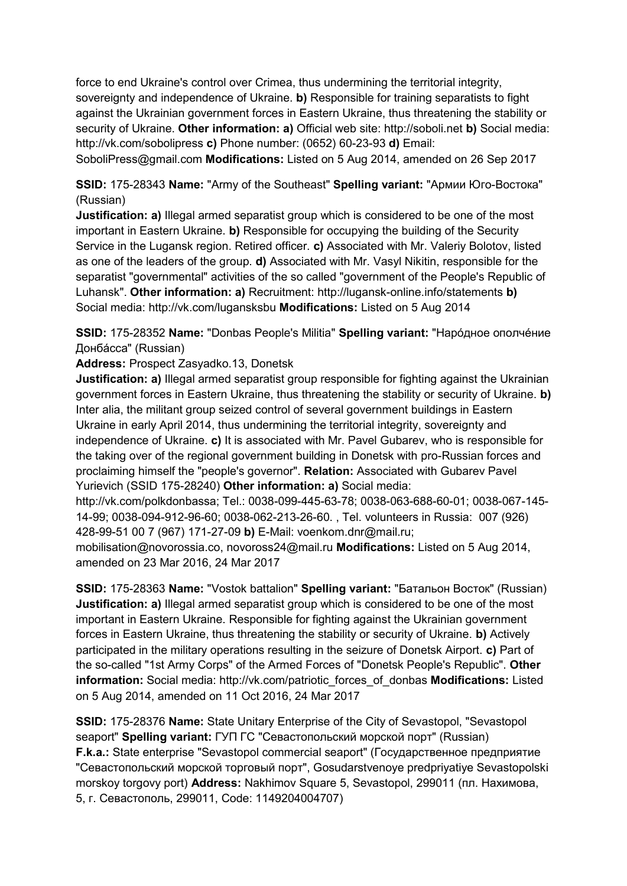force to end Ukraine's control over Crimea, thus undermining the territorial integrity, sovereignty and independence of Ukraine. **b)** Responsible for training separatists to fight against the Ukrainian government forces in Eastern Ukraine, thus threatening the stability or security of Ukraine. **Other information: a)** Official web site: http://soboli.net **b)** Social media: http://vk.com/sobolipress **c)** Phone number: (0652) 60-23-93 **d)** Email:

SoboliPress@gmail.com **Modifications:** Listed on 5 Aug 2014, amended on 26 Sep 2017

**SSID:** 175-28343 **Name:** "Army of the Southeast" **Spelling variant:** "Армии Юго-Востока" (Russian)

**Justification: a)** Illegal armed separatist group which is considered to be one of the most important in Eastern Ukraine. **b)** Responsible for occupying the building of the Security Service in the Lugansk region. Retired officer. **c)** Associated with Mr. Valeriy Bolotov, listed as one of the leaders of the group. **d)** Associated with Mr. Vasyl Nikitin, responsible for the separatist "governmental" activities of the so called "government of the People's Republic of Luhansk". **Other information: a)** Recruitment: http://lugansk-online.info/statements **b)**  Social media: http://vk.com/lugansksbu **Modifications:** Listed on 5 Aug 2014

**SSID:** 175-28352 **Name:** "Donbas People's Militia" **Spelling variant:** "Нарóдное ополчéние Донбáсса" (Russian)

**Address:** Prospect Zasyadko.13, Donetsk

**Justification: a)** Illegal armed separatist group responsible for fighting against the Ukrainian government forces in Eastern Ukraine, thus threatening the stability or security of Ukraine. **b)**  Inter alia, the militant group seized control of several government buildings in Eastern Ukraine in early April 2014, thus undermining the territorial integrity, sovereignty and independence of Ukraine. **c)** It is associated with Mr. Pavel Gubarev, who is responsible for the taking over of the regional government building in Donetsk with pro-Russian forces and proclaiming himself the "people's governor". **Relation:** Associated with Gubarev Pavel Yurievich (SSID 175-28240) **Other information: a)** Social media:

http://vk.com/polkdonbassa; Tel.: 0038-099-445-63-78; 0038-063-688-60-01; 0038-067-145- 14-99; 0038-094-912-96-60; 0038-062-213-26-60. , Tel. volunteers in Russia: 007 (926) 428-99-51 00 7 (967) 171-27-09 **b)** E-Mail: voenkom.dnr@mail.ru;

mobilisation@novorossia.co, novoross24@mail.ru **Modifications:** Listed on 5 Aug 2014, amended on 23 Mar 2016, 24 Mar 2017

**SSID:** 175-28363 **Name:** "Vostok battalion" **Spelling variant:** "Батальон Восток" (Russian) **Justification: a)** Illegal armed separatist group which is considered to be one of the most important in Eastern Ukraine. Responsible for fighting against the Ukrainian government forces in Eastern Ukraine, thus threatening the stability or security of Ukraine. **b)** Actively participated in the military operations resulting in the seizure of Donetsk Airport. **c)** Part of the so-called "1st Army Corps" of the Armed Forces of "Donetsk People's Republic". **Other information:** Social media: http://vk.com/patriotic\_forces\_of\_donbas **Modifications:** Listed on 5 Aug 2014, amended on 11 Oct 2016, 24 Mar 2017

**SSID:** 175-28376 **Name:** State Unitary Enterprise of the City of Sevastopol, "Sevastopol seaport" **Spelling variant:** ГУП ГС "Севастопольский морской порт" (Russian) **F.k.a.:** State enterprise "Sevastopol commercial seaport" (Государственное предприятие "Севастопольский морской торговый порт", Gosudarstvenoye predpriyatiye Sevastopolski morskoy torgovy port) **Address:** Nakhimov Square 5, Sevastopol, 299011 (пл. Нахимова, 5, г. Севастополь, 299011, Code: 1149204004707)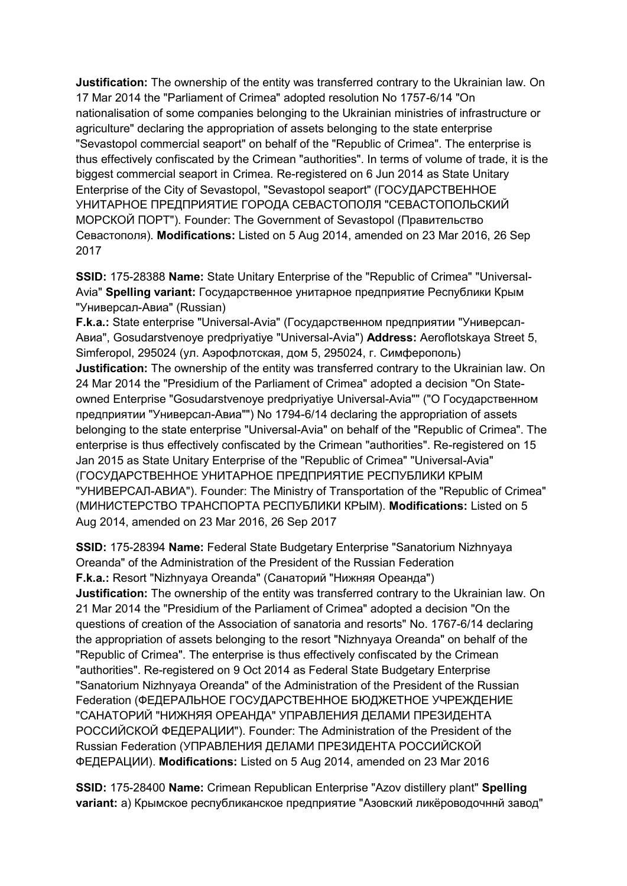**Justification:** The ownership of the entity was transferred contrary to the Ukrainian law. On 17 Mar 2014 the "Parliament of Crimea" adopted resolution No 1757-6/14 "On nationalisation of some companies belonging to the Ukrainian ministries of infrastructure or agriculture" declaring the appropriation of assets belonging to the state enterprise "Sevastopol commercial seaport" on behalf of the "Republic of Crimea". The enterprise is thus effectively confiscated by the Crimean "authorities". In terms of volume of trade, it is the biggest commercial seaport in Crimea. Re-registered on 6 Jun 2014 as State Unitary Enterprise of the City of Sevastopol, "Sevastopol seaport" (ГОСУДАРСТВЕННОЕ УНИТАРНОЕ ПРЕДПРИЯТИЕ ГОРОДА СЕВАСТОПОЛЯ "СЕВАСТОПОЛЬСКИЙ МОРСКОЙ ПОРТ"). Founder: The Government of Sevastopol (Правительство Севастополя). **Modifications:** Listed on 5 Aug 2014, amended on 23 Mar 2016, 26 Sep 2017

**SSID:** 175-28388 **Name:** State Unitary Enterprise of the "Republic of Crimea" "Universal-Avia" **Spelling variant:** Государственное унитарное предприятие Республики Крым "Универсал-Авиа" (Russian)

**F.k.a.:** State enterprise "Universal-Avia" (Государственном предприятии "Универсал-Авиа", Gosudarstvenoye predpriyatiye "Universal-Avia") **Address:** Aeroflotskaya Street 5, Simferopol, 295024 (ул. Аэрофлотская, дом 5, 295024, г. Симферополь) **Justification:** The ownership of the entity was transferred contrary to the Ukrainian law. On 24 Mar 2014 the "Presidium of the Parliament of Crimea" adopted a decision "On Stateowned Enterprise "Gosudarstvenoye predpriyatiye Universal-Avia"" ("О Государственном предприятии "Универсал-Авиа"") No 1794-6/14 declaring the appropriation of assets belonging to the state enterprise "Universal-Avia" on behalf of the "Republic of Crimea". The enterprise is thus effectively confiscated by the Crimean "authorities". Re-registered on 15 Jan 2015 as State Unitary Enterprise of the "Republic of Crimea" "Universal-Avia" (ГОСУДАРСТВЕННОЕ УНИТАРНОЕ ПРЕДПРИЯТИЕ РЕСПУБЛИКИ КРЫМ "УНИВЕРСАЛ-АВИА"). Founder: The Ministry of Transportation of the "Republic of Crimea" (МИНИСТЕРСТВО ТРАНСПОРТА РЕСПУБЛИКИ КРЫМ). **Modifications:** Listed on 5 Aug 2014, amended on 23 Mar 2016, 26 Sep 2017

**SSID:** 175-28394 **Name:** Federal State Budgetary Enterprise "Sanatorium Nizhnyaya Oreanda" of the Administration of the President of the Russian Federation **F.k.a.:** Resort "Nizhnyaya Oreanda" (Санаторий "Нижняя Ореанда") **Justification:** The ownership of the entity was transferred contrary to the Ukrainian law. On 21 Mar 2014 the "Presidium of the Parliament of Crimea" adopted a decision "On the questions of creation of the Association of sanatoria and resorts" No. 1767-6/14 declaring the appropriation of assets belonging to the resort "Nizhnyaya Oreanda" on behalf of the "Republic of Crimea". The enterprise is thus effectively confiscated by the Crimean "authorities". Re-registered on 9 Oct 2014 as Federal State Budgetary Enterprise "Sanatorium Nizhnyaya Oreanda" of the Administration of the President of the Russian Federation (ФЕДЕРАЛЬНОЕ ГОСУДАРСТВЕННОЕ БЮДЖЕТНОЕ УЧРЕЖДЕНИЕ "САНАТОРИЙ "НИЖНЯЯ ОРЕАНДА" УПРАВЛЕНИЯ ДЕЛАМИ ПРЕЗИДЕНТА РОССИЙСКОЙ ФЕДЕРАЦИИ"). Founder: The Administration of the President of the Russian Federation (УПРАВЛЕНИЯ ДЕЛАМИ ПРЕЗИДЕНТА РОССИЙСКОЙ ФЕДЕРАЦИИ). **Modifications:** Listed on 5 Aug 2014, amended on 23 Mar 2016

**SSID:** 175-28400 **Name:** Crimean Republican Enterprise "Azov distillery plant" **Spelling variant:** a) Крымское республиканское предприятие "Азовский ликёроводочннй завод"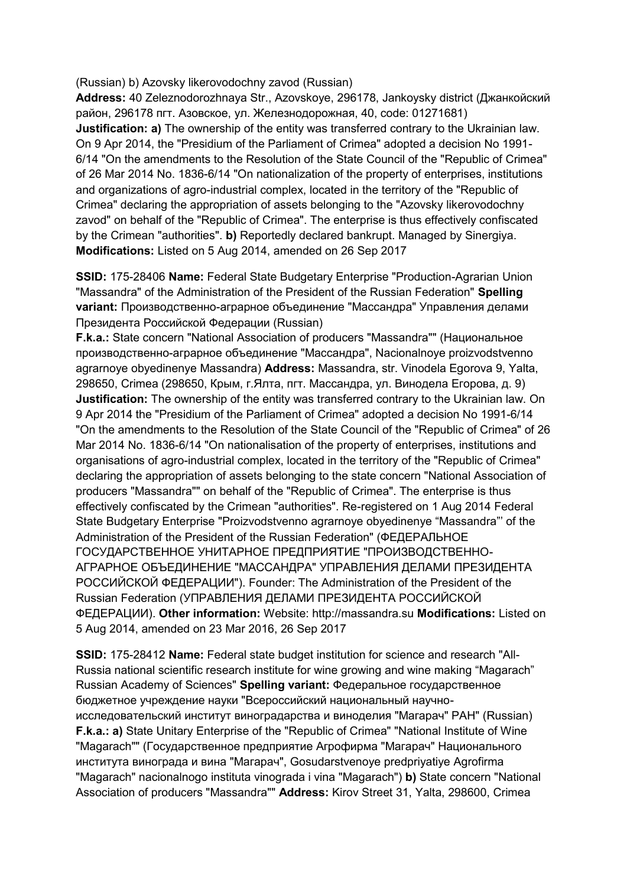(Russian) b) Azovsky likerovodochny zavod (Russian)

**Address:** 40 Zeleznodorozhnaya Str., Azovskoye, 296178, Jankoysky district (Джанкойский район, 296178 пгт. Азовское, ул. Железнодорожная, 40, code: 01271681) **Justification: a)** The ownership of the entity was transferred contrary to the Ukrainian law. On 9 Apr 2014, the "Presidium of the Parliament of Crimea" adopted a decision No 1991- 6/14 "On the amendments to the Resolution of the State Council of the "Republic of Crimea" of 26 Mar 2014 No. 1836-6/14 "On nationalization of the property of enterprises, institutions and organizations of agro-industrial complex, located in the territory of the "Republic of Crimea" declaring the appropriation of assets belonging to the "Azovsky likerovodochny zavod" on behalf of the "Republic of Crimea". The enterprise is thus effectively confiscated by the Crimean "authorities". **b)** Reportedly declared bankrupt. Managed by Sinergiya. **Modifications:** Listed on 5 Aug 2014, amended on 26 Sep 2017

**SSID:** 175-28406 **Name:** Federal State Budgetary Enterprise "Production-Agrarian Union "Massandra" of the Administration of the President of the Russian Federation" **Spelling variant:** Производственно-аграрное объединение "Массандра" Управления делами Президента Российской Федерации (Russian)

**F.k.a.:** State concern "National Association of producers "Massandra"" (Национальное производственно-аграрное объединение "Массандра", Nacionalnoye proizvodstvenno agrarnoye obyedinenye Massandra) **Address:** Massandra, str. Vinodela Egorova 9, Yalta, 298650, Crimea (298650, Крым, г.Ялта, пгт. Массандра, ул. Винодела Егорова, д. 9) **Justification:** The ownership of the entity was transferred contrary to the Ukrainian law. On 9 Apr 2014 the "Presidium of the Parliament of Crimea" adopted a decision No 1991-6/14 "On the amendments to the Resolution of the State Council of the "Republic of Crimea" of 26 Mar 2014 No. 1836-6/14 "On nationalisation of the property of enterprises, institutions and organisations of agro-industrial complex, located in the territory of the "Republic of Crimea" declaring the appropriation of assets belonging to the state concern "National Association of producers "Massandra"" on behalf of the "Republic of Crimea". The enterprise is thus effectively confiscated by the Crimean "authorities". Re-registered on 1 Aug 2014 Federal State Budgetary Enterprise "Proizvodstvenno agrarnoye obyedinenye "Massandra"' of the Administration of the President of the Russian Federation" (ФЕДЕРАЛЬНОЕ ГОСУДАРСТВЕННОЕ УНИТАРНОЕ ПРЕДПРИЯТИЕ "ПРОИЗВОДСТВЕННО-АГРАРНОЕ ОБЪЕДИНЕНИЕ "МАССАНДРА" УПРАВЛЕНИЯ ДЕЛАМИ ПРЕЗИДЕНТА РОССИЙСКОЙ ФЕДЕРАЦИИ"). Founder: The Administration of the President of the Russian Federation (УПРАВЛЕНИЯ ДЕЛАМИ ПРЕЗИДЕНТА РОССИЙСКОЙ ФЕДЕРАЦИИ). **Other information:** Website: http://massandra.su **Modifications:** Listed on 5 Aug 2014, amended on 23 Mar 2016, 26 Sep 2017

**SSID:** 175-28412 **Name:** Federal state budget institution for science and research "All-Russia national scientific research institute for wine growing and wine making "Magarach" Russian Academy of Sciences" **Spelling variant:** Федеральное государственное бюджетное учреждение науки "Всероссийский национальный научноисследовательский институт виноградарства и виноделия "Магарач" РАН" (Russian) **F.k.a.: a)** State Unitary Enterprise of the "Republic of Crimea" "National Institute of Wine "Magarach"" (Государственное предприятие Агрофирма "Магарач" Национального института винограда и вина "Магарач", Gosudarstvenoye predpriyatiye Agrofirma "Magarach" nacionalnogo instituta vinograda i vina "Magarach") **b)** State concern "National Association of producers "Massandra"" **Address:** Kirov Street 31, Yalta, 298600, Crimea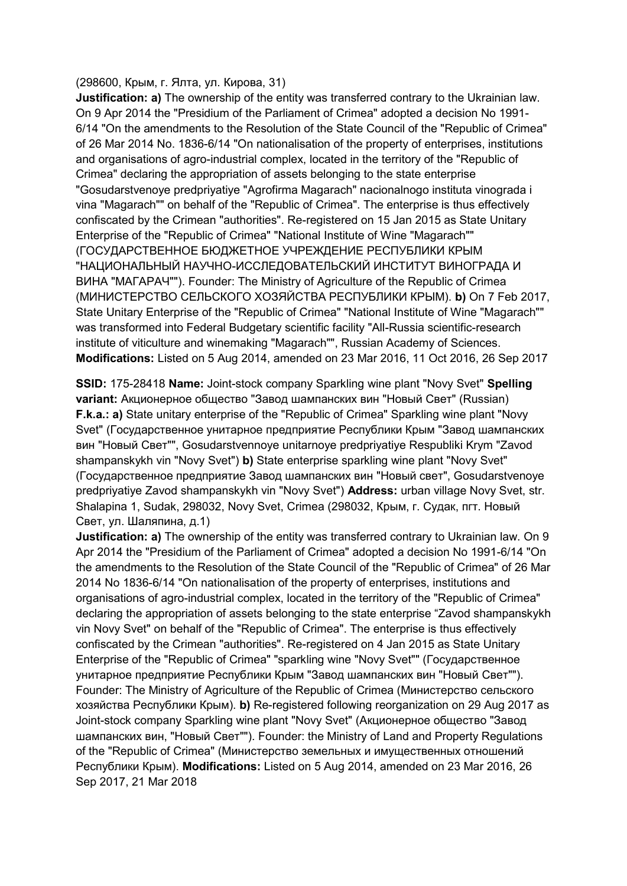#### (298600, Крым, г. Ялта, ул. Кирова, 31)

**Justification: a)** The ownership of the entity was transferred contrary to the Ukrainian law. On 9 Apr 2014 the "Presidium of the Parliament of Crimea" adopted a decision No 1991- 6/14 "On the amendments to the Resolution of the State Council of the "Republic of Crimea" of 26 Mar 2014 No. 1836-6/14 "On nationalisation of the property of enterprises, institutions and organisations of agro-industrial complex, located in the territory of the "Republic of Crimea" declaring the appropriation of assets belonging to the state enterprise "Gosudarstvenoye predpriyatiye "Agrofirma Magarach" nacionalnogo instituta vinograda i vina "Magarach"" on behalf of the "Republic of Crimea". The enterprise is thus effectively confiscated by the Crimean "authorities". Re-registered on 15 Jan 2015 as State Unitary Enterprise of the "Republic of Crimea" "National Institute of Wine "Magarach"" (ГОСУДАРСТВЕННОЕ БЮДЖЕТНОЕ УЧРЕЖДЕНИЕ РЕСПУБЛИКИ КРЫМ "НАЦИОНАЛЬНЫЙ НАУЧНО-ИССЛЕДОВАТЕЛЬСКИЙ ИНСТИТУТ ВИНОГРАДА И ВИНА "МАГАРАЧ""). Founder: The Ministry of Agriculture of the Republic of Crimea (МИНИСТЕРСТВО СЕЛЬСКОГО ХОЗЯЙСТВА РЕСПУБЛИКИ КРЫМ). **b)** On 7 Feb 2017, State Unitary Enterprise of the "Republic of Crimea" "National Institute of Wine "Magarach"" was transformed into Federal Budgetary scientific facility "All-Russia scientific-research institute of viticulture and winemaking "Magarach"", Russian Academy of Sciences. **Modifications:** Listed on 5 Aug 2014, amended on 23 Mar 2016, 11 Oct 2016, 26 Sep 2017

**SSID:** 175-28418 **Name:** Joint-stock company Sparkling wine plant "Novy Svet" **Spelling variant:** Aкционерное общество "Завод шампанских вин "Новый Свет" (Russian) **F.k.a.: a)** State unitary enterprise of the "Republic of Crimea" Sparkling wine plant "Novy Svet" (Государственное унитарное предприятие Республики Крым "Завод шампанских вин "Новый Свет"", Gosudarstvennoye unitarnoye predpriyatiye Respubliki Krym "Zavod shampanskykh vin "Novy Svet") **b)** State enterprise sparkling wine plant "Novy Svet" (Государственное предприятие Завод шампанских вин "Новый свет", Gosudarstvenoye predpriyatiye Zavod shampanskykh vin "Novy Svet") **Address:** urban village Novy Svet, str. Shalapina 1, Sudak, 298032, Novy Svet, Crimea (298032, Крым, г. Судак, пгт. Новый Свет, ул. Шаляпина, д.1)

**Justification: a)** The ownership of the entity was transferred contrary to Ukrainian law. On 9 Apr 2014 the "Presidium of the Parliament of Crimea" adopted a decision No 1991-6/14 "On the amendments to the Resolution of the State Council of the "Republic of Crimea" of 26 Mar 2014 No 1836-6/14 "On nationalisation of the property of enterprises, institutions and organisations of agro-industrial complex, located in the territory of the "Republic of Crimea" declaring the appropriation of assets belonging to the state enterprise "Zavod shampanskykh vin Novy Svet" on behalf of the "Republic of Crimea". The enterprise is thus effectively confiscated by the Crimean "authorities". Re-registered on 4 Jan 2015 as State Unitary Enterprise of the "Republic of Crimea" "sparkling wine "Novy Svet"" (Государственное унитарное предприятие Республики Крым "Завод шампанских вин "Новый Свет""). Founder: The Ministry of Agriculture of the Republic of Crimea (Министерство сельского хозяйства Республики Крым). **b)** Re-registered following reorganization on 29 Aug 2017 as Joint-stock company Sparkling wine plant "Novy Svet" (Aкционерное общество "Завод шампанских вин, "Новый Свет""). Founder: the Ministry of Land and Property Regulations of the "Republic of Crimea" (Министерство земельных и имущественных отношений Республики Крым). **Modifications:** Listed on 5 Aug 2014, amended on 23 Mar 2016, 26 Sep 2017, 21 Mar 2018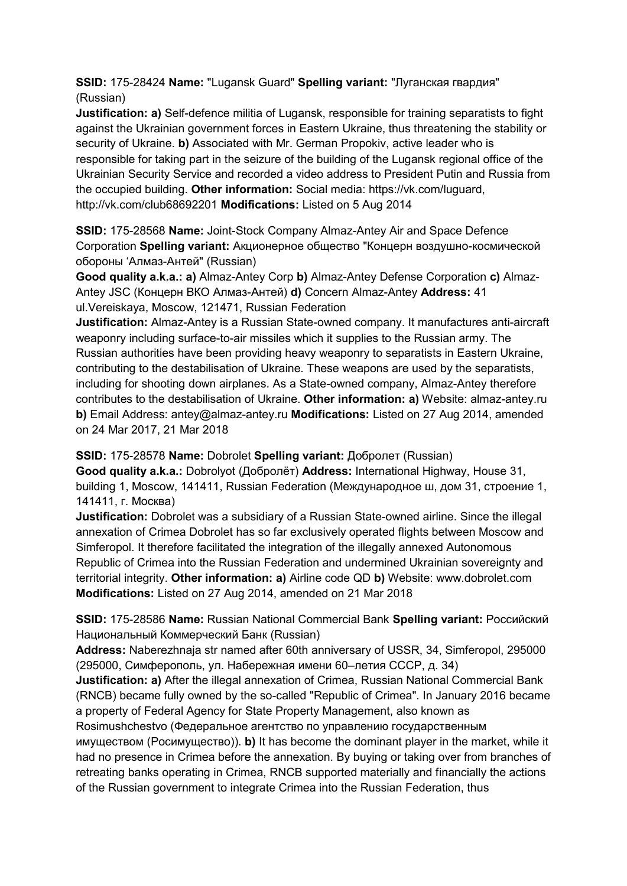# **SSID:** 175-28424 **Name:** "Lugansk Guard" **Spelling variant:** "Луганская гвардия" (Russian)

**Justification: a)** Self-defence militia of Lugansk, responsible for training separatists to fight against the Ukrainian government forces in Eastern Ukraine, thus threatening the stability or security of Ukraine. **b)** Associated with Mr. German Propokiv, active leader who is responsible for taking part in the seizure of the building of the Lugansk regional office of the Ukrainian Security Service and recorded a video address to President Putin and Russia from the occupied building. **Other information:** Social media: https://vk.com/luguard, http://vk.com/club68692201 **Modifications:** Listed on 5 Aug 2014

**SSID:** 175-28568 **Name:** Joint-Stock Company Almaz-Antey Air and Space Defence Corporation **Spelling variant:** Акционерное общество "Концерн воздушно-космической обороны 'Алмаз-Антей" (Russian)

**Good quality a.k.a.: a)** Almaz-Antey Corp **b)** Almaz-Antey Defense Corporation **c)** Almaz-Antey JSC (Концерн ВКО Алмаз-Антей) **d)** Concern Almaz-Antey **Address:** 41 ul.Vereiskaya, Moscow, 121471, Russian Federation

**Justification:** Almaz-Antey is a Russian State-owned company. It manufactures anti-aircraft weaponry including surface-to-air missiles which it supplies to the Russian army. The Russian authorities have been providing heavy weaponry to separatists in Eastern Ukraine, contributing to the destabilisation of Ukraine. These weapons are used by the separatists, including for shooting down airplanes. As a State-owned company, Almaz-Antey therefore contributes to the destabilisation of Ukraine. **Other information: a)** Website: almaz-antey.ru **b)** Email Address: antey@almaz-antey.ru **Modifications:** Listed on 27 Aug 2014, amended on 24 Mar 2017, 21 Mar 2018

**SSID:** 175-28578 **Name:** Dobrolet **Spelling variant:** Добролет (Russian)

**Good quality a.k.a.:** Dobrolyot (Добролёт) **Address:** International Highway, House 31, building 1, Moscow, 141411, Russian Federation (Международное ш, дом 31, строение 1, 141411, г. Москва)

**Justification:** Dobrolet was a subsidiary of a Russian State-owned airline. Since the illegal annexation of Crimea Dobrolet has so far exclusively operated flights between Moscow and Simferopol. It therefore facilitated the integration of the illegally annexed Autonomous Republic of Crimea into the Russian Federation and undermined Ukrainian sovereignty and territorial integrity. **Other information: a)** Airline code QD **b)** Website: www.dobrolet.com **Modifications:** Listed on 27 Aug 2014, amended on 21 Mar 2018

**SSID:** 175-28586 **Name:** Russian National Commercial Bank **Spelling variant:** Российский Национальный Коммерческий Банк (Russian)

**Address:** Naberezhnaja str named after 60th anniversary of USSR, 34, Simferopol, 295000 (295000, Симферополь, ул. Набережная имени 60–летия СССР, д. 34)

**Justification: a)** After the illegal annexation of Crimea, Russian National Commercial Bank (RNCB) became fully owned by the so-called "Republic of Crimea". In January 2016 became a property of Federal Agency for State Property Management, also known as

Rosimushchestvo (Федеральное агентство по управлению государственным имуществом (Росимущество)). **b)** It has become the dominant player in the market, while it had no presence in Crimea before the annexation. By buying or taking over from branches of retreating banks operating in Crimea, RNCB supported materially and financially the actions of the Russian government to integrate Crimea into the Russian Federation, thus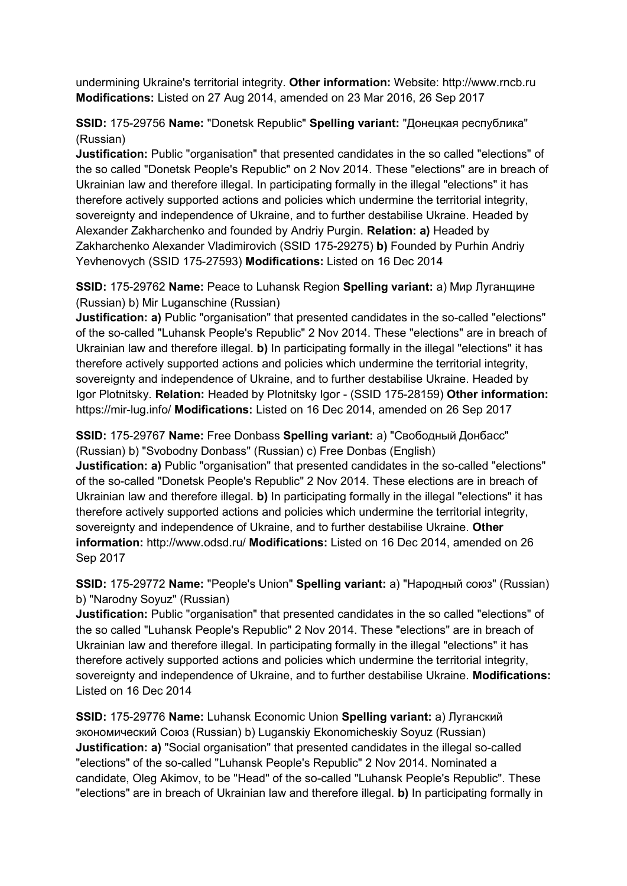undermining Ukraine's territorial integrity. **Other information:** Website: http://www.rncb.ru **Modifications:** Listed on 27 Aug 2014, amended on 23 Mar 2016, 26 Sep 2017

# **SSID:** 175-29756 **Name:** "Donetsk Republic" **Spelling variant:** "Донецкая республика" (Russian)

**Justification:** Public "organisation" that presented candidates in the so called "elections" of the so called "Donetsk People's Republic" on 2 Nov 2014. These "elections" are in breach of Ukrainian law and therefore illegal. In participating formally in the illegal "elections" it has therefore actively supported actions and policies which undermine the territorial integrity, sovereignty and independence of Ukraine, and to further destabilise Ukraine. Headed by Alexander Zakharchenko and founded by Andriy Purgin. **Relation: a)** Headed by Zakharchenko Alexander Vladimirovich (SSID 175-29275) **b)** Founded by Purhin Andriy Yevhenovych (SSID 175-27593) **Modifications:** Listed on 16 Dec 2014

**SSID:** 175-29762 **Name:** Peace to Luhansk Region **Spelling variant:** a) Мир Луганщине (Russian) b) Mir Luganschine (Russian)

**Justification: a)** Public "organisation" that presented candidates in the so-called "elections" of the so-called "Luhansk People's Republic" 2 Nov 2014. These "elections" are in breach of Ukrainian law and therefore illegal. **b)** In participating formally in the illegal "elections" it has therefore actively supported actions and policies which undermine the territorial integrity, sovereignty and independence of Ukraine, and to further destabilise Ukraine. Headed by Igor Plotnitsky. **Relation:** Headed by Plotnitsky Igor - (SSID 175-28159) **Other information:** https://mir-lug.info/ **Modifications:** Listed on 16 Dec 2014, amended on 26 Sep 2017

**SSID:** 175-29767 **Name:** Free Donbass **Spelling variant:** a) "Свободный Донбасс" (Russian) b) "Svobodny Donbass" (Russian) c) Free Donbas (English)

**Justification: a)** Public "organisation" that presented candidates in the so-called "elections" of the so-called "Donetsk People's Republic" 2 Nov 2014. These elections are in breach of Ukrainian law and therefore illegal. **b)** In participating formally in the illegal "elections" it has therefore actively supported actions and policies which undermine the territorial integrity, sovereignty and independence of Ukraine, and to further destabilise Ukraine. **Other information:** http://www.odsd.ru/ **Modifications:** Listed on 16 Dec 2014, amended on 26 Sep 2017

**SSID:** 175-29772 **Name:** "People's Union" **Spelling variant:** a) "Народный союз" (Russian) b) "Narodny Soyuz" (Russian)

**Justification:** Public "organisation" that presented candidates in the so called "elections" of the so called "Luhansk People's Republic" 2 Nov 2014. These "elections" are in breach of Ukrainian law and therefore illegal. In participating formally in the illegal "elections" it has therefore actively supported actions and policies which undermine the territorial integrity, sovereignty and independence of Ukraine, and to further destabilise Ukraine. **Modifications:**  Listed on 16 Dec 2014

**SSID:** 175-29776 **Name:** Luhansk Economic Union **Spelling variant:** a) Луганский экономический Союз (Russian) b) Luganskiy Ekonomicheskiy Soyuz (Russian) **Justification: a)** "Social organisation" that presented candidates in the illegal so-called "elections" of the so-called "Luhansk People's Republic" 2 Nov 2014. Nominated a candidate, Oleg Akimov, to be "Head" of the so-called "Luhansk People's Republic". These "elections" are in breach of Ukrainian law and therefore illegal. **b)** In participating formally in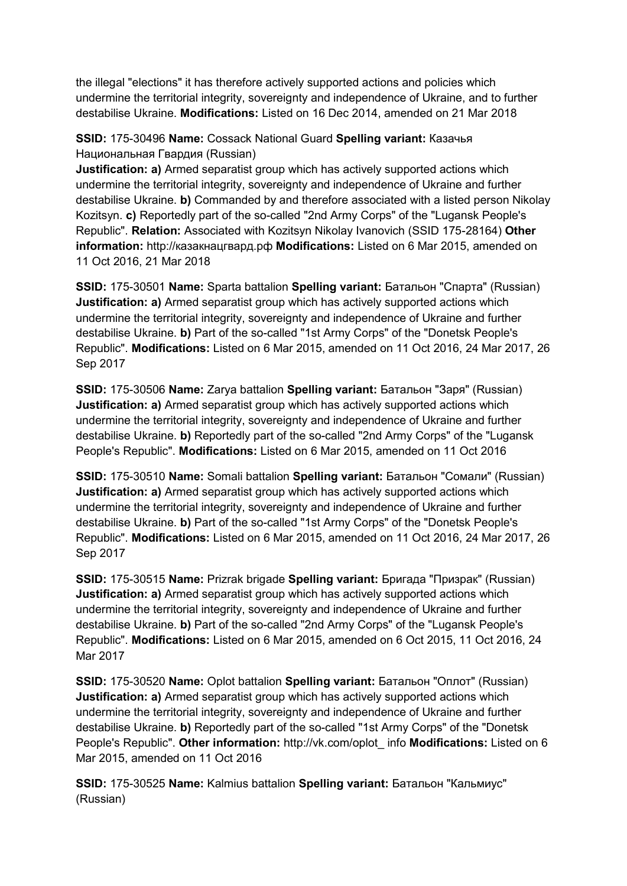the illegal "elections" it has therefore actively supported actions and policies which undermine the territorial integrity, sovereignty and independence of Ukraine, and to further destabilise Ukraine. **Modifications:** Listed on 16 Dec 2014, amended on 21 Mar 2018

**SSID:** 175-30496 **Name:** Cossack National Guard **Spelling variant:** Казачья Национальная Гвардия (Russian)

**Justification: a)** Armed separatist group which has actively supported actions which undermine the territorial integrity, sovereignty and independence of Ukraine and further destabilise Ukraine. **b)** Commanded by and therefore associated with a listed person Nikolay Kozitsyn. **c)** Reportedly part of the so-called "2nd Army Corps" of the "Lugansk People's Republic". **Relation:** Associated with Kozitsyn Nikolay Ivanovich (SSID 175-28164) **Other information:** http://казакнацгвард.рф **Modifications:** Listed on 6 Mar 2015, amended on 11 Oct 2016, 21 Mar 2018

**SSID:** 175-30501 **Name:** Sparta battalion **Spelling variant:** Батальон "Спарта" (Russian) **Justification: a)** Armed separatist group which has actively supported actions which undermine the territorial integrity, sovereignty and independence of Ukraine and further destabilise Ukraine. **b)** Part of the so-called "1st Army Corps" of the "Donetsk People's Republic". **Modifications:** Listed on 6 Mar 2015, amended on 11 Oct 2016, 24 Mar 2017, 26 Sep 2017

**SSID:** 175-30506 **Name:** Zarya battalion **Spelling variant:** Батальон "Заря" (Russian) **Justification: a)** Armed separatist group which has actively supported actions which undermine the territorial integrity, sovereignty and independence of Ukraine and further destabilise Ukraine. **b)** Reportedly part of the so-called "2nd Army Corps" of the "Lugansk People's Republic". **Modifications:** Listed on 6 Mar 2015, amended on 11 Oct 2016

**SSID:** 175-30510 **Name:** Somali battalion **Spelling variant:** Батальон "Сомали" (Russian) **Justification: a)** Armed separatist group which has actively supported actions which undermine the territorial integrity, sovereignty and independence of Ukraine and further destabilise Ukraine. **b)** Part of the so-called "1st Army Corps" of the "Donetsk People's Republic". **Modifications:** Listed on 6 Mar 2015, amended on 11 Oct 2016, 24 Mar 2017, 26 Sep 2017

**SSID:** 175-30515 **Name:** Prizrak brigade **Spelling variant:** Бригада "Призрак" (Russian) **Justification: a)** Armed separatist group which has actively supported actions which undermine the territorial integrity, sovereignty and independence of Ukraine and further destabilise Ukraine. **b)** Part of the so-called "2nd Army Corps" of the "Lugansk People's Republic". **Modifications:** Listed on 6 Mar 2015, amended on 6 Oct 2015, 11 Oct 2016, 24 Mar 2017

**SSID:** 175-30520 **Name:** Oplot battalion **Spelling variant:** Батальон "Оплот" (Russian) **Justification: a)** Armed separatist group which has actively supported actions which undermine the territorial integrity, sovereignty and independence of Ukraine and further destabilise Ukraine. **b)** Reportedly part of the so-called "1st Army Corps" of the "Donetsk People's Republic". **Other information:** http://vk.com/oplot\_ info **Modifications:** Listed on 6 Mar 2015, amended on 11 Oct 2016

**SSID:** 175-30525 **Name:** Kalmius battalion **Spelling variant:** Батальон "Кальмиус" (Russian)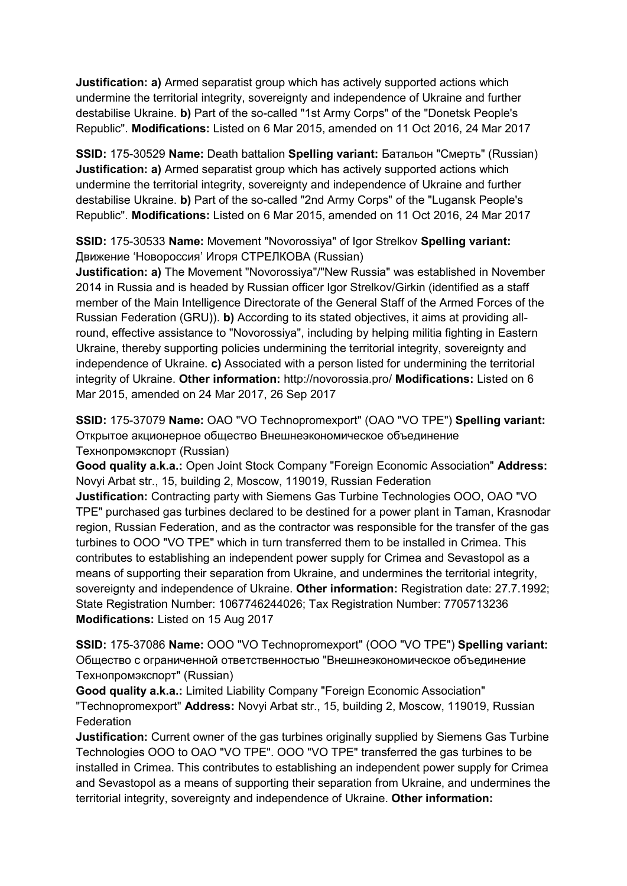**Justification: a)** Armed separatist group which has actively supported actions which undermine the territorial integrity, sovereignty and independence of Ukraine and further destabilise Ukraine. **b)** Part of the so-called "1st Army Corps" of the "Donetsk People's Republic". **Modifications:** Listed on 6 Mar 2015, amended on 11 Oct 2016, 24 Mar 2017

**SSID:** 175-30529 **Name:** Death battalion **Spelling variant:** Батальон "Смерть" (Russian) **Justification: a)** Armed separatist group which has actively supported actions which undermine the territorial integrity, sovereignty and independence of Ukraine and further destabilise Ukraine. **b)** Part of the so-called "2nd Army Corps" of the "Lugansk People's Republic". **Modifications:** Listed on 6 Mar 2015, amended on 11 Oct 2016, 24 Mar 2017

**SSID:** 175-30533 **Name:** Movement "Novorossiya" of Igor Strelkov **Spelling variant:**  Движение 'Новороссия' Игоря СТРЕЛКОВА (Russian)

**Justification: a)** The Movement "Novorossiya"/"New Russia" was established in November 2014 in Russia and is headed by Russian officer Igor Strelkov/Girkin (identified as a staff member of the Main Intelligence Directorate of the General Staff of the Armed Forces of the Russian Federation (GRU)). **b)** According to its stated objectives, it aims at providing allround, effective assistance to "Novorossiya", including by helping militia fighting in Eastern Ukraine, thereby supporting policies undermining the territorial integrity, sovereignty and independence of Ukraine. **c)** Associated with a person listed for undermining the territorial integrity of Ukraine. **Other information:** http://novorossia.pro/ **Modifications:** Listed on 6 Mar 2015, amended on 24 Mar 2017, 26 Sep 2017

**SSID:** 175-37079 **Name:** OAO "VO Technopromexport" (OAO "VO TPE") **Spelling variant:**  Открытое акционерное общество Внешнеэкономическое объединение Технопромэкспорт (Russian)

**Good quality a.k.a.:** Open Joint Stock Company "Foreign Economic Association" **Address:** Novyi Arbat str., 15, building 2, Moscow, 119019, Russian Federation

**Justification:** Contracting party with Siemens Gas Turbine Technologies OOO, OAO "VO TPE" purchased gas turbines declared to be destined for a power plant in Taman, Krasnodar region, Russian Federation, and as the contractor was responsible for the transfer of the gas turbines to OOO "VO TPE" which in turn transferred them to be installed in Crimea. This contributes to establishing an independent power supply for Crimea and Sevastopol as a means of supporting their separation from Ukraine, and undermines the territorial integrity, sovereignty and independence of Ukraine. **Other information:** Registration date: 27.7.1992; State Registration Number: 1067746244026; Tax Registration Number: 7705713236 **Modifications:** Listed on 15 Aug 2017

**SSID:** 175-37086 **Name:** OOO "VO Technopromexport" (OOO "VO TPE") **Spelling variant:**  Общество с ограниченной ответственностью "Внешнеэкономическое объединение Технопромэкспорт" (Russian)

**Good quality a.k.a.:** Limited Liability Company "Foreign Economic Association" "Technopromexport" **Address:** Novyi Arbat str., 15, building 2, Moscow, 119019, Russian **Federation** 

**Justification:** Current owner of the gas turbines originally supplied by Siemens Gas Turbine Technologies OOO to OAO "VO TPE". OOO "VO TPE" transferred the gas turbines to be installed in Crimea. This contributes to establishing an independent power supply for Crimea and Sevastopol as a means of supporting their separation from Ukraine, and undermines the territorial integrity, sovereignty and independence of Ukraine. **Other information:**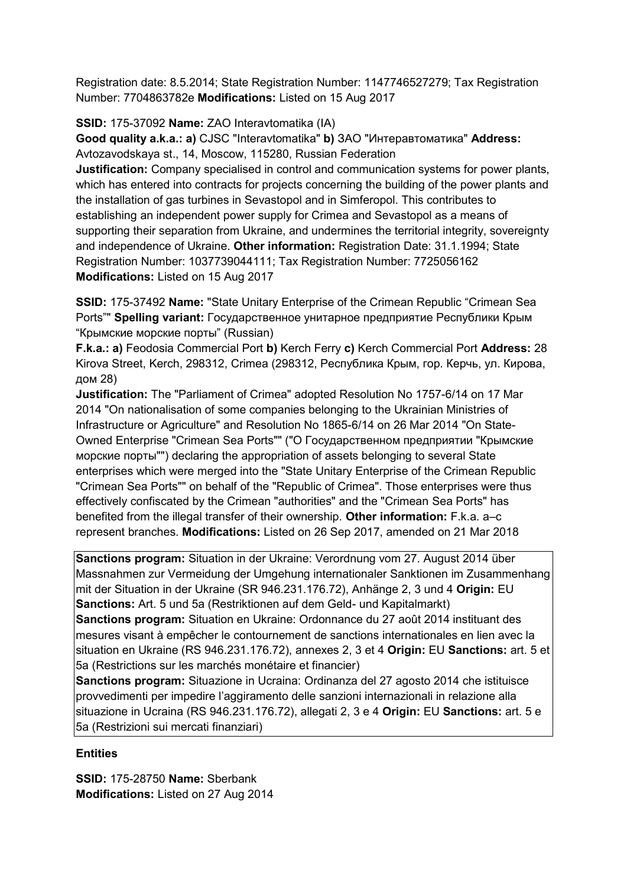Registration date: 8.5.2014; State Registration Number: 1147746527279; Tax Registration Number: 7704863782e **Modifications:** Listed on 15 Aug 2017

**SSID:** 175-37092 **Name:** ZAO Interavtomatika (IA)

**Good quality a.k.a.: a)** CJSC "Interavtomatika" **b)** ЗАО "Интеравтоматика" **Address:** Avtozavodskaya st., 14, Moscow, 115280, Russian Federation

**Justification:** Company specialised in control and communication systems for power plants, which has entered into contracts for projects concerning the building of the power plants and the installation of gas turbines in Sevastopol and in Simferopol. This contributes to establishing an independent power supply for Crimea and Sevastopol as a means of supporting their separation from Ukraine, and undermines the territorial integrity, sovereignty and independence of Ukraine. **Other information:** Registration Date: 31.1.1994; State Registration Number: 1037739044111; Tax Registration Number: 7725056162 **Modifications:** Listed on 15 Aug 2017

**SSID:** 175-37492 **Name:** "State Unitary Enterprise of the Crimean Republic "Crimean Sea Ports"" **Spelling variant:** Государственное унитарное предприятие Республики Крым "Крымские морские порты" (Russian)

**F.k.a.: a)** Feodosia Commercial Port **b)** Kerch Ferry **c)** Kerch Commercial Port **Address:** 28 Kirova Street, Kerch, 298312, Crimea (298312, Республика Крым, гор. Керчь, ул. Кирова, дом 28)

**Justification:** The "Parliament of Crimea" adopted Resolution No 1757-6/14 on 17 Mar 2014 "On nationalisation of some companies belonging to the Ukrainian Ministries of Infrastructure or Agriculture" and Resolution No 1865-6/14 on 26 Mar 2014 "On State-Owned Enterprise "Crimean Sea Ports"" ("О Государственном предприятии "Крымские морские порты"") declaring the appropriation of assets belonging to several State enterprises which were merged into the "State Unitary Enterprise of the Crimean Republic "Crimean Sea Ports"" on behalf of the "Republic of Crimea". Those enterprises were thus effectively confiscated by the Crimean "authorities" and the "Crimean Sea Ports" has benefited from the illegal transfer of their ownership. **Other information:** F.k.a. a–c represent branches. **Modifications:** Listed on 26 Sep 2017, amended on 21 Mar 2018

**Sanctions program:** Situation in der Ukraine: Verordnung vom 27. August 2014 über Massnahmen zur Vermeidung der Umgehung internationaler Sanktionen im Zusammenhang mit der Situation in der Ukraine (SR 946.231.176.72), Anhänge 2, 3 und 4 **Origin:** EU **Sanctions:** Art. 5 und 5a (Restriktionen auf dem Geld- und Kapitalmarkt)

**Sanctions program:** Situation en Ukraine: Ordonnance du 27 août 2014 instituant des mesures visant à empêcher le contournement de sanctions internationales en lien avec la situation en Ukraine (RS 946.231.176.72), annexes 2, 3 et 4 **Origin:** EU **Sanctions:** art. 5 et 5a (Restrictions sur les marchés monétaire et financier)

**Sanctions program:** Situazione in Ucraina: Ordinanza del 27 agosto 2014 che istituisce provvedimenti per impedire l'aggiramento delle sanzioni internazionali in relazione alla situazione in Ucraina (RS 946.231.176.72), allegati 2, 3 e 4 **Origin:** EU **Sanctions:** art. 5 e 5a (Restrizioni sui mercati finanziari)

## **Entities**

**SSID:** 175-28750 **Name:** Sberbank **Modifications:** Listed on 27 Aug 2014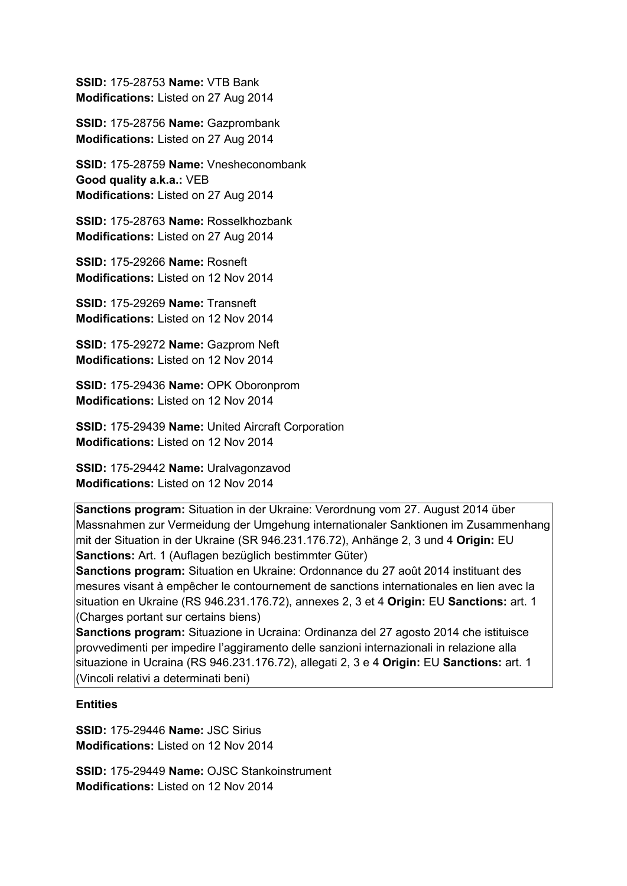**SSID:** 175-28753 **Name:** VTB Bank **Modifications:** Listed on 27 Aug 2014

**SSID:** 175-28756 **Name:** Gazprombank **Modifications:** Listed on 27 Aug 2014

**SSID:** 175-28759 **Name:** Vnesheconombank **Good quality a.k.a.:** VEB **Modifications:** Listed on 27 Aug 2014

**SSID:** 175-28763 **Name:** Rosselkhozbank **Modifications:** Listed on 27 Aug 2014

**SSID:** 175-29266 **Name:** Rosneft **Modifications:** Listed on 12 Nov 2014

**SSID:** 175-29269 **Name:** Transneft **Modifications:** Listed on 12 Nov 2014

**SSID:** 175-29272 **Name:** Gazprom Neft **Modifications:** Listed on 12 Nov 2014

**SSID:** 175-29436 **Name:** OPK Oboronprom **Modifications:** Listed on 12 Nov 2014

**SSID:** 175-29439 **Name:** United Aircraft Corporation **Modifications:** Listed on 12 Nov 2014

**SSID:** 175-29442 **Name:** Uralvagonzavod **Modifications:** Listed on 12 Nov 2014

**Sanctions program:** Situation in der Ukraine: Verordnung vom 27. August 2014 über Massnahmen zur Vermeidung der Umgehung internationaler Sanktionen im Zusammenhang mit der Situation in der Ukraine (SR 946.231.176.72), Anhänge 2, 3 und 4 **Origin:** EU **Sanctions:** Art. 1 (Auflagen bezüglich bestimmter Güter)

**Sanctions program:** Situation en Ukraine: Ordonnance du 27 août 2014 instituant des mesures visant à empêcher le contournement de sanctions internationales en lien avec la situation en Ukraine (RS 946.231.176.72), annexes 2, 3 et 4 **Origin:** EU **Sanctions:** art. 1 (Charges portant sur certains biens)

**Sanctions program:** Situazione in Ucraina: Ordinanza del 27 agosto 2014 che istituisce provvedimenti per impedire l'aggiramento delle sanzioni internazionali in relazione alla situazione in Ucraina (RS 946.231.176.72), allegati 2, 3 e 4 **Origin:** EU **Sanctions:** art. 1 (Vincoli relativi a determinati beni)

#### **Entities**

**SSID:** 175-29446 **Name:** JSC Sirius **Modifications:** Listed on 12 Nov 2014

**SSID:** 175-29449 **Name:** OJSC Stankoinstrument **Modifications:** Listed on 12 Nov 2014